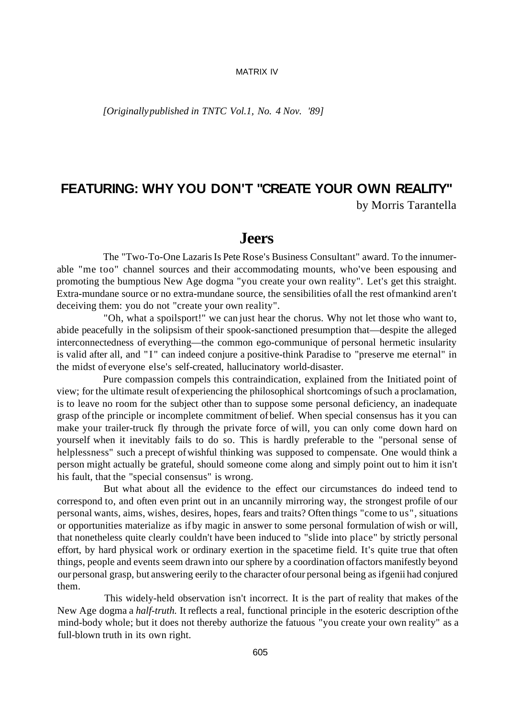*[Originally published in TNTC Vol.1, No. 4 Nov. '89]*

#### **FEATURING: WHY YOU DON'T "CREATE YOUR OWN REALITY"**

by Morris Tarantella

#### **Jeers**

The "Two-To-One Lazaris Is Pete Rose's Business Consultant" award. To the innumerable "me too" channel sources and their accommodating mounts, who've been espousing and promoting the bumptious New Age dogma "you create your own reality". Let's get this straight. Extra-mundane source or no extra-mundane source, the sensibilities of all the rest of mankind aren't deceiving them: you do not "create your own reality".

"Oh, what a spoilsport!" we can just hear the chorus. Why not let those who want to, abide peacefully in the solipsism of their spook-sanctioned presumption that—despite the alleged interconnectedness of everything—the common ego-communique of personal hermetic insularity is valid after all, and "I" can indeed conjure a positive-think Paradise to "preserve me eternal" in the midst of everyone else's self-created, hallucinatory world-disaster.

Pure compassion compels this contraindication, explained from the Initiated point of view; for the ultimate result of experiencing the philosophical shortcomings of such a proclamation, is to leave no room for the subject other than to suppose some personal deficiency, an inadequate grasp of the principle or incomplete commitment of belief. When special consensus has it you can make your trailer-truck fly through the private force of will, you can only come down hard on yourself when it inevitably fails to do so. This is hardly preferable to the "personal sense of helplessness" such a precept of wishful thinking was supposed to compensate. One would think a person might actually be grateful, should someone come along and simply point out to him it isn't his fault, that the "special consensus" is wrong.

But what about all the evidence to the effect our circumstances do indeed tend to correspond to, and often even print out in an uncannily mirroring way, the strongest profile of our personal wants, aims, wishes, desires, hopes, fears and traits? Often things "come to us", situations or opportunities materialize as if by magic in answer to some personal formulation of wish or will, that nonetheless quite clearly couldn't have been induced to "slide into place" by strictly personal effort, by hard physical work or ordinary exertion in the spacetime field. It's quite true that often things, people and events seem drawn into our sphere by a coordination of factors manifestly beyond our personal grasp, but answering eerily to the character of our personal being as if genii had conjured them.

This widely-held observation isn't incorrect. It is the part of reality that makes of the New Age dogma a *half-truth.* It reflects a real, functional principle in the esoteric description of the mind-body whole; but it does not thereby authorize the fatuous "you create your own reality" as a full-blown truth in its own right.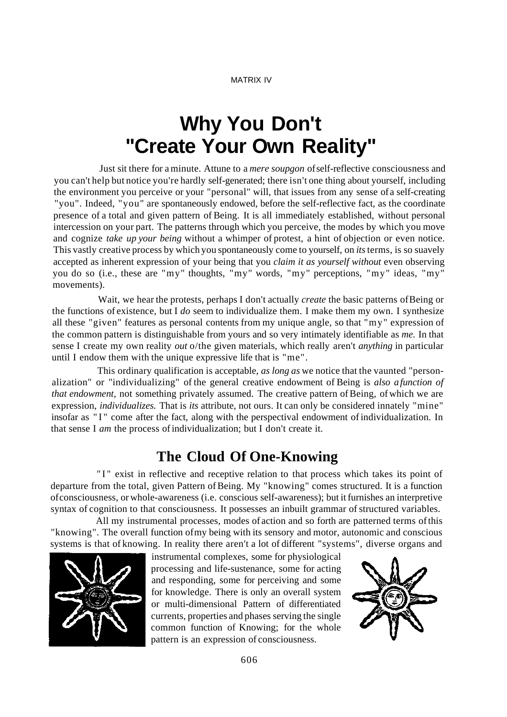# **Why You Don't "Create Your Own Reality"**

Just sit there for a minute. Attune to a *mere soupgon* of self-reflective consciousness and you can't help but notice you're hardly self-generated; there isn't one thing about yourself, including the environment you perceive or your "personal" will, that issues from any sense of a self-creating "you". Indeed, "you" are spontaneously endowed, before the self-reflective fact, as the coordinate presence of a total and given pattern of Being. It is all immediately established, without personal intercession on your part. The patterns through which you perceive, the modes by which you move and cognize *take up your being* without a whimper of protest, a hint of objection or even notice. This vastly creative process by which you spontaneously come to yourself, on *its* terms, is so suavely accepted as inherent expression of your being that you *claim it as yourself without* even observing you do so (i.e., these are "my" thoughts, "my" words, "my" perceptions, "my" ideas, "my" movements).

Wait, we hear the protests, perhaps I don't actually *create* the basic patterns of Being or the functions of existence, but I *do* seem to individualize them. I make them my own. I synthesize all these "given" features as personal contents from my unique angle, so that "my" expression of the common pattern is distinguishable from yours and so very intimately identifiable as *me.* In that sense I create my own reality *out* o/the given materials, which really aren't *anything* in particular until I endow them with the unique expressive life that is "me".

This ordinary qualification is acceptable, *as long as* we notice that the vaunted "personalization" or "individualizing" of the general creative endowment of Being is *also a function of that endowment,* not something privately assumed. The creative pattern of Being, of which we are expression, *individualizes.* That is *its* attribute, not ours. It can only be considered innately "mine" insofar as "I" come after the fact, along with the perspectival endowment of individualization. In that sense I *am* the process of individualization; but I don't create it.

#### **The Cloud Of One-Knowing**

"I" exist in reflective and receptive relation to that process which takes its point of departure from the total, given Pattern of Being. My "knowing" comes structured. It is a function of consciousness, or whole-awareness (i.e. conscious self-awareness); but it furnishes an interpretive syntax of cognition to that consciousness. It possesses an inbuilt grammar of structured variables.

All my instrumental processes, modes of action and so forth are patterned terms of this "knowing". The overall function of my being with its sensory and motor, autonomic and conscious systems is that of knowing. In reality there aren't a lot of different "systems", diverse organs and



instrumental complexes, some for physiological processing and life-sustenance, some for acting and responding, some for perceiving and some for knowledge. There is only an overall system or multi-dimensional Pattern of differentiated currents, properties and phases serving the single common function of Knowing; for the whole pattern is an expression of consciousness.

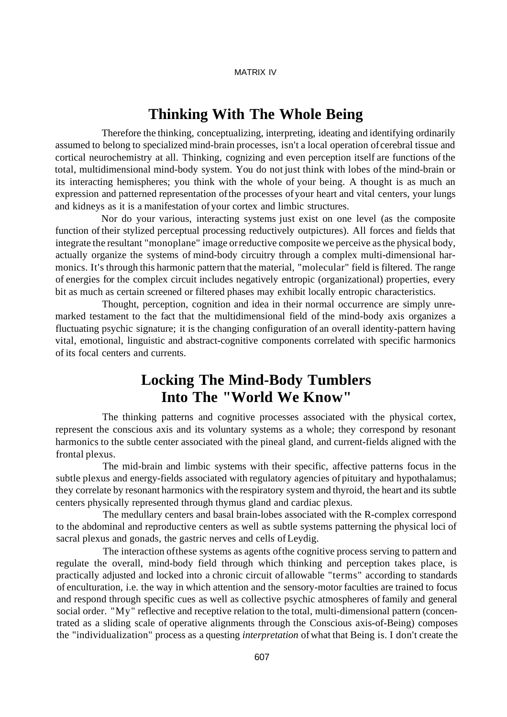#### **Thinking With The Whole Being**

Therefore the thinking, conceptualizing, interpreting, ideating and identifying ordinarily assumed to belong to specialized mind-brain processes, isn't a local operation of cerebral tissue and cortical neurochemistry at all. Thinking, cognizing and even perception itself are functions of the total, multidimensional mind-body system. You do not just think with lobes of the mind-brain or its interacting hemispheres; you think with the whole of your being. A thought is as much an expression and patterned representation of the processes of your heart and vital centers, your lungs and kidneys as it is a manifestation of your cortex and limbic structures.

Nor do your various, interacting systems just exist on one level (as the composite function of their stylized perceptual processing reductively outpictures). All forces and fields that integrate the resultant "monoplane" image or reductive composite we perceive as the physical body, actually organize the systems of mind-body circuitry through a complex multi-dimensional harmonics. It's through this harmonic pattern that the material, "molecular" field is filtered. The range of energies for the complex circuit includes negatively entropic (organizational) properties, every bit as much as certain screened or filtered phases may exhibit locally entropic characteristics.

Thought, perception, cognition and idea in their normal occurrence are simply unremarked testament to the fact that the multidimensional field of the mind-body axis organizes a fluctuating psychic signature; it is the changing configuration of an overall identity-pattern having vital, emotional, linguistic and abstract-cognitive components correlated with specific harmonics of its focal centers and currents.

### **Locking The Mind-Body Tumblers Into The "World We Know"**

The thinking patterns and cognitive processes associated with the physical cortex, represent the conscious axis and its voluntary systems as a whole; they correspond by resonant harmonics to the subtle center associated with the pineal gland, and current-fields aligned with the frontal plexus.

The mid-brain and limbic systems with their specific, affective patterns focus in the subtle plexus and energy-fields associated with regulatory agencies of pituitary and hypothalamus; they correlate by resonant harmonics with the respiratory system and thyroid, the heart and its subtle centers physically represented through thymus gland and cardiac plexus.

The medullary centers and basal brain-lobes associated with the R-complex correspond to the abdominal and reproductive centers as well as subtle systems patterning the physical loci of sacral plexus and gonads, the gastric nerves and cells of Leydig.

The interaction of these systems as agents of the cognitive process serving to pattern and regulate the overall, mind-body field through which thinking and perception takes place, is practically adjusted and locked into a chronic circuit of allowable "terms" according to standards of enculturation, i.e. the way in which attention and the sensory-motor faculties are trained to focus and respond through specific cues as well as collective psychic atmospheres of family and general social order. "My" reflective and receptive relation to the total, multi-dimensional pattern (concentrated as a sliding scale of operative alignments through the Conscious axis-of-Being) composes the "individualization" process as a questing *interpretation* of what that Being is. I don't create the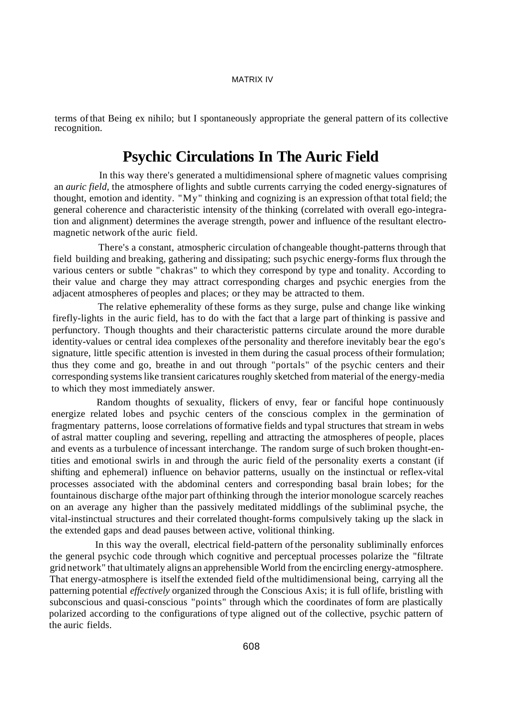terms of that Being ex nihilo; but I spontaneously appropriate the general pattern of its collective recognition.

### **Psychic Circulations In The Auric Field**

In this way there's generated a multidimensional sphere of magnetic values comprising an *auric field,* the atmosphere of lights and subtle currents carrying the coded energy-signatures of thought, emotion and identity. "My" thinking and cognizing is an expression of that total field; the general coherence and characteristic intensity of the thinking (correlated with overall ego-integration and alignment) determines the average strength, power and influence of the resultant electromagnetic network of the auric field.

There's a constant, atmospheric circulation of changeable thought-patterns through that field building and breaking, gathering and dissipating; such psychic energy-forms flux through the various centers or subtle "chakras" to which they correspond by type and tonality. According to their value and charge they may attract corresponding charges and psychic energies from the adjacent atmospheres of peoples and places; or they may be attracted to them.

The relative ephemerality of these forms as they surge, pulse and change like winking firefly-lights in the auric field, has to do with the fact that a large part of thinking is passive and perfunctory. Though thoughts and their characteristic patterns circulate around the more durable identity-values or central idea complexes of the personality and therefore inevitably bear the ego's signature, little specific attention is invested in them during the casual process of their formulation; thus they come and go, breathe in and out through "portals" of the psychic centers and their corresponding systems like transient caricatures roughly sketched from material of the energy-media to which they most immediately answer.

Random thoughts of sexuality, flickers of envy, fear or fanciful hope continuously energize related lobes and psychic centers of the conscious complex in the germination of fragmentary patterns, loose correlations of formative fields and typal structures that stream in webs of astral matter coupling and severing, repelling and attracting the atmospheres of people, places and events as a turbulence of incessant interchange. The random surge of such broken thought-entities and emotional swirls in and through the auric field of the personality exerts a constant (if shifting and ephemeral) influence on behavior patterns, usually on the instinctual or reflex-vital processes associated with the abdominal centers and corresponding basal brain lobes; for the fountainous discharge of the major part of thinking through the interior monologue scarcely reaches on an average any higher than the passively meditated middlings of the subliminal psyche, the vital-instinctual structures and their correlated thought-forms compulsively taking up the slack in the extended gaps and dead pauses between active, volitional thinking.

In this way the overall, electrical field-pattern of the personality subliminally enforces the general psychic code through which cognitive and perceptual processes polarize the "filtrate grid network" that ultimately aligns an apprehensible World from the encircling energy-atmosphere. That energy-atmosphere is itself the extended field of the multidimensional being, carrying all the patterning potential *effectively* organized through the Conscious Axis; it is full of life, bristling with subconscious and quasi-conscious "points" through which the coordinates of form are plastically polarized according to the configurations of type aligned out of the collective, psychic pattern of the auric fields.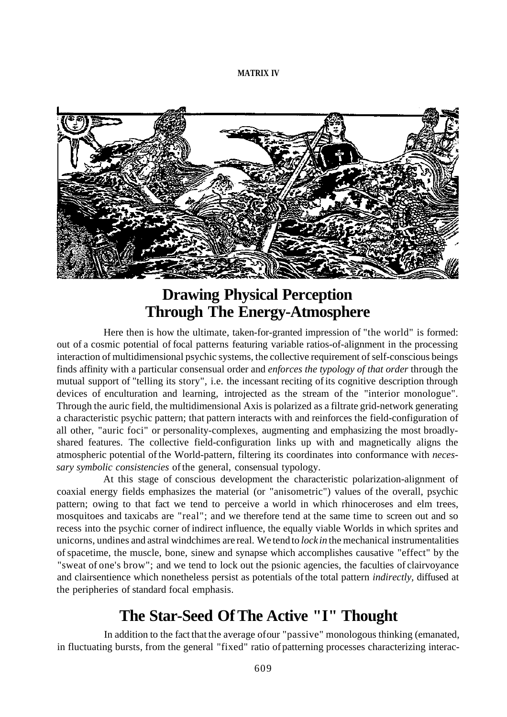

### **Drawing Physical Perception Through The Energy-Atmosphere**

Here then is how the ultimate, taken-for-granted impression of "the world" is formed: out of a cosmic potential of focal patterns featuring variable ratios-of-alignment in the processing interaction of multidimensional psychic systems, the collective requirement of self-conscious beings finds affinity with a particular consensual order and *enforces the typology of that order* through the mutual support of "telling its story", i.e. the incessant reciting of its cognitive description through devices of enculturation and learning, introjected as the stream of the "interior monologue". Through the auric field, the multidimensional Axis is polarized as a filtrate grid-network generating a characteristic psychic pattern; that pattern interacts with and reinforces the field-configuration of all other, "auric foci" or personality-complexes, augmenting and emphasizing the most broadlyshared features. The collective field-configuration links up with and magnetically aligns the atmospheric potential of the World-pattern, filtering its coordinates into conformance with *necessary symbolic consistencies* of the general, consensual typology.

At this stage of conscious development the characteristic polarization-alignment of coaxial energy fields emphasizes the material (or "anisometric") values of the overall, psychic pattern; owing to that fact we tend to perceive a world in which rhinoceroses and elm trees, mosquitoes and taxicabs are "real"; and we therefore tend at the same time to screen out and so recess into the psychic corner of indirect influence, the equally viable Worlds in which sprites and unicorns, undines and astral windchimes are real. We tend to *lock in* the mechanical instrumentalities of spacetime, the muscle, bone, sinew and synapse which accomplishes causative "effect" by the "sweat of one's brow"; and we tend to lock out the psionic agencies, the faculties of clairvoyance and clairsentience which nonetheless persist as potentials of the total pattern *indirectly,* diffused at the peripheries of standard focal emphasis.

## **The Star-Seed Of The Active "I" Thought**

In addition to the fact that the average of our "passive" monologous thinking (emanated, in fluctuating bursts, from the general "fixed" ratio of patterning processes characterizing interac-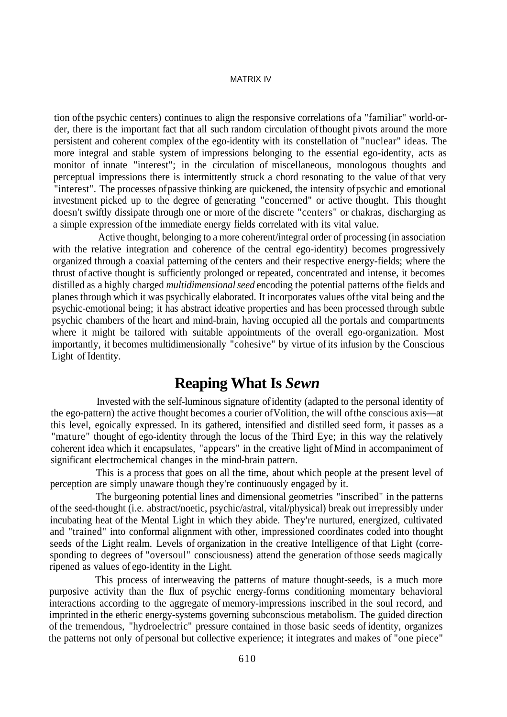tion of the psychic centers) continues to align the responsive correlations of a "familiar" world-order, there is the important fact that all such random circulation of thought pivots around the more persistent and coherent complex of the ego-identity with its constellation of "nuclear" ideas. The more integral and stable system of impressions belonging to the essential ego-identity, acts as monitor of innate "interest"; in the circulation of miscellaneous, monologous thoughts and perceptual impressions there is intermittently struck a chord resonating to the value of that very "interest". The processes of passive thinking are quickened, the intensity of psychic and emotional investment picked up to the degree of generating "concerned" or active thought. This thought doesn't swiftly dissipate through one or more of the discrete "centers" or chakras, discharging as a simple expression of the immediate energy fields correlated with its vital value.

Active thought, belonging to a more coherent/integral order of processing (in association with the relative integration and coherence of the central ego-identity) becomes progressively organized through a coaxial patterning of the centers and their respective energy-fields; where the thrust of active thought is sufficiently prolonged or repeated, concentrated and intense, it becomes distilled as a highly charged *multidimensional seed* encoding the potential patterns of the fields and planes through which it was psychically elaborated. It incorporates values of the vital being and the psychic-emotional being; it has abstract ideative properties and has been processed through subtle psychic chambers of the heart and mind-brain, having occupied all the portals and compartments where it might be tailored with suitable appointments of the overall ego-organization. Most importantly, it becomes multidimensionally "cohesive" by virtue of its infusion by the Conscious Light of Identity.

#### **Reaping What Is** *Sewn*

Invested with the self-luminous signature of identity (adapted to the personal identity of the ego-pattern) the active thought becomes a courier of Volition, the will of the conscious axis—at this level, egoically expressed. In its gathered, intensified and distilled seed form, it passes as a "mature" thought of ego-identity through the locus of the Third Eye; in this way the relatively coherent idea which it encapsulates, "appears" in the creative light of Mind in accompaniment of significant electrochemical changes in the mind-brain pattern.

This is a process that goes on all the time, about which people at the present level of perception are simply unaware though they're continuously engaged by it.

The burgeoning potential lines and dimensional geometries "inscribed" in the patterns of the seed-thought (i.e. abstract/noetic, psychic/astral, vital/physical) break out irrepressibly under incubating heat of the Mental Light in which they abide. They're nurtured, energized, cultivated and "trained" into conformal alignment with other, impressioned coordinates coded into thought seeds of the Light realm. Levels of organization in the creative Intelligence of that Light (corresponding to degrees of "oversoul" consciousness) attend the generation of those seeds magically ripened as values of ego-identity in the Light.

This process of interweaving the patterns of mature thought-seeds, is a much more purposive activity than the flux of psychic energy-forms conditioning momentary behavioral interactions according to the aggregate of memory-impressions inscribed in the soul record, and imprinted in the etheric energy-systems governing subconscious metabolism. The guided direction of the tremendous, "hydroelectric" pressure contained in those basic seeds of identity, organizes the patterns not only of personal but collective experience; it integrates and makes of "one piece"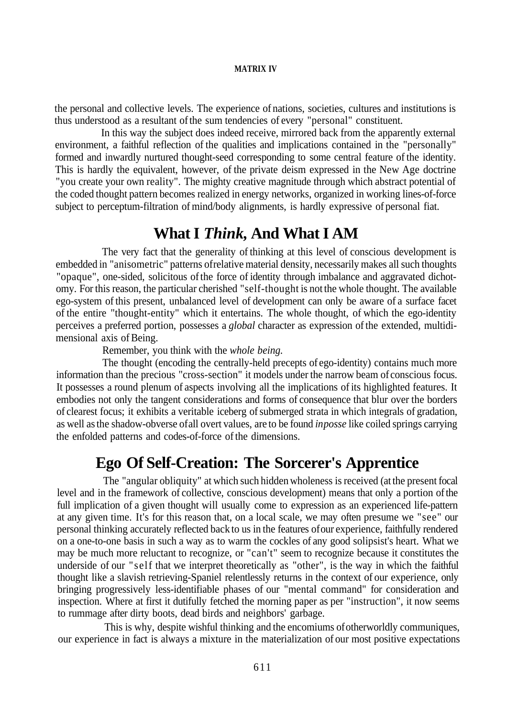the personal and collective levels. The experience of nations, societies, cultures and institutions is thus understood as a resultant of the sum tendencies of every "personal" constituent.

In this way the subject does indeed receive, mirrored back from the apparently external environment, a faithful reflection of the qualities and implications contained in the "personally" formed and inwardly nurtured thought-seed corresponding to some central feature of the identity. This is hardly the equivalent, however, of the private deism expressed in the New Age doctrine "you create your own reality". The mighty creative magnitude through which abstract potential of the coded thought pattern becomes realized in energy networks, organized in working lines-of-force subject to perceptum-filtration of mind/body alignments, is hardly expressive of personal fiat.

### **What I** *Think,* **And What I AM**

The very fact that the generality of thinking at this level of conscious development is embedded in "anisometric" patterns of relative material density, necessarily makes all such thoughts "opaque", one-sided, solicitous of the force of identity through imbalance and aggravated dichotomy. For this reason, the particular cherished "self-thought is not the whole thought. The available ego-system of this present, unbalanced level of development can only be aware of a surface facet of the entire "thought-entity" which it entertains. The whole thought, of which the ego-identity perceives a preferred portion, possesses a *global* character as expression of the extended, multidimensional axis of Being.

Remember, you think with the *whole being.*

The thought (encoding the centrally-held precepts of ego-identity) contains much more information than the precious "cross-section" it models under the narrow beam of conscious focus. It possesses a round plenum of aspects involving all the implications of its highlighted features. It embodies not only the tangent considerations and forms of consequence that blur over the borders of clearest focus; it exhibits a veritable iceberg of submerged strata in which integrals of gradation, as well as the shadow-obverse of all overt values, are to be found *in posse* like coiled springs carrying the enfolded patterns and codes-of-force of the dimensions.

### **Ego Of Self-Creation: The Sorcerer's Apprentice**

The "angular obliquity" at which such hidden wholeness is received (at the present focal level and in the framework of collective, conscious development) means that only a portion of the full implication of a given thought will usually come to expression as an experienced life-pattern at any given time. It's for this reason that, on a local scale, we may often presume we "see" our personal thinking accurately reflected back to us in the features of our experience, faithfully rendered on a one-to-one basis in such a way as to warm the cockles of any good solipsist's heart. What we may be much more reluctant to recognize, or "can't" seem to recognize because it constitutes the underside of our "self that we interpret theoretically as "other", is the way in which the faithful thought like a slavish retrieving-Spaniel relentlessly returns in the context of our experience, only bringing progressively less-identifiable phases of our "mental command" for consideration and inspection. Where at first it dutifully fetched the morning paper as per "instruction", it now seems to rummage after dirty boots, dead birds and neighbors' garbage.

This is why, despite wishful thinking and the encomiums of otherworldly communiques, our experience in fact is always a mixture in the materialization of our most positive expectations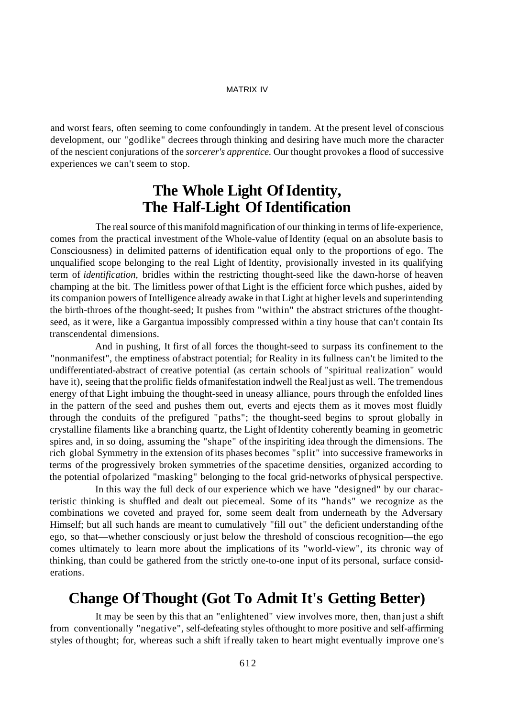and worst fears, often seeming to come confoundingly in tandem. At the present level of conscious development, our "godlike" decrees through thinking and desiring have much more the character of the nescient conjurations of the *sorcerer's apprentice.* Our thought provokes a flood of successive experiences we can't seem to stop.

### **The Whole Light Of Identity, The Half-Light Of Identification**

The real source of this manifold magnification of our thinking in terms of life-experience, comes from the practical investment of the Whole-value of Identity (equal on an absolute basis to Consciousness) in delimited patterns of identification equal only to the proportions of ego. The unqualified scope belonging to the real Light of Identity, provisionally invested in its qualifying term of *identification,* bridles within the restricting thought-seed like the dawn-horse of heaven champing at the bit. The limitless power of that Light is the efficient force which pushes, aided by its companion powers of Intelligence already awake in that Light at higher levels and superintending the birth-throes of the thought-seed; It pushes from "within" the abstract strictures of the thoughtseed, as it were, like a Gargantua impossibly compressed within a tiny house that can't contain Its transcendental dimensions.

And in pushing, It first of all forces the thought-seed to surpass its confinement to the "nonmanifest", the emptiness of abstract potential; for Reality in its fullness can't be limited to the undifferentiated-abstract of creative potential (as certain schools of "spiritual realization" would have it), seeing that the prolific fields of manifestation indwell the Real just as well. The tremendous energy of that Light imbuing the thought-seed in uneasy alliance, pours through the enfolded lines in the pattern of the seed and pushes them out, everts and ejects them as it moves most fluidly through the conduits of the prefigured "paths"; the thought-seed begins to sprout globally in crystalline filaments like a branching quartz, the Light of Identity coherently beaming in geometric spires and, in so doing, assuming the "shape" of the inspiriting idea through the dimensions. The rich global Symmetry in the extension of its phases becomes "split" into successive frameworks in terms of the progressively broken symmetries of the spacetime densities, organized according to the potential of polarized "masking" belonging to the focal grid-networks of physical perspective.

In this way the full deck of our experience which we have "designed" by our characteristic thinking is shuffled and dealt out piecemeal. Some of its "hands" we recognize as the combinations we coveted and prayed for, some seem dealt from underneath by the Adversary Himself; but all such hands are meant to cumulatively "fill out" the deficient understanding of the ego, so that—whether consciously or just below the threshold of conscious recognition—the ego comes ultimately to learn more about the implications of its "world-view", its chronic way of thinking, than could be gathered from the strictly one-to-one input of its personal, surface considerations.

#### **Change Of Thought (Got To Admit It's Getting Better)**

It may be seen by this that an "enlightened" view involves more, then, than just a shift from conventionally "negative", self-defeating styles of thought to more positive and self-affirming styles of thought; for, whereas such a shift if really taken to heart might eventually improve one's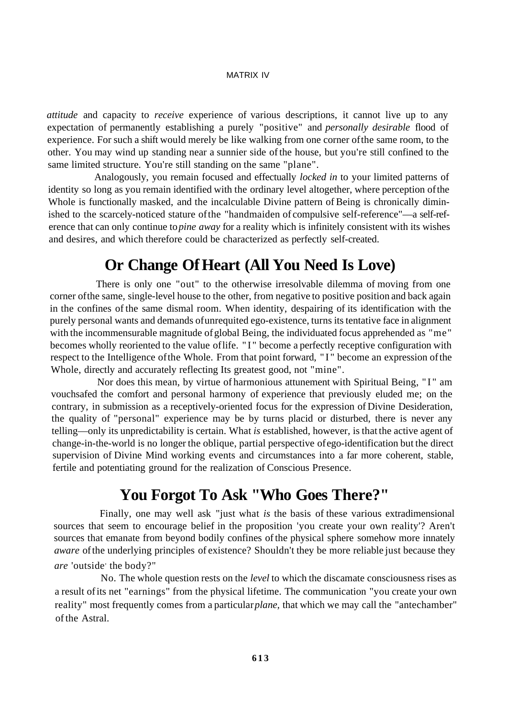*attitude* and capacity to *receive* experience of various descriptions, it cannot live up to any expectation of permanently establishing a purely "positive" and *personally desirable* flood of experience. For such a shift would merely be like walking from one corner of the same room, to the other. You may wind up standing near a sunnier side of the house, but you're still confined to the same limited structure. You're still standing on the same "plane".

Analogously, you remain focused and effectually *locked in* to your limited patterns of identity so long as you remain identified with the ordinary level altogether, where perception of the Whole is functionally masked, and the incalculable Divine pattern of Being is chronically diminished to the scarcely-noticed stature of the "handmaiden of compulsive self-reference"—a self-reference that can only continue to *pine away* for a reality which is infinitely consistent with its wishes and desires, and which therefore could be characterized as perfectly self-created.

### **Or Change Of Heart (All You Need Is Love)**

There is only one "out" to the otherwise irresolvable dilemma of moving from one corner of the same, single-level house to the other, from negative to positive position and back again in the confines of the same dismal room. When identity, despairing of its identification with the purely personal wants and demands of unrequited ego-existence, turns its tentative face in alignment with the incommensurable magnitude of global Being, the individuated focus apprehended as "me" becomes wholly reoriented to the value of life. "I" become a perfectly receptive configuration with respect to the Intelligence of the Whole. From that point forward, "I" become an expression of the Whole, directly and accurately reflecting Its greatest good, not "mine".

Nor does this mean, by virtue of harmonious attunement with Spiritual Being, "I" am vouchsafed the comfort and personal harmony of experience that previously eluded me; on the contrary, in submission as a receptively-oriented focus for the expression of Divine Desideration, the quality of "personal" experience may be by turns placid or disturbed, there is never any telling—only its unpredictability is certain. What *is* established, however, is that the active agent of change-in-the-world is no longer the oblique, partial perspective of ego-identification but the direct supervision of Divine Mind working events and circumstances into a far more coherent, stable, fertile and potentiating ground for the realization of Conscious Presence.

### **You Forgot To Ask "Who Goes There?"**

Finally, one may well ask "just what *is* the basis of these various extradimensional sources that seem to encourage belief in the proposition 'you create your own reality'? Aren't sources that emanate from beyond bodily confines of the physical sphere somehow more innately *aware* of the underlying principles of existence? Shouldn't they be more reliable just because they are 'outside' the body?"

No. The whole question rests on the *level* to which the discamate consciousness rises as a result of its net "earnings" from the physical lifetime. The communication "you create your own reality" most frequently comes from a particular *plane*, that which we may call the "antechamber" of the Astral.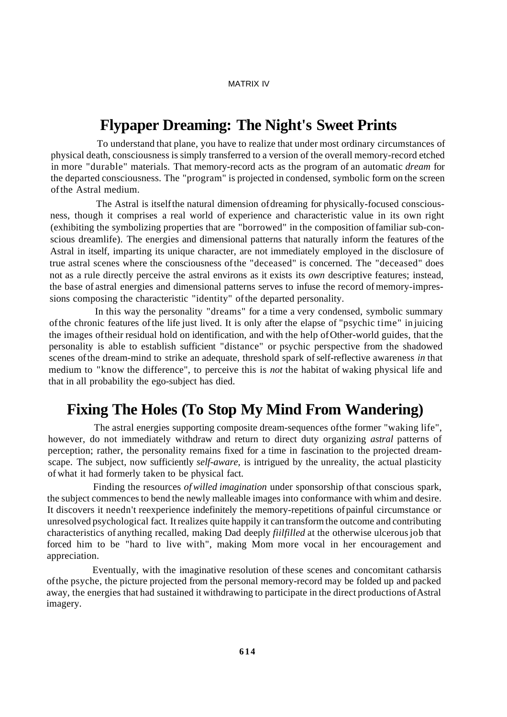### **Flypaper Dreaming: The Night's Sweet Prints**

To understand that plane, you have to realize that under most ordinary circumstances of physical death, consciousness is simply transferred to a version of the overall memory-record etched in more "durable" materials. That memory-record acts as the program of an automatic *dream* for the departed consciousness. The "program" is projected in condensed, symbolic form on the screen of the Astral medium.

The Astral is itself the natural dimension of dreaming for physically-focused consciousness, though it comprises a real world of experience and characteristic value in its own right (exhibiting the symbolizing properties that are "borrowed" in the composition of familiar sub-conscious dreamlife). The energies and dimensional patterns that naturally inform the features of the Astral in itself, imparting its unique character, are not immediately employed in the disclosure of true astral scenes where the consciousness of the "deceased" is concerned. The "deceased" does not as a rule directly perceive the astral environs as it exists its *own* descriptive features; instead, the base of astral energies and dimensional patterns serves to infuse the record of memory-impressions composing the characteristic "identity" of the departed personality.

In this way the personality "dreams" for a time a very condensed, symbolic summary of the chronic features of the life just lived. It is only after the elapse of "psychic time" in juicing the images of their residual hold on identification, and with the help of Other-world guides, that the personality is able to establish sufficient "distance" or psychic perspective from the shadowed scenes of the dream-mind to strike an adequate, threshold spark of self-reflective awareness *in* that medium to "know the difference", to perceive this is *not* the habitat of waking physical life and that in all probability the ego-subject has died.

### **Fixing The Holes (To Stop My Mind From Wandering)**

The astral energies supporting composite dream-sequences of the former "waking life", however, do not immediately withdraw and return to direct duty organizing *astral* patterns of perception; rather, the personality remains fixed for a time in fascination to the projected dreamscape. The subject, now sufficiently *self-aware,* is intrigued by the unreality, the actual plasticity of what it had formerly taken to be physical fact.

Finding the resources *of willed imagination* under sponsorship of that conscious spark, the subject commences to bend the newly malleable images into conformance with whim and desire. It discovers it needn't reexperience indefinitely the memory-repetitions of painful circumstance or unresolved psychological fact. It realizes quite happily it can transform the outcome and contributing characteristics of anything recalled, making Dad deeply *fiilfilled* at the otherwise ulcerous job that forced him to be "hard to live with", making Mom more vocal in her encouragement and appreciation.

Eventually, with the imaginative resolution of these scenes and concomitant catharsis of the psyche, the picture projected from the personal memory-record may be folded up and packed away, the energies that had sustained it withdrawing to participate in the direct productions of Astral imagery.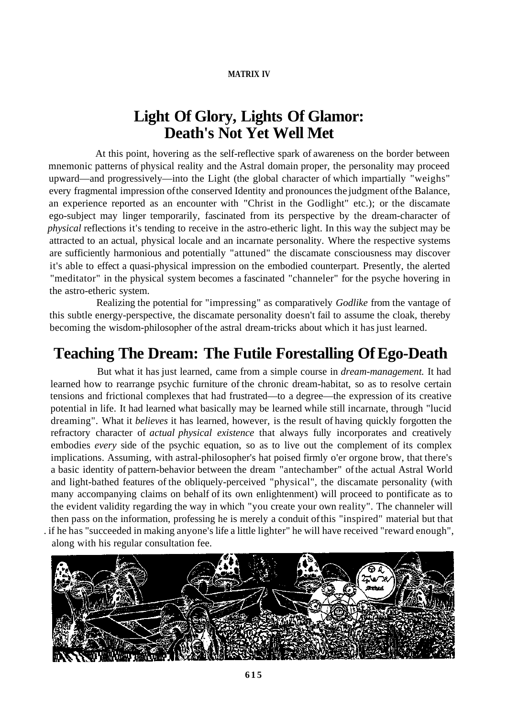### **Light Of Glory, Lights Of Glamor: Death's Not Yet Well Met**

At this point, hovering as the self-reflective spark of awareness on the border between mnemonic patterns of physical reality and the Astral domain proper, the personality may proceed upward—and progressively—into the Light (the global character of which impartially "weighs" every fragmental impression of the conserved Identity and pronounces the judgment of the Balance, an experience reported as an encounter with "Christ in the Godlight" etc.); or the discamate ego-subject may linger temporarily, fascinated from its perspective by the dream-character of *physical* reflections it's tending to receive in the astro-etheric light. In this way the subject may be attracted to an actual, physical locale and an incarnate personality. Where the respective systems are sufficiently harmonious and potentially "attuned" the discamate consciousness may discover it's able to effect a quasi-physical impression on the embodied counterpart. Presently, the alerted "meditator" in the physical system becomes a fascinated "channeler" for the psyche hovering in the astro-etheric system.

Realizing the potential for "impressing" as comparatively *Godlike* from the vantage of this subtle energy-perspective, the discamate personality doesn't fail to assume the cloak, thereby becoming the wisdom-philosopher of the astral dream-tricks about which it has just learned.

### **Teaching The Dream: The Futile Forestalling Of Ego-Death**

But what it has just learned, came from a simple course in *dream-management.* It had learned how to rearrange psychic furniture of the chronic dream-habitat, so as to resolve certain tensions and frictional complexes that had frustrated—to a degree—the expression of its creative potential in life. It had learned what basically may be learned while still incarnate, through "lucid dreaming". What it *believes* it has learned, however, is the result of having quickly forgotten the refractory character of *actual physical existence* that always fully incorporates and creatively embodies *every* side of the psychic equation, so as to live out the complement of its complex implications. Assuming, with astral-philosopher's hat poised firmly o'er orgone brow, that there's a basic identity of pattern-behavior between the dream "antechamber" of the actual Astral World and light-bathed features of the obliquely-perceived "physical", the discamate personality (with many accompanying claims on behalf of its own enlightenment) will proceed to pontificate as to the evident validity regarding the way in which "you create your own reality". The channeler will then pass on the information, professing he is merely a conduit of this "inspired" material but that . if he has "succeeded in making anyone's life a little lighter" he will have received "reward enough", along with his regular consultation fee.

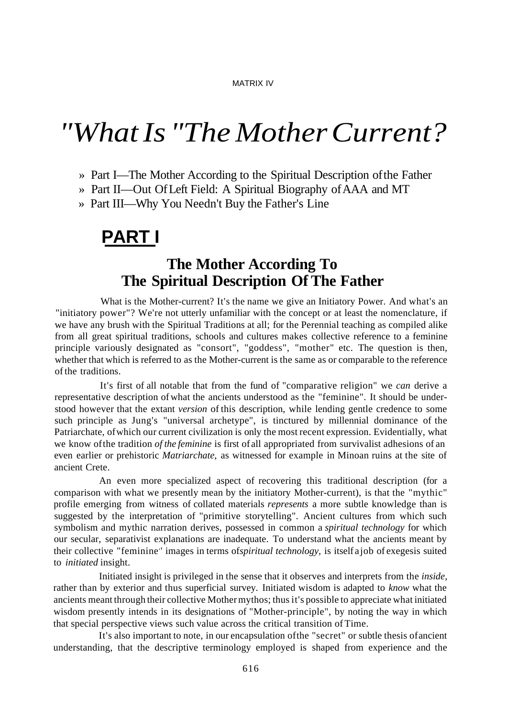# *"What Is "The Mother Current?*

- » Part I—The Mother According to the Spiritual Description of the Father
- » Part II—Out Of Left Field: A Spiritual Biography of AAA and MT
- » Part III—Why You Needn't Buy the Father's Line

# **PART I**

### **The Mother According To The Spiritual Description Of The Father**

What is the Mother-current? It's the name we give an Initiatory Power. And what's an "initiatory power"? We're not utterly unfamiliar with the concept or at least the nomenclature, if we have any brush with the Spiritual Traditions at all; for the Perennial teaching as compiled alike from all great spiritual traditions, schools and cultures makes collective reference to a feminine principle variously designated as "consort", "goddess", "mother" etc. The question is then, whether that which is referred to as the Mother-current is the same as or comparable to the reference of the traditions.

It's first of all notable that from the fund of "comparative religion" we *can* derive a representative description of what the ancients understood as the "feminine". It should be understood however that the extant *version* of this description, while lending gentle credence to some such principle as Jung's "universal archetype", is tinctured by millennial dominance of the Patriarchate, of which our current civilization is only the most recent expression. Evidentially, what we know ofthe tradition *of the feminine* is first ofall appropriated from survivalist adhesions of an even earlier or prehistoric *Matriarchate,* as witnessed for example in Minoan ruins at the site of ancient Crete.

An even more specialized aspect of recovering this traditional description (for a comparison with what we presently mean by the initiatory Mother-current), is that the "mythic" profile emerging from witness of collated materials *represents* a more subtle knowledge than is suggested by the interpretation of "primitive storytelling". Ancient cultures from which such symbolism and mythic narration derives, possessed in common a *spiritual technology* for which our secular, separativist explanations are inadequate. To understand what the ancients meant by their collective "feminine" images in terms of *spiritual technology*, is itself a job of exegesis suited to *initiated* insight.

Initiated insight is privileged in the sense that it observes and interprets from the *inside,* rather than by exterior and thus superficial survey. Initiated wisdom is adapted to *know* what the ancients meant through their collective Mother mythos; thus it's possible to appreciate what initiated wisdom presently intends in its designations of "Mother-principle", by noting the way in which that special perspective views such value across the critical transition of Time.

It's also important to note, in our encapsulation of the "secret" or subtle thesis of ancient understanding, that the descriptive terminology employed is shaped from experience and the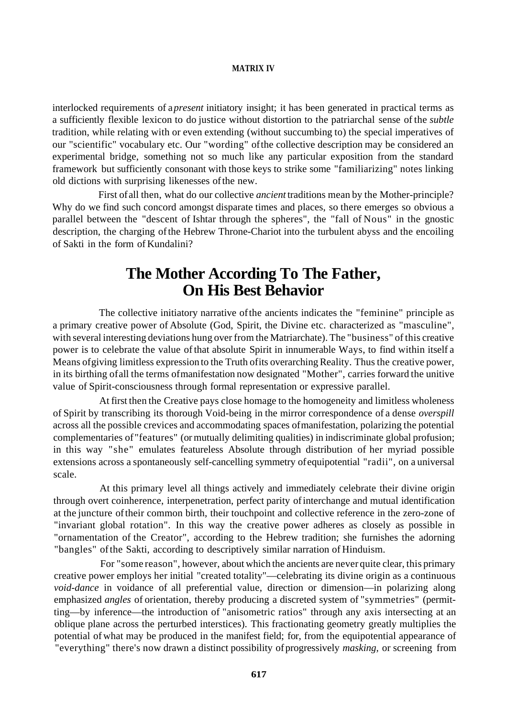interlocked requirements of a *present* initiatory insight; it has been generated in practical terms as a sufficiently flexible lexicon to do justice without distortion to the patriarchal sense of the *subtle* tradition, while relating with or even extending (without succumbing to) the special imperatives of our "scientific" vocabulary etc. Our "wording" of the collective description may be considered an experimental bridge, something not so much like any particular exposition from the standard framework but sufficiently consonant with those keys to strike some "familiarizing" notes linking old dictions with surprising likenesses of the new.

First of all then, what do our collective *ancient* traditions mean by the Mother-principle? Why do we find such concord amongst disparate times and places, so there emerges so obvious a parallel between the "descent of Ishtar through the spheres", the "fall of Nous" in the gnostic description, the charging of the Hebrew Throne-Chariot into the turbulent abyss and the encoiling of Sakti in the form of Kundalini?

### **The Mother According To The Father, On His Best Behavior**

The collective initiatory narrative of the ancients indicates the "feminine" principle as a primary creative power of Absolute (God, Spirit, the Divine etc. characterized as "masculine", with several interesting deviations hung over from the Matriarchate). The "business" of this creative power is to celebrate the value of that absolute Spirit in innumerable Ways, to find within itself a Means of giving limitless expression to the Truth of its overarching Reality. Thus the creative power, in its birthing of all the terms of manifestation now designated "Mother", carries forward the unitive value of Spirit-consciousness through formal representation or expressive parallel.

At first then the Creative pays close homage to the homogeneity and limitless wholeness of Spirit by transcribing its thorough Void-being in the mirror correspondence of a dense *overspill* across all the possible crevices and accommodating spaces of manifestation, polarizing the potential complementaries of "features" (or mutually delimiting qualities) in indiscriminate global profusion; in this way "she" emulates featureless Absolute through distribution of her myriad possible extensions across a spontaneously self-cancelling symmetry of equipotential "radii", on a universal scale.

At this primary level all things actively and immediately celebrate their divine origin through overt coinherence, interpenetration, perfect parity of interchange and mutual identification at the juncture of their common birth, their touchpoint and collective reference in the zero-zone of "invariant global rotation". In this way the creative power adheres as closely as possible in "ornamentation of the Creator", according to the Hebrew tradition; she furnishes the adorning "bangles" of the Sakti, according to descriptively similar narration of Hinduism.

For "some reason", however, about which the ancients are never quite clear, this primary creative power employs her initial "created totality"—celebrating its divine origin as a continuous *void-dance* in voidance of all preferential value, direction or dimension—in polarizing along emphasized *angles* of orientation, thereby producing a discreted system of "symmetries" (permitting—by inference—the introduction of "anisometric ratios" through any axis intersecting at an oblique plane across the perturbed interstices). This fractionating geometry greatly multiplies the potential of what may be produced in the manifest field; for, from the equipotential appearance of "everything" there's now drawn a distinct possibility of progressively *masking,* or screening from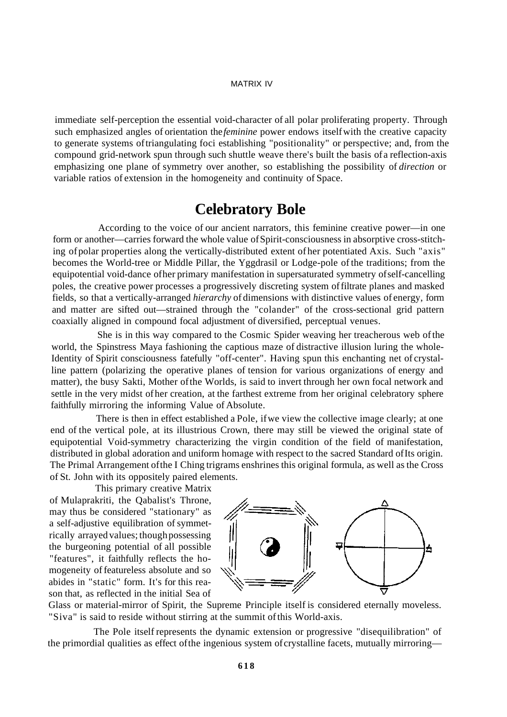immediate self-perception the essential void-character of all polar proliferating property. Through such emphasized angles of orientation the *feminine* power endows itselfwith the creative capacity to generate systems oftriangulating foci establishing "positionality" or perspective; and, from the compound grid-network spun through such shuttle weave there's built the basis of a reflection-axis emphasizing one plane of symmetry over another, so establishing the possibility of *direction* or variable ratios of extension in the homogeneity and continuity of Space.

#### **Celebratory Bole**

According to the voice of our ancient narrators, this feminine creative power—in one form or another—carries forward the whole value of Spirit-consciousness in absorptive cross-stitching of polar properties along the vertically-distributed extent of her potentiated Axis. Such "axis" becomes the World-tree or Middle Pillar, the Yggdrasil or Lodge-pole of the traditions; from the equipotential void-dance of her primary manifestation in supersaturated symmetry ofself-cancelling poles, the creative power processes a progressively discreting system of filtrate planes and masked fields, so that a vertically-arranged *hierarchy* of dimensions with distinctive values of energy, form and matter are sifted out—strained through the "colander" of the cross-sectional grid pattern coaxially aligned in compound focal adjustment of diversified, perceptual venues.

She is in this way compared to the Cosmic Spider weaving her treacherous web of the world, the Spinstress Maya fashioning the captious maze of distractive illusion luring the whole-Identity of Spirit consciousness fatefully "off-center". Having spun this enchanting net of crystalline pattern (polarizing the operative planes of tension for various organizations of energy and matter), the busy Sakti, Mother of the Worlds, is said to invert through her own focal network and settle in the very midst of her creation, at the farthest extreme from her original celebratory sphere faithfully mirroring the informing Value of Absolute.

There is then in effect established a Pole, if we view the collective image clearly; at one end of the vertical pole, at its illustrious Crown, there may still be viewed the original state of equipotential Void-symmetry characterizing the virgin condition of the field of manifestation, distributed in global adoration and uniform homage with respect to the sacred Standard of Its origin. The Primal Arrangement of the I Ching trigrams enshrines this original formula, as well as the Cross of St. John with its oppositely paired elements.

This primary creative Matrix of Mulaprakriti, the Qabalist's Throne, may thus be considered "stationary" as a self-adjustive equilibration of symmetrically arrayed values; though possessing the burgeoning potential of all possible "features", it faithfully reflects the homogeneity of featureless absolute and so abides in "static" form. It's for this reason that, as reflected in the initial Sea of



Glass or material-mirror of Spirit, the Supreme Principle itself is considered eternally moveless. "Siva" is said to reside without stirring at the summit of this World-axis.

The Pole itself represents the dynamic extension or progressive "disequilibration" of the primordial qualities as effect of the ingenious system of crystalline facets, mutually mirroring—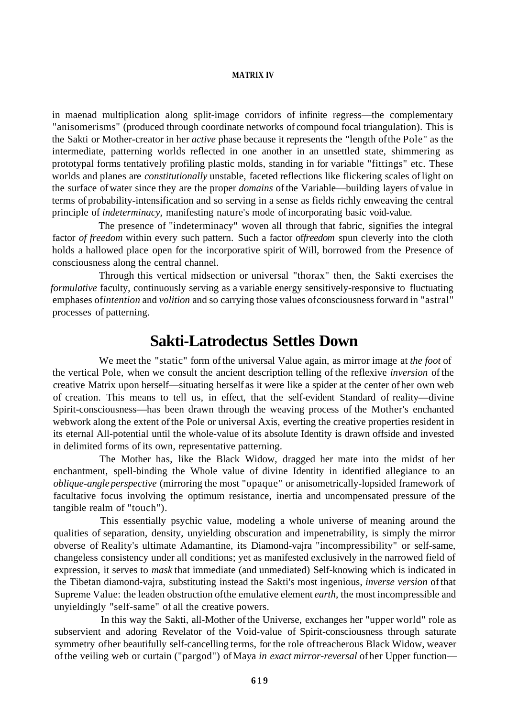in maenad multiplication along split-image corridors of infinite regress—the complementary "anisomerisms" (produced through coordinate networks of compound focal triangulation). This is the Sakti or Mother-creator in her *active* phase because it represents the "length of the Pole" as the intermediate, patterning worlds reflected in one another in an unsettled state, shimmering as prototypal forms tentatively profiling plastic molds, standing in for variable "fittings" etc. These worlds and planes are *constitutionally* unstable, faceted reflections like flickering scales of light on the surface of water since they are the proper *domains* of the Variable—building layers of value in terms of probability-intensification and so serving in a sense as fields richly enweaving the central principle of *indeterminacy,* manifesting nature's mode ofincorporating basic void-value.

The presence of "indeterminacy" woven all through that fabric, signifies the integral factor *of freedom* within every such pattern. Such a factor of*freedom* spun cleverly into the cloth holds a hallowed place open for the incorporative spirit of Will, borrowed from the Presence of consciousness along the central channel.

Through this vertical midsection or universal "thorax" then, the Sakti exercises the *formulative* faculty, continuously serving as a variable energy sensitively-responsive to fluctuating emphases of*intention* and *volition* and so carrying those values of consciousness forward in "astral" processes of patterning.

#### **Sakti-Latrodectus Settles Down**

We meet the "static" form of the universal Value again, as mirror image at *the foot* of the vertical Pole, when we consult the ancient description telling of the reflexive *inversion* of the creative Matrix upon herself—situating herself as it were like a spider at the center of her own web of creation. This means to tell us, in effect, that the self-evident Standard of reality—divine Spirit-consciousness—has been drawn through the weaving process of the Mother's enchanted webwork along the extent of the Pole or universal Axis, everting the creative properties resident in its eternal All-potential until the whole-value of its absolute Identity is drawn offside and invested in delimited forms of its own, representative patterning.

The Mother has, like the Black Widow, dragged her mate into the midst of her enchantment, spell-binding the Whole value of divine Identity in identified allegiance to an *oblique-angle perspective* (mirroring the most "opaque" or anisometrically-lopsided framework of facultative focus involving the optimum resistance, inertia and uncompensated pressure of the tangible realm of "touch").

This essentially psychic value, modeling a whole universe of meaning around the qualities of separation, density, unyielding obscuration and impenetrability, is simply the mirror obverse of Reality's ultimate Adamantine, its Diamond-vajra "incompressibility" or self-same, changeless consistency under all conditions; yet as manifested exclusively in the narrowed field of expression, it serves to *mask* that immediate (and unmediated) Self-knowing which is indicated in the Tibetan diamond-vajra, substituting instead the Sakti's most ingenious, *inverse version* of that Supreme Value: the leaden obstruction of the emulative element *earth*, the most incompressible and unyieldingly "self-same" of all the creative powers.

In this way the Sakti, all-Mother of the Universe, exchanges her "upper world" role as subservient and adoring Revelator of the Void-value of Spirit-consciousness through saturate symmetry of her beautifully self-cancelling terms, for the role of treacherous Black Widow, weaver of the veiling web or curtain ("pargod") of Maya *in exact mirror-reversal* of her Upper function—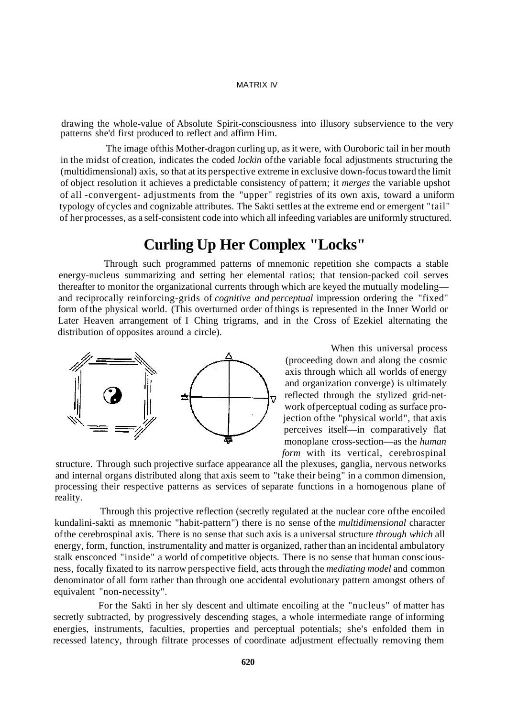drawing the whole-value of Absolute Spirit-consciousness into illusory subservience to the very patterns she'd first produced to reflect and affirm Him.

The image ofthis Mother-dragon curling up, as it were, with Ouroboric tail in her mouth in the midst of creation, indicates the coded *lockin* ofthe variable focal adjustments structuring the (multidimensional) axis, so that at its perspective extreme in exclusive down-focustoward the limit of object resolution it achieves a predictable consistency of pattern; it *merges* the variable upshot of all -convergent- adjustments from the "upper" registries of its own axis, toward a uniform typology ofcycles and cognizable attributes. The Sakti settles at the extreme end or emergent "tail" of her processes, as a self-consistent code into which all infeeding variables are uniformly structured.

### **Curling Up Her Complex "Locks"**

Through such programmed patterns of mnemonic repetition she compacts a stable energy-nucleus summarizing and setting her elemental ratios; that tension-packed coil serves thereafter to monitor the organizational currents through which are keyed the mutually modeling and reciprocally reinforcing-grids of *cognitive and perceptual* impression ordering the "fixed" form of the physical world. (This overturned order of things is represented in the Inner World or Later Heaven arrangement of I Ching trigrams, and in the Cross of Ezekiel alternating the distribution of opposites around a circle).



When this universal process (proceeding down and along the cosmic axis through which all worlds of energy and organization converge) is ultimately reflected through the stylized grid-network ofperceptual coding as surface projection ofthe "physical world", that axis perceives itself—in comparatively flat monoplane cross-section—as the *human form* with its vertical, cerebrospinal

structure. Through such projective surface appearance all the plexuses, ganglia, nervous networks and internal organs distributed along that axis seem to "take their being" in a common dimension, processing their respective patterns as services of separate functions in a homogenous plane of reality.

Through this projective reflection (secretly regulated at the nuclear core ofthe encoiled kundalini-sakti as mnemonic "habit-pattern") there is no sense of the *multidimensional* character of the cerebrospinal axis. There is no sense that such axis is a universal structure *through which* all energy, form, function, instrumentality and matter is organized, rather than an incidental ambulatory stalk ensconced "inside" a world of competitive objects. There is no sense that human consciousness, focally fixated to its narrow perspective field, acts through the *mediating model* and common denominator of all form rather than through one accidental evolutionary pattern amongst others of equivalent "non-necessity".

For the Sakti in her sly descent and ultimate encoiling at the "nucleus" of matter has secretly subtracted, by progressively descending stages, a whole intermediate range of informing energies, instruments, faculties, properties and perceptual potentials; she's enfolded them in recessed latency, through filtrate processes of coordinate adjustment effectually removing them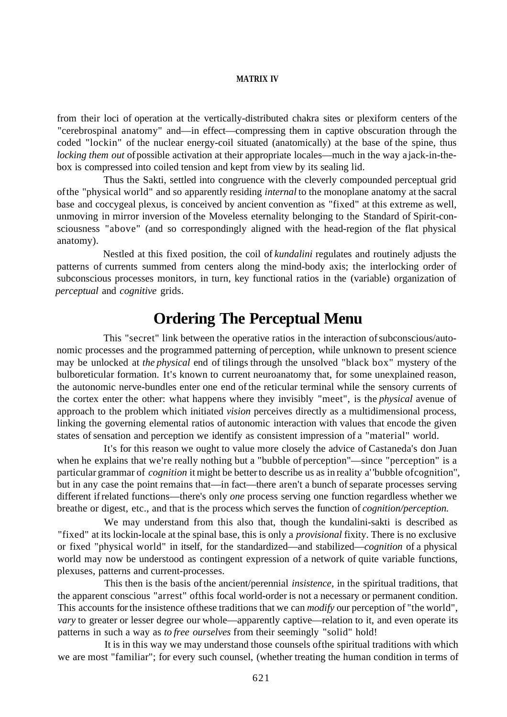from their loci of operation at the vertically-distributed chakra sites or plexiform centers of the "cerebrospinal anatomy" and—in effect—compressing them in captive obscuration through the coded "lockin" of the nuclear energy-coil situated (anatomically) at the base of the spine, thus *locking them out* of possible activation at their appropriate locales—much in the way a jack-in-thebox is compressed into coiled tension and kept from view by its sealing lid.

Thus the Sakti, settled into congruence with the cleverly compounded perceptual grid of the "physical world" and so apparently residing *internal* to the monoplane anatomy at the sacral base and coccygeal plexus, is conceived by ancient convention as "fixed" at this extreme as well, unmoving in mirror inversion of the Moveless eternality belonging to the Standard of Spirit-consciousness "above" (and so correspondingly aligned with the head-region of the flat physical anatomy).

Nestled at this fixed position, the coil of *kundalini* regulates and routinely adjusts the patterns of currents summed from centers along the mind-body axis; the interlocking order of subconscious processes monitors, in turn, key functional ratios in the (variable) organization of *perceptual* and *cognitive* grids.

### **Ordering The Perceptual Menu**

This "secret" link between the operative ratios in the interaction of subconscious/autonomic processes and the programmed patterning of perception, while unknown to present science may be unlocked at *the physical* end of tilings through the unsolved "black box" mystery of the bulboreticular formation. It's known to current neuroanatomy that, for some unexplained reason, the autonomic nerve-bundles enter one end of the reticular terminal while the sensory currents of the cortex enter the other: what happens where they invisibly "meet", is the *physical* avenue of approach to the problem which initiated *vision* perceives directly as a multidimensional process, linking the governing elemental ratios of autonomic interaction with values that encode the given states of sensation and perception we identify as consistent impression of a "material" world.

It's for this reason we ought to value more closely the advice of Castaneda's don Juan when he explains that we're really nothing but a "bubble of perception"—since "perception" is a particular grammar of *cognition* it might be better to describe us as in reality a' 'bubble ofcognition'', but in any case the point remains that—in fact—there aren't a bunch of separate processes serving different if related functions—there's only *one* process serving one function regardless whether we breathe or digest, etc., and that is the process which serves the function of *cognition/perception.*

We may understand from this also that, though the kundalini-sakti is described as "fixed" at its lockin-locale at the spinal base, this is only a *provisional* fixity. There is no exclusive or fixed "physical world" in itself, for the standardized—and stabilized—*cognition* of a physical world may now be understood as contingent expression of a network of quite variable functions, plexuses, patterns and current-processes.

This then is the basis of the ancient/perennial *insistence,* in the spiritual traditions, that the apparent conscious "arrest" ofthis focal world-order is not a necessary or permanent condition. This accounts for the insistence of these traditions that we can *modify* our perception of "the world", *vary* to greater or lesser degree our whole—apparently captive—relation to it, and even operate its patterns in such a way as *to free ourselves* from their seemingly "solid" hold!

It is in this way we may understand those counsels of the spiritual traditions with which we are most "familiar"; for every such counsel, (whether treating the human condition in terms of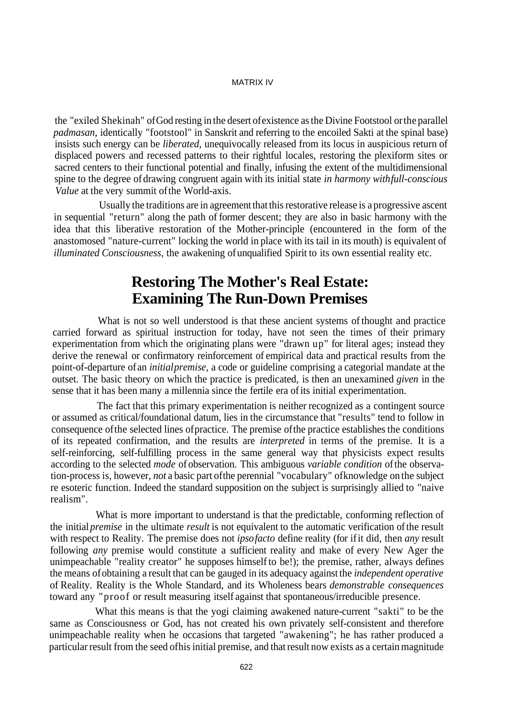the "exiled Shekinah" of God resting in the desert of existence as the Divine Footstool or the parallel *padmasan,* identically "footstool" in Sanskrit and referring to the encoiled Sakti at the spinal base) insists such energy can be *liberated,* unequivocally released from its locus in auspicious return of displaced powers and recessed patterns to their rightful locales, restoring the plexiform sites or sacred centers to their functional potential and finally, infusing the extent of the multidimensional spine to the degree of drawing congruent again with its initial state *in harmony with full-conscious Value* at the very summit of the World-axis.

Usually the traditions are in agreement that this restorative release is a progressive ascent in sequential "return" along the path of former descent; they are also in basic harmony with the idea that this liberative restoration of the Mother-principle (encountered in the form of the anastomosed "nature-current" locking the world in place with its tail in its mouth) is equivalent of *illuminated Consciousness,* the awakening of unqualified Spirit to its own essential reality etc.

### **Restoring The Mother's Real Estate: Examining The Run-Down Premises**

What is not so well understood is that these ancient systems of thought and practice carried forward as spiritual instruction for today, have not seen the times of their primary experimentation from which the originating plans were "drawn up" for literal ages; instead they derive the renewal or confirmatory reinforcement of empirical data and practical results from the point-of-departure of an *initial premise,* a code or guideline comprising a categorial mandate at the outset. The basic theory on which the practice is predicated, is then an unexamined *given* in the sense that it has been many a millennia since the fertile era of its initial experimentation.

The fact that this primary experimentation is neither recognized as a contingent source or assumed as critical/foundational datum, lies in the circumstance that "results" tend to follow in consequence of the selected lines of practice. The premise of the practice establishes the conditions of its repeated confirmation, and the results are *interpreted* in terms of the premise. It is a self-reinforcing, self-fulfilling process in the same general way that physicists expect results according to the selected *mode* of observation. This ambiguous *variable condition* of the observation-process is, however, *not* a basic part of the perennial "vocabulary" of knowledge on the subject re esoteric function. Indeed the standard supposition on the subject is surprisingly allied to "naive realism".

What is more important to understand is that the predictable, conforming reflection of the initial *premise* in the ultimate *result* is not equivalent to the automatic verification of the result with respect to Reality. The premise does not *ipso facto* define reality (for if it did, then *any* result following *any* premise would constitute a sufficient reality and make of every New Ager the unimpeachable "reality creator" he supposes himself to be!); the premise, rather, always defines the means of obtaining a result that can be gauged in its adequacy against the *independent operative* of Reality. Reality is the Whole Standard, and its Wholeness bears *demonstrable consequences* toward any "proof or result measuring itself against that spontaneous/irreducible presence.

What this means is that the yogi claiming awakened nature-current "sakti" to be the same as Consciousness or God, has not created his own privately self-consistent and therefore unimpeachable reality when he occasions that targeted "awakening"; he has rather produced a particular result from the seed of his initial premise, and that result now exists as a certain magnitude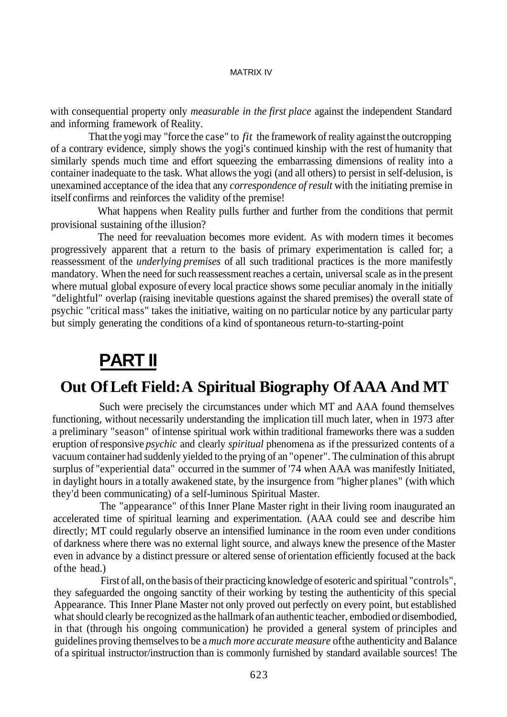with consequential property only *measurable in the first place* against the independent Standard and informing framework of Reality.

Thatthe yogi may "force the case" to *fit* the framework of reality againstthe outcropping of a contrary evidence, simply shows the yogi's continued kinship with the rest of humanity that similarly spends much time and effort squeezing the embarrassing dimensions of reality into a container inadequate to the task. What allows the yogi (and all others) to persist in self-delusion, is unexamined acceptance of the idea that any *correspondence of result* with the initiating premise in itself confirms and reinforces the validity of the premise!

What happens when Reality pulls further and further from the conditions that permit provisional sustaining of the illusion?

The need for reevaluation becomes more evident. As with modern times it becomes progressively apparent that a return to the basis of primary experimentation is called for; a reassessment of the *underlying premises* of all such traditional practices is the more manifestly mandatory. When the need for such reassessment reaches a certain, universal scale as in the present where mutual global exposure of every local practice shows some peculiar anomaly in the initially "delightful" overlap (raising inevitable questions against the shared premises) the overall state of psychic "critical mass" takes the initiative, waiting on no particular notice by any particular party but simply generating the conditions of a kind of spontaneous return-to-starting-point

# **PART II**

### **Out Of Left Field: A Spiritual Biography Of AAA And MT**

Such were precisely the circumstances under which MT and AAA found themselves functioning, without necessarily understanding the implication till much later, when in 1973 after a preliminary "season" of intense spiritual work within traditional frameworks there was a sudden eruption of responsive *psychic* and clearly *spiritual* phenomena as if the pressurized contents of a vacuum container had suddenly yielded to the prying of an "opener". The culmination of this abrupt surplus of "experiential data" occurred in the summer of '74 when AAA was manifestly Initiated, in daylight hours in a totally awakened state, by the insurgence from "higher planes" (with which they'd been communicating) of a self-luminous Spiritual Master.

The "appearance" of this Inner Plane Master right in their living room inaugurated an accelerated time of spiritual learning and experimentation. (AAA could see and describe him directly; MT could regularly observe an intensified luminance in the room even under conditions of darkness where there was no external light source, and always knew the presence of the Master even in advance by a distinct pressure or altered sense of orientation efficiently focused at the back of the head.)

First of all, on the basis of their practicing knowledge of esoteric and spiritual "controls", they safeguarded the ongoing sanctity of their working by testing the authenticity of this special Appearance. This Inner Plane Master not only proved out perfectly on every point, but established what should clearly be recognized as the hallmark of an authentic teacher, embodied or disembodied, in that (through his ongoing communication) he provided a general system of principles and guidelines proving themselves to be a *much more accurate measure* of the authenticity and Balance of a spiritual instructor/instruction than is commonly furnished by standard available sources! The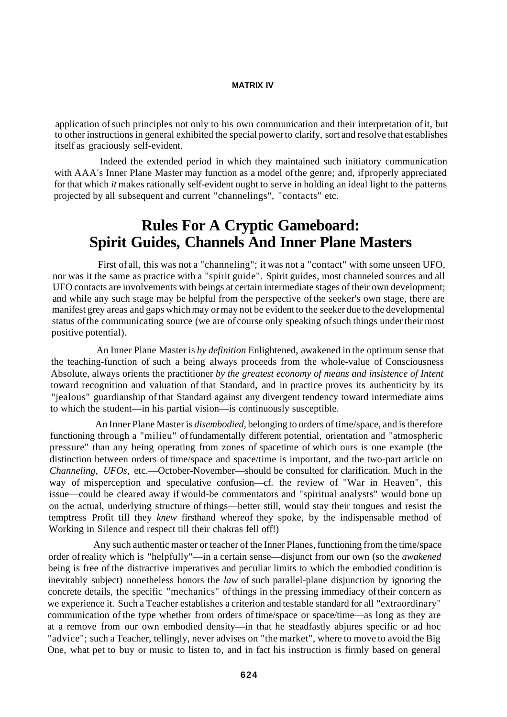application of such principles not only to his own communication and their interpretation of it, but to other instructions in general exhibited the special power to clarify, sort and resolve that establishes itself as graciously self-evident.

Indeed the extended period in which they maintained such initiatory communication with AAA's Inner Plane Master may function as a model of the genre; and, if properly appreciated for that which *it* makes rationally self-evident ought to serve in holding an ideal light to the patterns projected by all subsequent and current "channelings", "contacts" etc.

### **Rules For A Cryptic Gameboard: Spirit Guides, Channels And Inner Plane Masters**

First of all, this was not a "channeling"; it was not a "contact" with some unseen UFO, nor was it the same as practice with a "spirit guide". Spirit guides, most channeled sources and all UFO contacts are involvements with beings at certain intermediate stages of their own development; and while any such stage may be helpful from the perspective of the seeker's own stage, there are manifest grey areas and gaps which may or may not be evident to the seeker due to the developmental status of the communicating source (we are of course only speaking of such things under their most positive potential).

An Inner Plane Master is *by definition* Enlightened, awakened in the optimum sense that the teaching-function of such a being always proceeds from the whole-value of Consciousness Absolute, always orients the practitioner *by the greatest economy of means and insistence of Intent* toward recognition and valuation of that Standard, and in practice proves its authenticity by its "jealous" guardianship of that Standard against any divergent tendency toward intermediate aims to which the student—in his partial vision—is continuously susceptible.

An Inner Plane Master is *disembodied,* belonging to orders of time/space, and is therefore functioning through a "milieu" of fundamentally different potential, orientation and "atmospheric pressure" than any being operating from zones of spacetime of which ours is one example (the distinction between orders of time/space and space/time is important, and the two-part article on *Channeling, UFOs,* etc.—October-November—should be consulted for clarification. Much in the way of misperception and speculative confusion—cf. the review of "War in Heaven", this issue—could be cleared away if would-be commentators and "spiritual analysts" would bone up on the actual, underlying structure of things—better still, would stay their tongues and resist the temptress Profit till they *knew* firsthand whereof they spoke, by the indispensable method of Working in Silence and respect till their chakras fell off!)

Any such authentic master or teacher of the Inner Planes, functioning from the time/space order of reality which is "helpfully"—in a certain sense—disjunct from our own (so the *awakened* being is free of the distractive imperatives and peculiar limits to which the embodied condition is inevitably subject) nonetheless honors the *law* of such parallel-plane disjunction by ignoring the concrete details, the specific "mechanics" of things in the pressing immediacy of their concern as we experience it. Such a Teacher establishes a criterion and testable standard for all "extraordinary" communication of the type whether from orders of time/space or space/time—as long as they are at a remove from our own embodied density—in that he steadfastly abjures specific or ad hoc "advice"; such a Teacher, tellingly, never advises on "the market", where to move to avoid the Big One, what pet to buy or music to listen to, and in fact his instruction is firmly based on general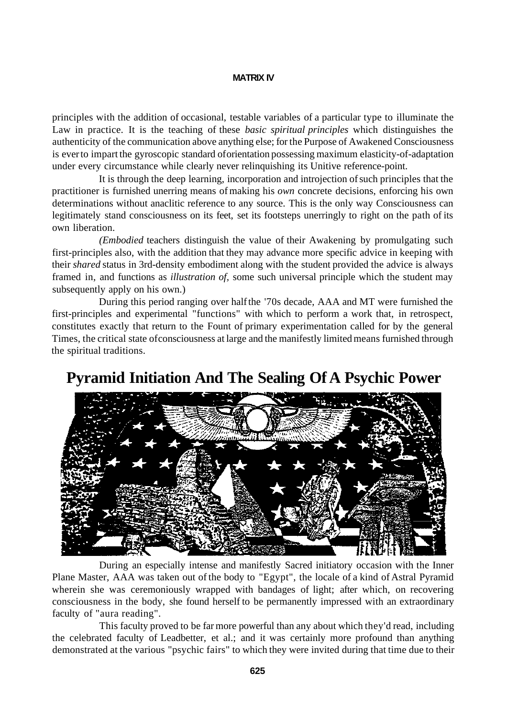principles with the addition of occasional, testable variables of a particular type to illuminate the Law in practice. It is the teaching of these *basic spiritual principles* which distinguishes the authenticity of the communication above anything else; for the Purpose of Awakened Consciousness is ever to impart the gyroscopic standard of orientation possessing maximum elasticity-of-adaptation under every circumstance while clearly never relinquishing its Unitive reference-point.

It is through the deep learning, incorporation and introjection of such principles that the practitioner is furnished unerring means of making his *own* concrete decisions, enforcing his own determinations without anaclitic reference to any source. This is the only way Consciousness can legitimately stand consciousness on its feet, set its footsteps unerringly to right on the path of its own liberation.

*(Embodied* teachers distinguish the value of their Awakening by promulgating such first-principles also, with the addition that they may advance more specific advice in keeping with their *shared* status in 3rd-density embodiment along with the student provided the advice is always framed in, and functions as *illustration of,* some such universal principle which the student may subsequently apply on his own.)

During this period ranging over half the '70s decade, AAA and MT were furnished the first-principles and experimental "functions" with which to perform a work that, in retrospect, constitutes exactly that return to the Fount of primary experimentation called for by the general Times, the critical state of consciousness at large and the manifestly limited means furnished through the spiritual traditions.

### **Pyramid Initiation And The Sealing Of A Psychic Power**



During an especially intense and manifestly Sacred initiatory occasion with the Inner Plane Master, AAA was taken out of the body to "Egypt", the locale of a kind of Astral Pyramid wherein she was ceremoniously wrapped with bandages of light; after which, on recovering consciousness in the body, she found herself to be permanently impressed with an extraordinary faculty of "aura reading".

This faculty proved to be far more powerful than any about which they'd read, including the celebrated faculty of Leadbetter, et al.; and it was certainly more profound than anything demonstrated at the various "psychic fairs" to which they were invited during that time due to their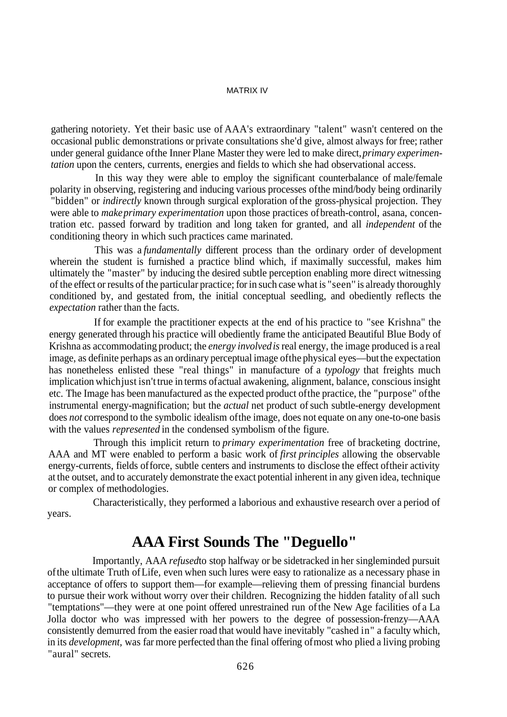gathering notoriety. Yet their basic use of AAA's extraordinary "talent" wasn't centered on the occasional public demonstrations or private consultations she'd give, almost always for free; rather under general guidance of the Inner Plane Master they were led to make direct, *primary experimentation* upon the centers, currents, energies and fields to which she had observational access.

In this way they were able to employ the significant counterbalance of male/female polarity in observing, registering and inducing various processes of the mind/body being ordinarily "bidden" or *indirectly* known through surgical exploration of the gross-physical projection. They were able to *make primary experimentation* upon those practices of breath-control, asana, concentration etc. passed forward by tradition and long taken for granted, and all *independent* of the conditioning theory in which such practices came marinated.

This was a *fundamentally* different process than the ordinary order of development wherein the student is furnished a practice blind which, if maximally successful, makes him ultimately the "master" by inducing the desired subtle perception enabling more direct witnessing of the effect or results of the particular practice; for in such case what is "seen'' is already thoroughly conditioned by, and gestated from, the initial conceptual seedling, and obediently reflects the *expectation* rather than the facts.

If for example the practitioner expects at the end of his practice to "see Krishna" the energy generated through his practice will obediently frame the anticipated Beautiful Blue Body of Krishna as accommodating product; the *energy involved is* real energy, the image produced is a real image, as definite perhaps as an ordinary perceptual image of the physical eyes—but the expectation has nonetheless enlisted these "real things" in manufacture of a *typology* that freights much implication which just isn't true in terms of actual awakening, alignment, balance, conscious insight etc. The Image has been manufactured as the expected product of the practice, the "purpose" of the instrumental energy-magnification; but the *actual* net product of such subtle-energy development does *not* correspond to the symbolic idealism of the image, does not equate on any one-to-one basis with the values *represented* in the condensed symbolism of the figure.

Through this implicit return to *primary experimentation* free of bracketing doctrine, AAA and MT were enabled to perform a basic work of *first principles* allowing the observable energy-currents, fields of force, subtle centers and instruments to disclose the effect of their activity at the outset, and to accurately demonstrate the exact potential inherent in any given idea, technique or complex of methodologies.

Characteristically, they performed a laborious and exhaustive research over a period of years.

### **AAA First Sounds The "Deguello"**

Importantly, AAA *refused*to stop halfway or be sidetracked in her singleminded pursuit of the ultimate Truth of Life, even when such lures were easy to rationalize as a necessary phase in acceptance of offers to support them—for example—relieving them of pressing financial burdens to pursue their work without worry over their children. Recognizing the hidden fatality of all such "temptations"—they were at one point offered unrestrained run of the New Age facilities of a La Jolla doctor who was impressed with her powers to the degree of possession-frenzy—AAA consistently demurred from the easier road that would have inevitably "cashed in" a faculty which, in its *development,* was far more perfected than the final offering of most who plied a living probing "aural" secrets.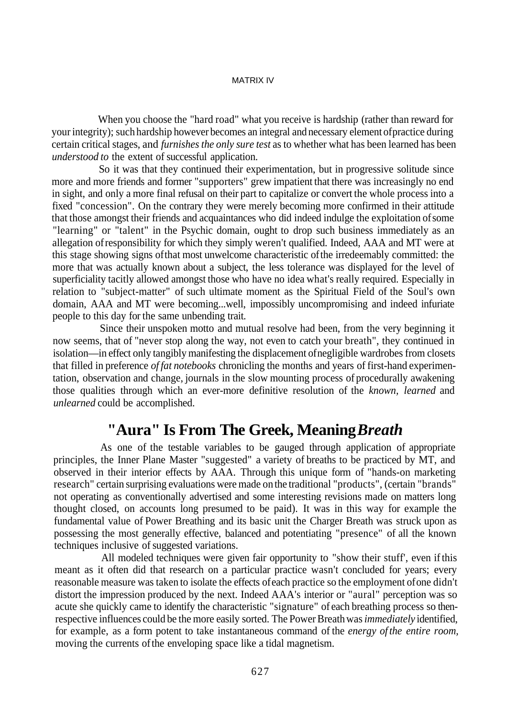When you choose the "hard road" what you receive is hardship (rather than reward for your integrity); such hardship however becomes an integral and necessary element of practice during certain critical stages, and *furnishes the only sure test* as to whether what has been learned has been *understood to* the extent of successful application.

So it was that they continued their experimentation, but in progressive solitude since more and more friends and former "supporters" grew impatient that there was increasingly no end in sight, and only a more final refusal on their part to capitalize or convert the whole process into a fixed "concession". On the contrary they were merely becoming more confirmed in their attitude that those amongst their friends and acquaintances who did indeed indulge the exploitation of some "learning" or "talent" in the Psychic domain, ought to drop such business immediately as an allegation of responsibility for which they simply weren't qualified. Indeed, AAA and MT were at this stage showing signs of that most unwelcome characteristic of the irredeemably committed: the more that was actually known about a subject, the less tolerance was displayed for the level of superficiality tacitly allowed amongst those who have no idea what's really required. Especially in relation to "subject-matter" of such ultimate moment as the Spiritual Field of the Soul's own domain, AAA and MT were becoming...well, impossibly uncompromising and indeed infuriate people to this day for the same unbending trait.

Since their unspoken motto and mutual resolve had been, from the very beginning it now seems, that of "never stop along the way, not even to catch your breath", they continued in isolation—in effect only tangibly manifesting the displacement of negligible wardrobes from closets that filled in preference *of fat notebooks* chronicling the months and years of first-hand experimentation, observation and change, journals in the slow mounting process of procedurally awakening those qualities through which an ever-more definitive resolution of the *known, learned* and *unlearned* could be accomplished.

### **"Aura" Is From The Greek, Meaning** *Breath*

As one of the testable variables to be gauged through application of appropriate principles, the Inner Plane Master "suggested" a variety of breaths to be practiced by MT, and observed in their interior effects by AAA. Through this unique form of "hands-on marketing research" certain surprising evaluations were made on the traditional "products", (certain "brands" not operating as conventionally advertised and some interesting revisions made on matters long thought closed, on accounts long presumed to be paid). It was in this way for example the fundamental value of Power Breathing and its basic unit the Charger Breath was struck upon as possessing the most generally effective, balanced and potentiating "presence" of all the known techniques inclusive of suggested variations.

All modeled techniques were given fair opportunity to "show their stuff', even if this meant as it often did that research on a particular practice wasn't concluded for years; every reasonable measure was taken to isolate the effects of each practice so the employment of one didn't distort the impression produced by the next. Indeed AAA's interior or "aural" perception was so acute she quickly came to identify the characteristic "signature" of each breathing process so thenrespective influences could be the more easily sorted. The Power Breath was *immediately* identified, for example, as a form potent to take instantaneous command of the *energy of the entire room,* moving the currents of the enveloping space like a tidal magnetism.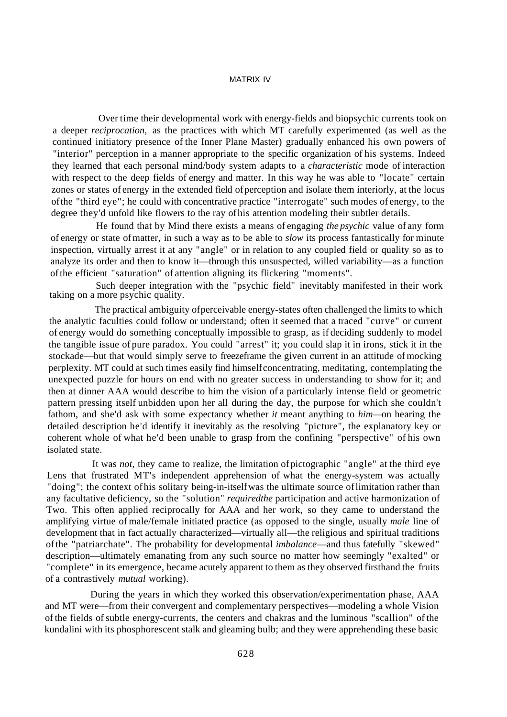Over time their developmental work with energy-fields and biopsychic currents took on a deeper *reciprocation,* as the practices with which MT carefully experimented (as well as the continued initiatory presence of the Inner Plane Master) gradually enhanced his own powers of "interior" perception in a manner appropriate to the specific organization of his systems. Indeed they learned that each personal mind/body system adapts to a *characteristic* mode of interaction with respect to the deep fields of energy and matter. In this way he was able to "locate" certain zones or states of energy in the extended field of perception and isolate them interiorly, at the locus of the "third eye"; he could with concentrative practice "interrogate" such modes of energy, to the degree they'd unfold like flowers to the ray of his attention modeling their subtler details.

He found that by Mind there exists a means of engaging *the psychic* value of any form of energy or state of matter, in such a way as to be able to *slow* its process fantastically for minute inspection, virtually arrest it at any "angle" or in relation to any coupled field or quality so as to analyze its order and then to know it—through this unsuspected, willed variability—as a function of the efficient "saturation" of attention aligning its flickering "moments".

Such deeper integration with the "psychic field" inevitably manifested in their work taking on a more psychic quality.

The practical ambiguity of perceivable energy-states often challenged the limits to which the analytic faculties could follow or understand; often it seemed that a traced "curve" or current of energy would do something conceptually impossible to grasp, as if deciding suddenly to model the tangible issue of pure paradox. You could "arrest" it; you could slap it in irons, stick it in the stockade—but that would simply serve to freezeframe the given current in an attitude of mocking perplexity. MT could at such times easily find himself concentrating, meditating, contemplating the unexpected puzzle for hours on end with no greater success in understanding to show for it; and then at dinner AAA would describe to him the vision of a particularly intense field or geometric pattern pressing itself unbidden upon her all during the day, the purpose for which she couldn't fathom, and she'd ask with some expectancy whether *it* meant anything to *him—*on hearing the detailed description he'd identify it inevitably as the resolving "picture", the explanatory key or coherent whole of what he'd been unable to grasp from the confining "perspective" of his own isolated state.

It was *not,* they came to realize, the limitation of pictographic "angle" at the third eye Lens that frustrated MT's independent apprehension of what the energy-system was actually "doing"; the context of his solitary being-in-itself was the ultimate source of limitation rather than any facultative deficiency, so the "solution" *requiredthe* participation and active harmonization of Two. This often applied reciprocally for AAA and her work, so they came to understand the amplifying virtue of male/female initiated practice (as opposed to the single, usually *male* line of development that in fact actually characterized—virtually all—the religious and spiritual traditions of the "patriarchate". The probability for developmental *imbalance*—and thus fatefully "skewed" description—ultimately emanating from any such source no matter how seemingly "exalted" or "complete" in its emergence, became acutely apparent to them as they observed firsthand the fruits of a contrastively *mutual* working).

During the years in which they worked this observation/experimentation phase, AAA and MT were—from their convergent and complementary perspectives—modeling a whole Vision of the fields of subtle energy-currents, the centers and chakras and the luminous "scallion" of the kundalini with its phosphorescent stalk and gleaming bulb; and they were apprehending these basic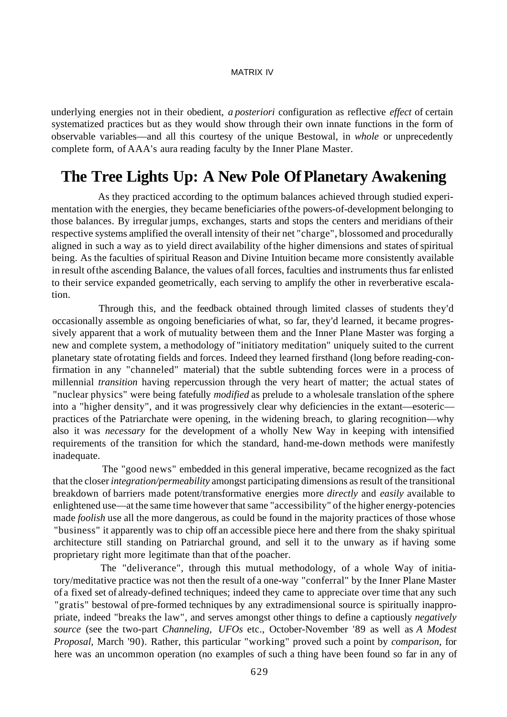underlying energies not in their obedient, *a posteriori* configuration as reflective *effect* of certain systematized practices but as they would show through their own innate functions in the form of observable variables—and all this courtesy of the unique Bestowal, in *whole* or unprecedently complete form, of AAA's aura reading faculty by the Inner Plane Master.

### **The Tree Lights Up: A New Pole Of Planetary Awakening**

As they practiced according to the optimum balances achieved through studied experimentation with the energies, they became beneficiaries of the powers-of-development belonging to those balances. By irregular jumps, exchanges, starts and stops the centers and meridians of their respective systems amplified the overall intensity of their net "charge", blossomed and procedurally aligned in such a way as to yield direct availability of the higher dimensions and states of spiritual being. As the faculties of spiritual Reason and Divine Intuition became more consistently available in result of the ascending Balance, the values of all forces, faculties and instruments thus far enlisted to their service expanded geometrically, each serving to amplify the other in reverberative escalation.

Through this, and the feedback obtained through limited classes of students they'd occasionally assemble as ongoing beneficiaries of what, so far, they'd learned, it became progressively apparent that a work of mutuality between them and the Inner Plane Master was forging a new and complete system, a methodology of "initiatory meditation" uniquely suited to the current planetary state of rotating fields and forces. Indeed they learned firsthand (long before reading-confirmation in any "channeled" material) that the subtle subtending forces were in a process of millennial *transition* having repercussion through the very heart of matter; the actual states of "nuclear physics" were being fatefully *modified* as prelude to a wholesale translation of the sphere into a "higher density", and it was progressively clear why deficiencies in the extant—esoteric practices of the Patriarchate were opening, in the widening breach, to glaring recognition—why also it was *necessary* for the development of a wholly New Way in keeping with intensified requirements of the transition for which the standard, hand-me-down methods were manifestly inadequate.

The "good news" embedded in this general imperative, became recognized as the fact that the closer *integration/permeability* amongst participating dimensions as result of the transitional breakdown of barriers made potent/transformative energies more *directly* and *easily* available to enlightened use—at the same time however that same "accessibility" of the higher energy-potencies made *foolish* use all the more dangerous, as could be found in the majority practices of those whose "business" it apparently was to chip off an accessible piece here and there from the shaky spiritual architecture still standing on Patriarchal ground, and sell it to the unwary as if having some proprietary right more legitimate than that of the poacher.

The "deliverance", through this mutual methodology, of a whole Way of initiatory/meditative practice was not then the result of a one-way "conferral" by the Inner Plane Master of a fixed set of already-defined techniques; indeed they came to appreciate over time that any such "gratis" bestowal of pre-formed techniques by any extradimensional source is spiritually inappropriate, indeed "breaks the law", and serves amongst other things to define a captiously *negatively source* (see the two-part *Channeling, UFOs* etc., October-November '89 as well as *A Modest Proposal,* March '90). Rather, this particular "working" proved such a point by *comparison,* for here was an uncommon operation (no examples of such a thing have been found so far in any of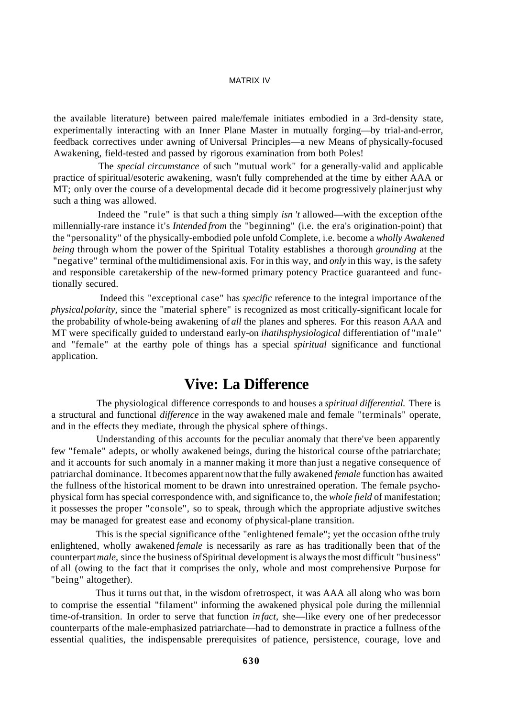the available literature) between paired male/female initiates embodied in a 3rd-density state, experimentally interacting with an Inner Plane Master in mutually forging—by trial-and-error, feedback correctives under awning of Universal Principles—a new Means of physically-focused Awakening, field-tested and passed by rigorous examination from both Poles!

The *special circumstance* of such "mutual work" for a generally-valid and applicable practice of spiritual/esoteric awakening, wasn't fully comprehended at the time by either AAA or MT; only over the course of a developmental decade did it become progressively plainer just why such a thing was allowed.

Indeed the "rule" is that such a thing simply *isn 't* allowed—with the exception ofthe millennially-rare instance it's *Intended from* the "beginning" (i.e. the era's origination-point) that the "personality" of the physically-embodied pole unfold Complete, i.e. become a *wholly Awakened being* through whom the power of the Spiritual Totality establishes a thorough *grounding* at the "negative" terminal of the multidimensional axis. For in this way, and *only* in this way, is the safety and responsible caretakership of the new-formed primary potency Practice guaranteed and functionally secured.

Indeed this "exceptional case" has *specific* reference to the integral importance of the *physical polarity,* since the "material sphere" is recognized as most critically-significant locale for the probability of whole-being awakening of *all* the planes and spheres. For this reason AAA and MT were specifically guided to understand early-on *ihatihs physiological* differentiation of "male" and "female" at the earthy pole of things has a special *spiritual* significance and functional application.

### **Vive: La Difference**

The physiological difference corresponds to and houses a *spiritual differential.* There is a structural and functional *difference* in the way awakened male and female "terminals" operate, and in the effects they mediate, through the physical sphere of things.

Understanding of this accounts for the peculiar anomaly that there've been apparently few "female" adepts, or wholly awakened beings, during the historical course of the patriarchate; and it accounts for such anomaly in a manner making it more than just a negative consequence of patriarchal dominance. It becomes apparent nowthat the fully awakened *female* function has awaited the fullness of the historical moment to be drawn into unrestrained operation. The female psychophysical form has special correspondence with, and significance to, the *whole field* of manifestation; it possesses the proper "console", so to speak, through which the appropriate adjustive switches may be managed for greatest ease and economy of physical-plane transition.

This is the special significance of the "enlightened female"; yet the occasion of the truly enlightened, wholly awakened *female* is necessarily as rare as has traditionally been that of the counterpart *male,* since the business of Spiritual development is always the most difficult "business" of all (owing to the fact that it comprises the only, whole and most comprehensive Purpose for "being" altogether).

Thus it turns out that, in the wisdom of retrospect, it was AAA all along who was born to comprise the essential "filament" informing the awakened physical pole during the millennial time-of-transition. In order to serve that function *in fact,* she—like every one of her predecessor counterparts of the male-emphasized patriarchate—had to demonstrate in practice a fullness of the essential qualities, the indispensable prerequisites of patience, persistence, courage, love and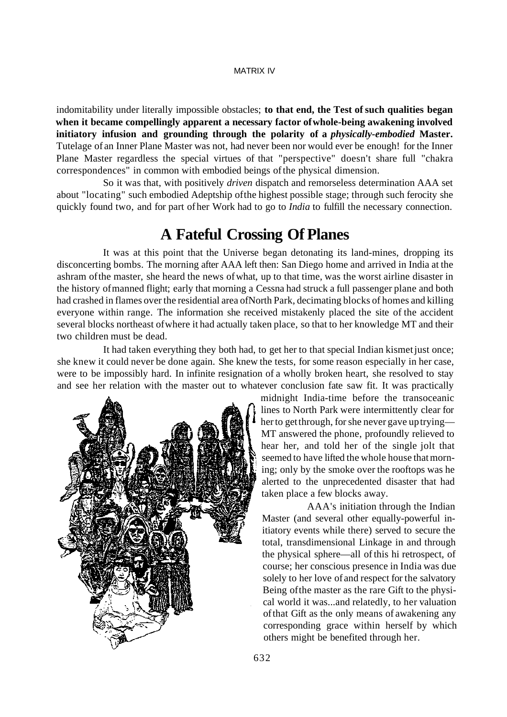indomitability under literally impossible obstacles; **to that end, the Test of such qualities began when it became compellingly apparent a necessary factor of whole-being awakening involved initiatory infusion and grounding through the polarity of a** *physically-embodied* **Master.** Tutelage of an Inner Plane Master was not, had never been nor would ever be enough! for the Inner Plane Master regardless the special virtues of that "perspective" doesn't share full "chakra correspondences" in common with embodied beings of the physical dimension.

So it was that, with positively *driven* dispatch and remorseless determination AAA set about "locating" such embodied Adeptship of the highest possible stage; through such ferocity she quickly found two, and for part of her Work had to go to *India* to fulfill the necessary connection.

### **A Fateful Crossing Of Planes**

It was at this point that the Universe began detonating its land-mines, dropping its disconcerting bombs. The morning after AAA left then: San Diego home and arrived in India at the ashram of the master, she heard the news of what, up to that time, was the worst airline disaster in the history of manned flight; early that morning a Cessna had struck a full passenger plane and both had crashed in flames over the residential area ofNorth Park, decimating blocks of homes and killing everyone within range. The information she received mistakenly placed the site of the accident several blocks northeast of where it had actually taken place, so that to her knowledge MT and their two children must be dead.

It had taken everything they both had, to get her to that special Indian kismet just once; she knew it could never be done again. She knew the tests, for some reason especially in her case, were to be impossibly hard. In infinite resignation of a wholly broken heart, she resolved to stay and see her relation with the master out to whatever conclusion fate saw fit. It was practically



midnight India-time before the transoceanic lines to North Park were intermittently clear for her to get through, for she never gave up trying— MT answered the phone, profoundly relieved to hear her, and told her of the single jolt that seemed to have lifted the whole house that morning; only by the smoke over the rooftops was he alerted to the unprecedented disaster that had taken place a few blocks away.

AAA's initiation through the Indian Master (and several other equally-powerful initiatory events while there) served to secure the total, transdimensional Linkage in and through the physical sphere—all of this hi retrospect, of course; her conscious presence in India was due solely to her love of and respect for the salvatory Being of the master as the rare Gift to the physical world it was...and relatedly, to her valuation of that Gift as the only means of awakening any corresponding grace within herself by which others might be benefited through her.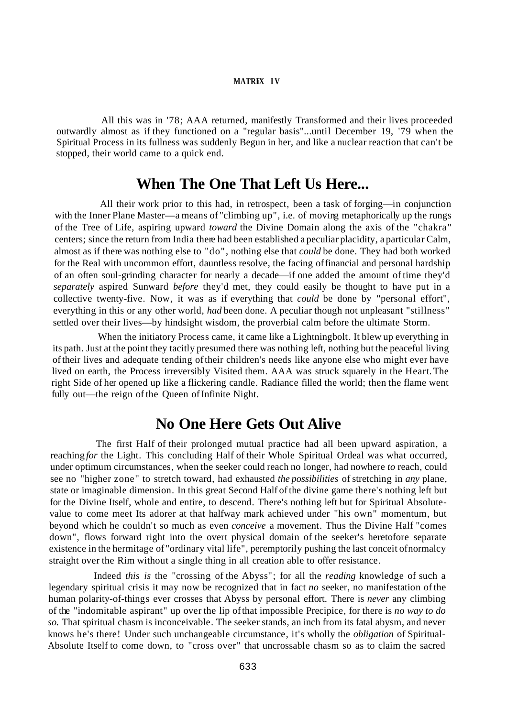All this was in '78; AAA returned, manifestly Transformed and their lives proceeded outwardly almost as if they functioned on a "regular basis"...until December 19, '79 when the Spiritual Process in its fullness was suddenly Begun in her, and like a nuclear reaction that can't be stopped, their world came to a quick end.

#### **When The One That Left Us Here...**

All their work prior to this had, in retrospect, been a task of forging—in conjunction with the Inner Plane Master—a means of "climbing up", i.e. of moving metaphorically up the rungs of the Tree of Life, aspiring upward *toward* the Divine Domain along the axis of the "chakra" centers; since the return from India there had been established a peculiar placidity, a particular Calm, almost as if there was nothing else to "do", nothing else that *could* be done. They had both worked for the Real with uncommon effort, dauntless resolve, the facing of financial and personal hardship of an often soul-grinding character for nearly a decade—if one added the amount of time they'd *separately* aspired Sunward *before* they'd met, they could easily be thought to have put in a collective twenty-five. Now, it was as if everything that *could* be done by "personal effort", everything in this or any other world, *had* been done. A peculiar though not unpleasant "stillness" settled over their lives—by hindsight wisdom, the proverbial calm before the ultimate Storm.

When the initiatory Process came, it came like a Lightningbolt. It blew up everything in its path. Just at the point they tacitly presumed there was nothing left, nothing but the peaceful living of their lives and adequate tending of their children's needs like anyone else who might ever have lived on earth, the Process irreversibly Visited them. AAA was struck squarely in the Heart. The right Side of her opened up like a flickering candle. Radiance filled the world; then the flame went fully out—the reign of the Queen of Infinite Night.

#### **No One Here Gets Out Alive**

The first Half of their prolonged mutual practice had all been upward aspiration, a reaching for the Light. This concluding Half of their Whole Spiritual Ordeal was what occurred, under optimum circumstances, when the seeker could reach no longer, had nowhere *to* reach, could see no "higher zone" to stretch toward, had exhausted *the possibilities* of stretching in *any* plane, state or imaginable dimension. In this great Second Half of the divine game there's nothing left but for the Divine Itself, whole and entire, to descend. There's nothing left but for Spiritual Absolutevalue to come meet Its adorer at that halfway mark achieved under "his own" momentum, but beyond which he couldn't so much as even *conceive* a movement. Thus the Divine Half "comes down", flows forward right into the overt physical domain of the seeker's heretofore separate existence in the hermitage of "ordinary vital life", peremptorily pushing the last conceit of normalcy straight over the Rim without a single thing in all creation able to offer resistance.

Indeed *this is* the "crossing of the Abyss"; for all the *reading* knowledge of such a legendary spiritual crisis it may now be recognized that in fact *no* seeker, no manifestation of the human polarity-of-things ever crosses that Abyss by personal effort. There is *never* any climbing of the "indomitable aspirant" up over the lip of that impossible Precipice, for there is *no way to do so.* That spiritual chasm is inconceivable. The seeker stands, an inch from its fatal abysm, and never knows he's there! Under such unchangeable circumstance, it's wholly the *obligation* of Spiritual-Absolute Itself to come down, to "cross over" that uncrossable chasm so as to claim the sacred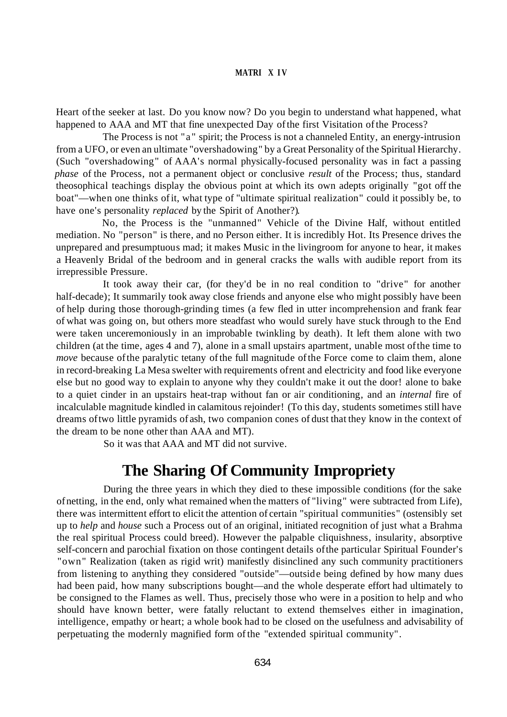Heart of the seeker at last. Do you know now? Do you begin to understand what happened, what happened to AAA and MT that fine unexpected Day of the first Visitation of the Process?

The Process is not "a" spirit; the Process is not a channeled Entity, an energy-intrusion from a UFO, or even an ultimate "overshadowing" by a Great Personality of the Spiritual Hierarchy. (Such "overshadowing" of AAA's normal physically-focused personality was in fact a passing *phase* of the Process, not a permanent object or conclusive *result* of the Process; thus, standard theosophical teachings display the obvious point at which its own adepts originally "got off the boat"—when one thinks of it, what type of "ultimate spiritual realization" could it possibly be, to have one's personality *replaced* by the Spirit of Another?).

No, the Process is the "unmanned" Vehicle of the Divine Half, without entitled mediation. No "person" is there, and no Person either. It is incredibly Hot. Its Presence drives the unprepared and presumptuous mad; it makes Music in the livingroom for anyone to hear, it makes a Heavenly Bridal of the bedroom and in general cracks the walls with audible report from its irrepressible Pressure.

It took away their car, (for they'd be in no real condition to "drive" for another half-decade); It summarily took away close friends and anyone else who might possibly have been of help during those thorough-grinding times (a few fled in utter incomprehension and frank fear of what was going on, but others more steadfast who would surely have stuck through to the End were taken unceremoniously in an improbable twinkling by death). It left them alone with two children (at the time, ages 4 and 7), alone in a small upstairs apartment, unable most of the time to *move* because of the paralytic tetany of the full magnitude of the Force come to claim them, alone in record-breaking La Mesa swelter with requirements of rent and electricity and food like everyone else but no good way to explain to anyone why they couldn't make it out the door! alone to bake to a quiet cinder in an upstairs heat-trap without fan or air conditioning, and an *internal* fire of incalculable magnitude kindled in calamitous rejoinder! (To this day, students sometimes still have dreams of two little pyramids of ash, two companion cones of dust that they know in the context of the dream to be none other than AAA and MT).

So it was that AAA and MT did not survive.

#### **The Sharing Of Community Impropriety**

During the three years in which they died to these impossible conditions (for the sake of netting, in the end, only what remained when the matters of "living" were subtracted from Life), there was intermittent effort to elicit the attention of certain "spiritual communities" (ostensibly set up to *help* and *house* such a Process out of an original, initiated recognition of just what a Brahma the real spiritual Process could breed). However the palpable cliquishness, insularity, absorptive self-concern and parochial fixation on those contingent details of the particular Spiritual Founder's "own" Realization (taken as rigid writ) manifestly disinclined any such community practitioners from listening to anything they considered "outside"—outside being defined by how many dues had been paid, how many subscriptions bought—and the whole desperate effort had ultimately to be consigned to the Flames as well. Thus, precisely those who were in a position to help and who should have known better, were fatally reluctant to extend themselves either in imagination, intelligence, empathy or heart; a whole book had to be closed on the usefulness and advisability of perpetuating the modernly magnified form of the "extended spiritual community".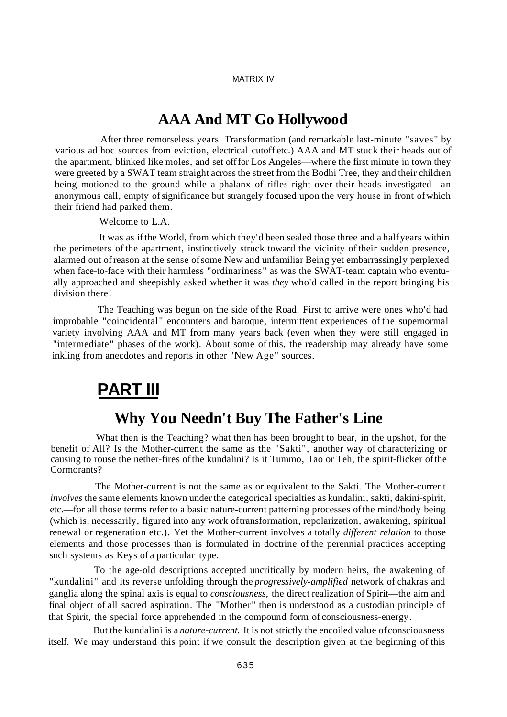### **AAA And MT Go Hollywood**

After three remorseless years' Transformation (and remarkable last-minute "saves" by various ad hoc sources from eviction, electrical cutoff etc.) AAA and MT stuck their heads out of the apartment, blinked like moles, and set off for Los Angeles—where the first minute in town they were greeted by a SWAT team straight across the street from the Bodhi Tree, they and their children being motioned to the ground while a phalanx of rifles right over their heads investigated—an anonymous call, empty of significance but strangely focused upon the very house in front of which their friend had parked them.

Welcome to L.A.

It was as if the World, from which they'd been sealed those three and a half years within the perimeters of the apartment, instinctively struck toward the vicinity of their sudden presence, alarmed out of reason at the sense of some New and unfamiliar Being yet embarrassingly perplexed when face-to-face with their harmless "ordinariness" as was the SWAT-team captain who eventually approached and sheepishly asked whether it was *they* who'd called in the report bringing his division there!

The Teaching was begun on the side of the Road. First to arrive were ones who'd had improbable "coincidental" encounters and baroque, intermittent experiences of the supernormal variety involving AAA and MT from many years back (even when they were still engaged in "intermediate" phases of the work). About some of this, the readership may already have some inkling from anecdotes and reports in other "New Age" sources.

# **PART III**

### **Why You Needn't Buy The Father's Line**

What then is the Teaching? what then has been brought to bear, in the upshot, for the benefit of All? Is the Mother-current the same as the "Sakti", another way of characterizing or causing to rouse the nether-fires of the kundalini? Is it Tummo, Tao or Teh, the spirit-flicker of the Cormorants?

The Mother-current is not the same as or equivalent to the Sakti. The Mother-current *involves* the same elements known under the categorical specialties as kundalini, sakti, dakini-spirit, etc.—for all those terms refer to a basic nature-current patterning processes of the mind/body being (which is, necessarily, figured into any work of transformation, repolarization, awakening, spiritual renewal or regeneration etc.). Yet the Mother-current involves a totally *different relation* to those elements and those processes than is formulated in doctrine of the perennial practices accepting such systems as Keys of a particular type.

To the age-old descriptions accepted uncritically by modern heirs, the awakening of "kundalini" and its reverse unfolding through the *progressively-amplified* network of chakras and ganglia along the spinal axis is equal to *consciousness,* the direct realization of Spirit—the aim and final object of all sacred aspiration. The "Mother" then is understood as a custodian principle of that Spirit, the special force apprehended in the compound form of consciousness-energy.

But the kundalini is a *nature-current.* It is not strictly the encoiled value of consciousness itself. We may understand this point if we consult the description given at the beginning of this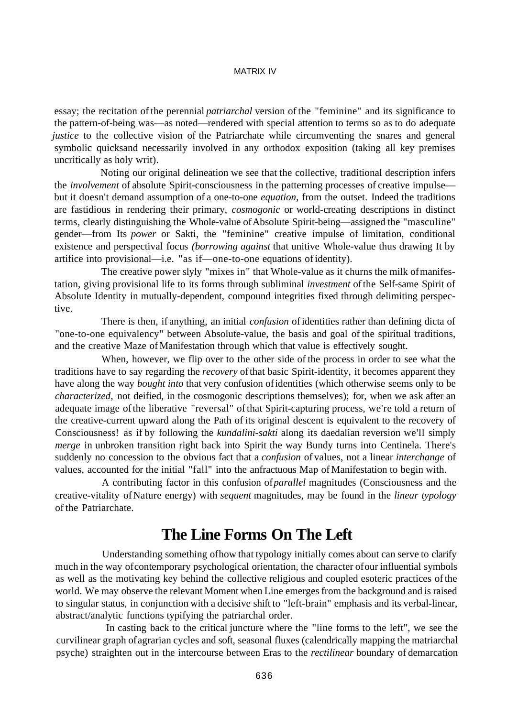essay; the recitation of the perennial *patriarchal* version of the "feminine" and its significance to the pattern-of-being was—as noted—rendered with special attention to terms so as to do adequate *justice* to the collective vision of the Patriarchate while circumventing the snares and general symbolic quicksand necessarily involved in any orthodox exposition (taking all key premises uncritically as holy writ).

Noting our original delineation we see that the collective, traditional description infers the *involvement* of absolute Spirit-consciousness in the patterning processes of creative impulse but it doesn't demand assumption of a one-to-one *equation,* from the outset. Indeed the traditions are fastidious in rendering their primary, *cosmogonic* or world-creating descriptions in distinct terms, clearly distinguishing the Whole-value of Absolute Spirit-being—assigned the "masculine" gender—from Its *power* or Sakti, the "feminine" creative impulse of limitation, conditional existence and perspectival focus *(borrowing against* that unitive Whole-value thus drawing It by artifice into provisional—i.e. "as if—one-to-one equations of identity).

The creative power slyly "mixes in" that Whole-value as it churns the milk of manifestation, giving provisional life to its forms through subliminal *investment* of the Self-same Spirit of Absolute Identity in mutually-dependent, compound integrities fixed through delimiting perspective.

There is then, if anything, an initial *confusion* of identities rather than defining dicta of "one-to-one equivalency" between Absolute-value, the basis and goal of the spiritual traditions, and the creative Maze of Manifestation through which that value is effectively sought.

When, however, we flip over to the other side of the process in order to see what the traditions have to say regarding the *recovery* of that basic Spirit-identity, it becomes apparent they have along the way *bought into* that very confusion of identities (which otherwise seems only to be *characterized,* not deified, in the cosmogonic descriptions themselves); for, when we ask after an adequate image of the liberative "reversal" of that Spirit-capturing process, we're told a return of the creative-current upward along the Path of its original descent is equivalent to the recovery of Consciousness! as if by following the *kundalini-sakti* along its daedalian reversion we'll simply *merge* in unbroken transition right back into Spirit the way Bundy turns into Centinela. There's suddenly no concession to the obvious fact that a *confusion* of values, not a linear *interchange* of values, accounted for the initial "fall" into the anfractuous Map of Manifestation to begin with.

A contributing factor in this confusion of *parallel* magnitudes (Consciousness and the creative-vitality of Nature energy) with *sequent* magnitudes, may be found in the *linear typology* of the Patriarchate.

### **The Line Forms On The Left**

Understanding something of how that typology initially comes about can serve to clarify much in the way of contemporary psychological orientation, the character of our influential symbols as well as the motivating key behind the collective religious and coupled esoteric practices of the world. We may observe the relevant Moment when Line emerges from the background and is raised to singular status, in conjunction with a decisive shift to "left-brain" emphasis and its verbal-linear, abstract/analytic functions typifying the patriarchal order.

In casting back to the critical juncture where the "line forms to the left", we see the curvilinear graph of agrarian cycles and soft, seasonal fluxes (calendrically mapping the matriarchal psyche) straighten out in the intercourse between Eras to the *rectilinear* boundary of demarcation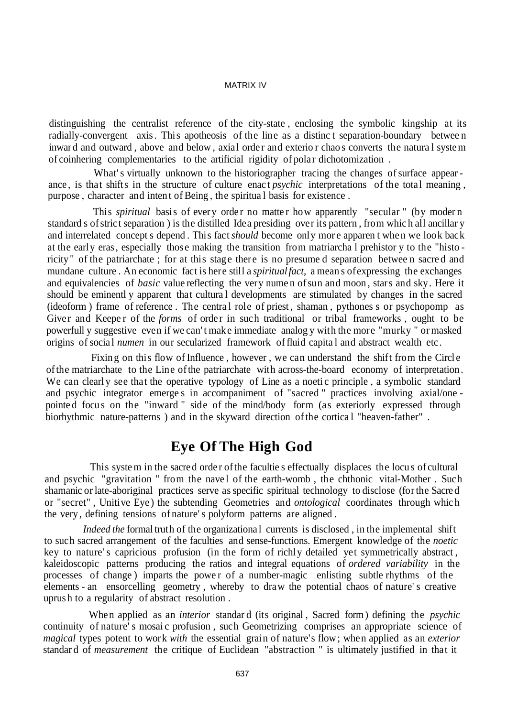distinguishing the centralist reference of the city-state , enclosing the symbolic kingship at its radially-convergent axis. This apotheosis of the line as a distinct separation-boundary betwee n inward and outward, above and below, axial order and exterio r chaos converts the natural system of coinhering complementaries to the artificial rigidity of polar dichotomization .

What's virtually unknown to the historiographer tracing the changes of surface appear ance, is that shifts in the structure of culture enac t *psychic* interpretations of the total meaning , purpose , character and inten t of Being , the spiritua l basis for existence .

This *spiritual* basis of every order no matter how apparently "secular" (by modern standard s of strict separation ) is the distilled Idea presiding over its pattern , from whic h all ancillar y and interrelated concept s depend. This fact *should* become only more apparent when we look back at the early eras, especially those making the transition from matriarcha l prehistor y to the "histo ricity " of the patriarchate ; for at this stage there is no presume d separation betwee n sacre d and mundane culture . An economic fact is here still a *spiritual fact,* a mean s of expressing the exchanges and equivalencies of *basic* value reflecting the very nume n of sun and moon , stars and sky. Here it should be eminentl y apparent that cultura l developments are stimulated by changes in the sacred (ideoform ) frame of reference . The centra l role of priest , shaman , pythones s or psychopomp as Giver and Keeper of the *forms* of order in such traditional or tribal frameworks, ought to be powerfull y suggestive even if we can' t make immediate analog y with the more "murky " or masked origins of socia l *numen* in our secularized framework of fluid capita l and abstract wealth etc.

Fixing on this flow of Influence, however, we can understand the shift from the Circle of the matriarchate to the Line of the patriarchate with across-the-board economy of interpretation . We can clearly see that the operative typology of Line as a noetic principle, a symbolic standard and psychic integrator emerge s in accompaniment of "sacred " practices involving axial/one pointed focus on the "inward" side of the mind/body form (as exteriorly expressed through biorhythmic nature-patterns ) and in the skyward direction of the cortica l "heaven-father" .

### **Eye Of The High God**

This system in the sacred order of the faculties effectually displaces the locus of cultural and psychic "gravitation" from the navel of the earth-womb, the chthonic vital-Mother. Such shamanic or late-aboriginal practices serve as specific spiritual technology to disclose (for the Sacre d or "secret" , Uniti ve Eye) the subtending Geometries and *ontological* coordinates through whic h the very , defining tensions of nature' s polyform patterns are aligned .

*Indeed the* formal truth of the organizational currents is disclosed, in the implemental shift to such sacred arrangement of the faculties and sense-functions. Emergent knowledge of the *noetic* key to nature's capricious profusion (in the form of richly detailed yet symmetrically abstract, kaleidoscopic patterns producing the ratios and integral equations of *ordered variability* in the processes of change ) imparts the powe r of a number-magic enlisting subtle rhythms of the elements - an ensorcelling geometry, whereby to draw the potential chaos of nature's creative uprus h to a regularity of abstract resolution .

When applied as an *interior* standar d (its original , Sacred form) defining the *psychic* continuity of nature' s mosai c profusion , such Geometrizing comprises an appropriate science of *magical* types potent to work *with* the essential grain of nature's flow; when applied as an *exterior* standar d of *measurement* the critique of Euclidean "abstraction " is ultimately justified in that it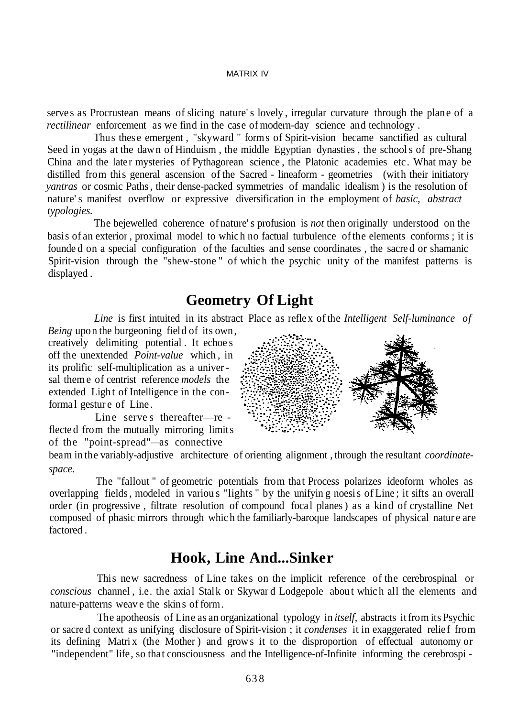serve s as Procrustean means of slicing nature's lovely, irregular curvature through the plane of a *rectilinear* enforcement as we find in the case of modern-day science and technology.

Thus these emergent , "skyward " forms of Spirit-vision became sanctified as cultural Seed in yogas at the dawn of Hinduism , the middle Egyptian dynasties , the school s of pre-Shang China and the later mysteries of Pythagorean science , the Platonic academies etc. What may be distilled from this general ascension of the Sacred - lineaform - geometries (with their initiatory *yantras* or cosmic Paths , their dense-packed symmetries of mandalic idealism ) is the resolution of nature' s manifest overflow or expressive diversification in the employment of *basic, abstract typologies.*

The bejewelled coherence of nature' s profusion is *not* then originally understood on the basis of an exterior , proximal model to whic h no factual turbulence of the elements conforms ; it is founde d on a special configuration of the faculties and sense coordinates , the sacre d or shamanic Spirit-vision through the "shew-stone" of which the psychic unity of the manifest patterns is displayed .

#### **Geometry Of Light**

*Line* is first intuited in its abstract Place as reflex of the *Intelligent Self-luminance of*

*Being* upon the burgeoning field of its own, creatively delimiting potential . It echoe s off the unextended *Point-value* which , in its prolific self-multiplication as a univer sal them e of centrist reference *models* the extended Light of Intelligence in the conformal gesture of Line.

Line serve s thereafter—re flecte d from the mutually mirroring limits of the "point-spread"—as connective



beam in the variably-adjustive architecture of orienting alignment , through the resultant *coordinatespace.*

The "fallout " of geometric potentials from that Process polarizes ideoform wholes as overlapping fields , modeled in variou s "lights " by the unifyin g noesi s of Line ; it sifts an overall order (in progressive , filtrate resolution of compound focal planes ) as a kind of crystalline Net composed of phasic mirrors through which the familiarly-baroque landscapes of physical nature are factored .

### **Hook, Line And...Sinker**

This new sacredness of Line takes on the implicit reference of the cerebrospinal or *conscious* channel, i.e. the axial Stalk or Skyward Lodgepole about which all the elements and nature-patterns weav e the skins of form.

The apotheosis of Line as an organizational typology in *itself,* abstracts it from its Psychic or sacre d context as unifying disclosure of Spirit-vision ; it *condenses* it in exaggerated relief from its defining Matrix (the Mother) and grows it to the disproportion of effectual autonomy or "independent" life, so that consciousness and the Intelligence-of-Infinite informing the cerebrospi -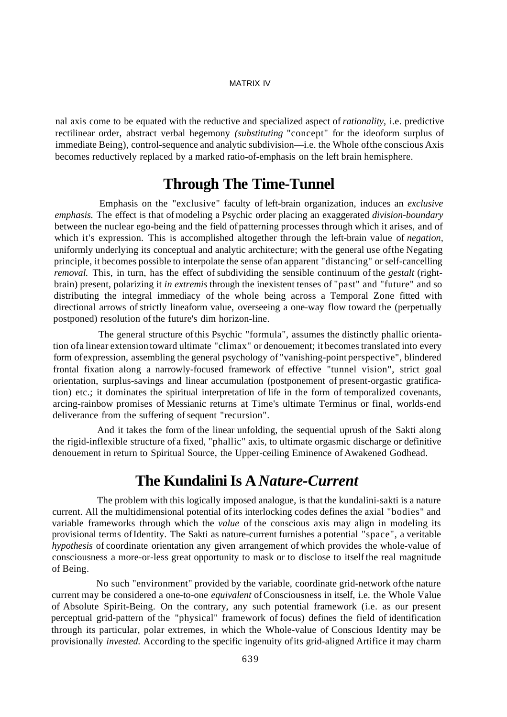nal axis come to be equated with the reductive and specialized aspect of *rationality,* i.e. predictive rectilinear order, abstract verbal hegemony *(substituting* "concept" for the ideoform surplus of immediate Being), control-sequence and analytic subdivision—i.e. the Whole of the conscious Axis becomes reductively replaced by a marked ratio-of-emphasis on the left brain hemisphere.

#### **Through The Time-Tunnel**

Emphasis on the "exclusive" faculty of left-brain organization, induces an *exclusive emphasis.* The effect is that of modeling a Psychic order placing an exaggerated *division-boundary* between the nuclear ego-being and the field of patterning processes through which it arises, and of which it's expression. This is accomplished altogether through the left-brain value of *negation,* uniformly underlying its conceptual and analytic architecture; with the general use of the Negating principle, it becomes possible to interpolate the sense of an apparent "distancing" or self-cancelling *removal.* This, in turn, has the effect of subdividing the sensible continuum of the *gestalt* (rightbrain) present, polarizing it *in extremis* through the inexistent tenses of "past" and "future" and so distributing the integral immediacy of the whole being across a Temporal Zone fitted with directional arrows of strictly lineaform value, overseeing a one-way flow toward the (perpetually postponed) resolution of the future's dim horizon-line.

The general structure of this Psychic "formula", assumes the distinctly phallic orientation of a linear extension toward ultimate "climax" or denouement; it becomes translated into every form of expression, assembling the general psychology of "vanishing-point perspective", blindered frontal fixation along a narrowly-focused framework of effective "tunnel vision", strict goal orientation, surplus-savings and linear accumulation (postponement of present-orgastic gratification) etc.; it dominates the spiritual interpretation of life in the form of temporalized covenants, arcing-rainbow promises of Messianic returns at Time's ultimate Terminus or final, worlds-end deliverance from the suffering of sequent "recursion".

And it takes the form of the linear unfolding, the sequential uprush of the Sakti along the rigid-inflexible structure of a fixed, "phallic" axis, to ultimate orgasmic discharge or definitive denouement in return to Spiritual Source, the Upper-ceiling Eminence of Awakened Godhead.

#### **The Kundalini Is A** *Nature-Current*

The problem with this logically imposed analogue, is that the kundalini-sakti is a nature current. All the multidimensional potential of its interlocking codes defines the axial "bodies" and variable frameworks through which the *value* of the conscious axis may align in modeling its provisional terms of Identity. The Sakti as nature-current furnishes a potential "space", a veritable *hypothesis* of coordinate orientation any given arrangement of which provides the whole-value of consciousness a more-or-less great opportunity to mask or to disclose to itself the real magnitude of Being.

No such "environment" provided by the variable, coordinate grid-network of the nature current may be considered a one-to-one *equivalent* of Consciousness in itself, i.e. the Whole Value of Absolute Spirit-Being. On the contrary, any such potential framework (i.e. as our present perceptual grid-pattern of the "physical" framework of focus) defines the field of identification through its particular, polar extremes, in which the Whole-value of Conscious Identity may be provisionally *invested.* According to the specific ingenuity of its grid-aligned Artifice it may charm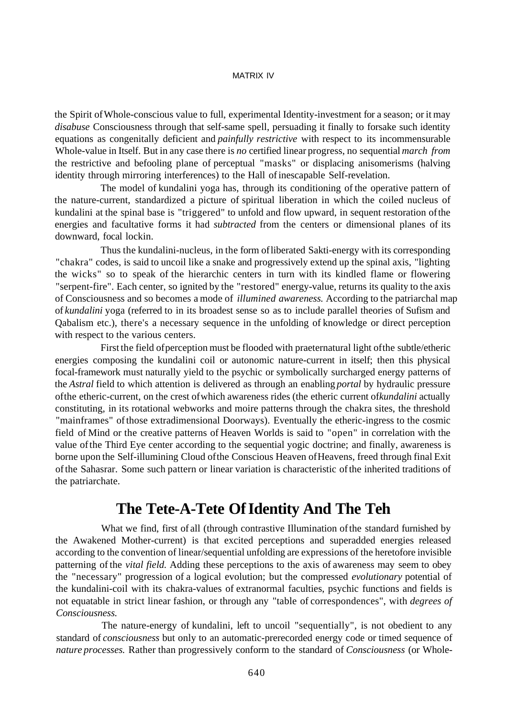the Spirit of Whole-conscious value to full, experimental Identity-investment for a season; or it may *disabuse* Consciousness through that self-same spell, persuading it finally to forsake such identity equations as congenitally deficient and *painfully restrictive* with respect to its incommensurable Whole-value in Itself. But in any case there is *no* certified linear progress, no sequential *march from* the restrictive and befooling plane of perceptual "masks" or displacing anisomerisms (halving identity through mirroring interferences) to the Hall of inescapable Self-revelation.

The model of kundalini yoga has, through its conditioning of the operative pattern of the nature-current, standardized a picture of spiritual liberation in which the coiled nucleus of kundalini at the spinal base is "triggered" to unfold and flow upward, in sequent restoration of the energies and facultative forms it had *subtracted* from the centers or dimensional planes of its downward, focal lockin.

Thus the kundalini-nucleus, in the form of liberated Sakti-energy with its corresponding "chakra" codes, is said to uncoil like a snake and progressively extend up the spinal axis, "lighting the wicks" so to speak of the hierarchic centers in turn with its kindled flame or flowering "serpent-fire". Each center, so ignited by the "restored" energy-value, returns its quality to the axis of Consciousness and so becomes a mode of *illumined awareness.* According to the patriarchal map of *kundalini* yoga (referred to in its broadest sense so as to include parallel theories of Sufism and Qabalism etc.), there's a necessary sequence in the unfolding of knowledge or direct perception with respect to the various centers.

First the field of perception must be flooded with praeternatural light of the subtle/etheric energies composing the kundalini coil or autonomic nature-current in itself; then this physical focal-framework must naturally yield to the psychic or symbolically surcharged energy patterns of the *Astral* field to which attention is delivered as through an enabling *portal* by hydraulic pressure of the etheric-current, on the crest of which awareness rides (the etheric current of*kundalini* actually constituting, in its rotational webworks and moire patterns through the chakra sites, the threshold "mainframes" of those extradimensional Doorways). Eventually the etheric-ingress to the cosmic field of Mind or the creative patterns of Heaven Worlds is said to "open" in correlation with the value of the Third Eye center according to the sequential yogic doctrine; and finally, awareness is borne upon the Self-illumining Cloud of the Conscious Heaven of Heavens, freed through final Exit of the Sahasrar. Some such pattern or linear variation is characteristic of the inherited traditions of the patriarchate.

### **The Tete-A-Tete Of Identity And The Teh**

What we find, first of all (through contrastive Illumination of the standard furnished by the Awakened Mother-current) is that excited perceptions and superadded energies released according to the convention of linear/sequential unfolding are expressions of the heretofore invisible patterning of the *vital field.* Adding these perceptions to the axis of awareness may seem to obey the "necessary" progression of a logical evolution; but the compressed *evolutionary* potential of the kundalini-coil with its chakra-values of extranormal faculties, psychic functions and fields is not equatable in strict linear fashion, or through any "table of correspondences", with *degrees of Consciousness.*

The nature-energy of kundalini, left to uncoil "sequentially", is not obedient to any standard of *consciousness* but only to an automatic-prerecorded energy code or timed sequence of *nature processes.* Rather than progressively conform to the standard of *Consciousness* (or Whole-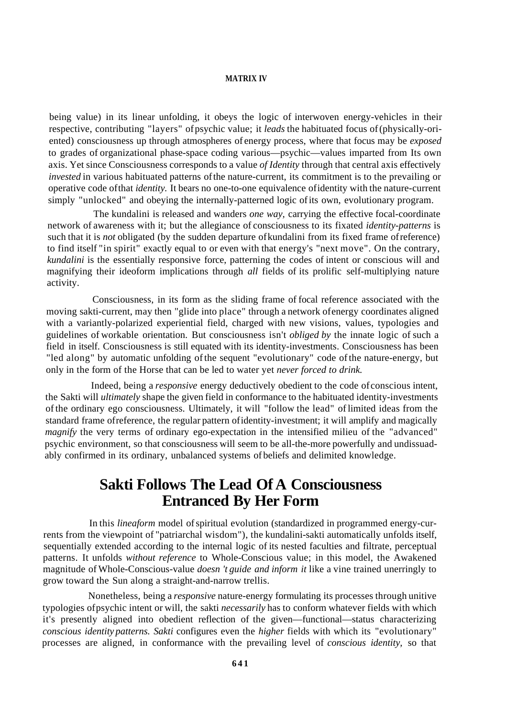being value) in its linear unfolding, it obeys the logic of interwoven energy-vehicles in their respective, contributing "layers" of psychic value; it *leads* the habituated focus of (physically-oriented) consciousness up through atmospheres of energy process, where that focus may be *exposed* to grades of organizational phase-space coding various—psychic—values imparted from Its own axis. Yet since Consciousness corresponds to a value *of Identity* through that central axis effectively *invested* in various habituated patterns of the nature-current, its commitment is to the prevailing or operative code of that *identity.* It bears no one-to-one equivalence of identity with the nature-current simply "unlocked" and obeying the internally-patterned logic of its own, evolutionary program.

The kundalini is released and wanders *one way,* carrying the effective focal-coordinate network of awareness with it; but the allegiance of consciousness to its fixated *identity-patterns* is such that it is *not* obligated (by the sudden departure of kundalini from its fixed frame of reference) to find itself "in spirit" exactly equal to or even with that energy's "next move". On the contrary, *kundalini* is the essentially responsive force, patterning the codes of intent or conscious will and magnifying their ideoform implications through *all* fields of its prolific self-multiplying nature activity.

Consciousness, in its form as the sliding frame of focal reference associated with the moving sakti-current, may then "glide into place" through a network of energy coordinates aligned with a variantly-polarized experiential field, charged with new visions, values, typologies and guidelines of workable orientation. But consciousness isn't *obliged by* the innate logic of such a field in itself. Consciousness is still equated with its identity-investments. Consciousness has been "led along" by automatic unfolding of the sequent "evolutionary" code of the nature-energy, but only in the form of the Horse that can be led to water yet *never forced to drink.*

Indeed, being a *responsive* energy deductively obedient to the code of conscious intent, the Sakti will *ultimately* shape the given field in conformance to the habituated identity-investments of the ordinary ego consciousness. Ultimately, it will "follow the lead" of limited ideas from the standard frame of reference, the regular pattern of identity-investment; it will amplify and magically *magnify* the very terms of ordinary ego-expectation in the intensified milieu of the "advanced" psychic environment, so that consciousness will seem to be all-the-more powerfully and undissuadably confirmed in its ordinary, unbalanced systems of beliefs and delimited knowledge.

### **Sakti Follows The Lead Of A Consciousness Entranced By Her Form**

In this *lineaform* model of spiritual evolution (standardized in programmed energy-currents from the viewpoint of "patriarchal wisdom"), the kundalini-sakti automatically unfolds itself, sequentially extended according to the internal logic of its nested faculties and filtrate, perceptual patterns. It unfolds *without reference* to Whole-Conscious value; in this model, the Awakened magnitude of Whole-Conscious-value *doesn 't guide and inform it* like a vine trained unerringly to grow toward the Sun along a straight-and-narrow trellis.

Nonetheless, being a *responsive* nature-energy formulating its processes through unitive typologies of psychic intent or will, the sakti *necessarily* has to conform whatever fields with which it's presently aligned into obedient reflection of the given—functional—status characterizing *conscious identity patterns. Sakti* configures even the *higher* fields with which its "evolutionary" processes are aligned, in conformance with the prevailing level of *conscious identity,* so that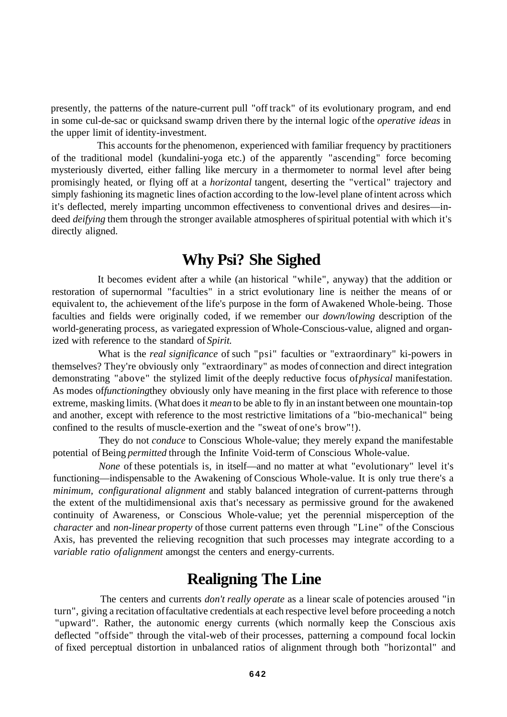presently, the patterns of the nature-current pull "off track" of its evolutionary program, and end in some cul-de-sac or quicksand swamp driven there by the internal logic of the *operative ideas* in the upper limit of identity-investment.

This accounts for the phenomenon, experienced with familiar frequency by practitioners of the traditional model (kundalini-yoga etc.) of the apparently "ascending" force becoming mysteriously diverted, either falling like mercury in a thermometer to normal level after being promisingly heated, or flying off at a *horizontal* tangent, deserting the "vertical" trajectory and simply fashioning its magnetic lines of action according to the low-level plane of intent across which it's deflected, merely imparting uncommon effectiveness to conventional drives and desires—indeed *deifying* them through the stronger available atmospheres of spiritual potential with which it's directly aligned.

## **Why Psi? She Sighed**

It becomes evident after a while (an historical "while", anyway) that the addition or restoration of supernormal "faculties" in a strict evolutionary line is neither the means of or equivalent to, the achievement of the life's purpose in the form of Awakened Whole-being. Those faculties and fields were originally coded, if we remember our *down/lowing* description of the world-generating process, as variegated expression of Whole-Conscious-value, aligned and organized with reference to the standard of *Spirit.*

What is the *real significance* of such "psi" faculties or "extraordinary" ki-powers in themselves? They're obviously only "extraordinary" as modes of connection and direct integration demonstrating "above" the stylized limit of the deeply reductive focus of *physical* manifestation. As modes of*functioning*they obviously only have meaning in the first place with reference to those extreme, masking limits. (What does it *mean* to be able to fly in an instant between one mountain-top and another, except with reference to the most restrictive limitations of a "bio-mechanical" being confined to the results of muscle-exertion and the "sweat of one's brow"!).

They do not *conduce* to Conscious Whole-value; they merely expand the manifestable potential of Being *permitted* through the Infinite Void-term of Conscious Whole-value.

*None* of these potentials is, in itself—and no matter at what "evolutionary" level it's functioning—indispensable to the Awakening of Conscious Whole-value. It is only true there's a *minimum, configurational alignment* and stably balanced integration of current-patterns through the extent of the multidimensional axis that's necessary as permissive ground for the awakened continuity of Awareness, or Conscious Whole-value; yet the perennial misperception of the *character* and *non-linear property* of those current patterns even through "Line" of the Conscious Axis, has prevented the relieving recognition that such processes may integrate according to a *variable ratio of alignment* amongst the centers and energy-currents.

## **Realigning The Line**

The centers and currents *don't really operate* as a linear scale of potencies aroused "in turn", giving a recitation of facultative credentials at each respective level before proceeding a notch "upward". Rather, the autonomic energy currents (which normally keep the Conscious axis deflected "offside" through the vital-web of their processes, patterning a compound focal lockin of fixed perceptual distortion in unbalanced ratios of alignment through both "horizontal" and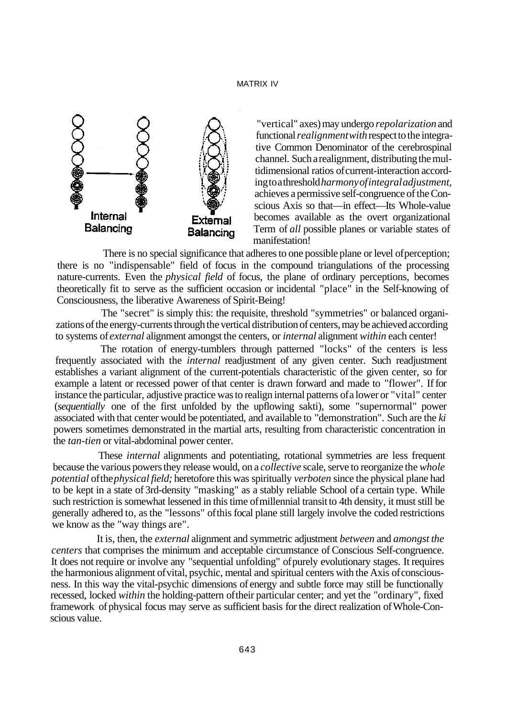

"vertical" axes) may undergo *repolarization* and functional *realignment with* respect to the integrative Common Denominator of the cerebrospinal channel. Such a realignment, distributing the multidimensional ratios of current-interaction according to a threshold *harmony of integral adjustment,* achieves a permissive self-congruence of the Conscious Axis so that—in effect—Its Whole-value becomes available as the overt organizational Term of *all* possible planes or variable states of manifestation!

There is no special significance that adheres to one possible plane or level of perception; there is no "indispensable" field of focus in the compound triangulations of the processing nature-currents. Even the *physical field* of focus, the plane of ordinary perceptions, becomes theoretically fit to serve as the sufficient occasion or incidental "place" in the Self-knowing of Consciousness, the liberative Awareness of Spirit-Being!

The "secret" is simply this: the requisite, threshold "symmetries" or balanced organizations of the energy-currents through the vertical distribution of centers, may be achieved according to systems of *external* alignment amongst the centers, or *internal* alignment *within* each center!

The rotation of energy-tumblers through patterned "locks" of the centers is less frequently associated with the *internal* readjustment of any given center. Such readjustment establishes a variant alignment of the current-potentials characteristic of the given center, so for example a latent or recessed power of that center is drawn forward and made to "flower". If for instance the particular, adjustive practice was to realign internal patterns of a lower or "vital" center (*sequentially* one of the first unfolded by the upflowing sakti), some "supernormal" power associated with that center would be potentiated, and available to "demonstration". Such are the *ki* powers sometimes demonstrated in the martial arts, resulting from characteristic concentration in the *tan-tien* or vital-abdominal power center.

These *internal* alignments and potentiating, rotational symmetries are less frequent because the various powers they release would, on a *collective* scale, serve to reorganize the *whole potential* of the *physical field*; heretofore this was spiritually *verboten* since the physical plane had to be kept in a state of 3rd-density "masking" as a stably reliable School of a certain type. While such restriction is somewhat lessened in this time of millennial transit to 4th density, it must still be generally adhered to, as the "lessons" of this focal plane still largely involve the coded restrictions we know as the "way things are".

It is, then, the *external* alignment and symmetric adjustment *between* and *amongst the centers* that comprises the minimum and acceptable circumstance of Conscious Self-congruence. It does not require or involve any "sequential unfolding" of purely evolutionary stages. It requires the harmonious alignment of vital, psychic, mental and spiritual centers with the Axis of consciousness. In this way the vital-psychic dimensions of energy and subtle force may still be functionally recessed, locked *within* the holding-pattern of their particular center; and yet the "ordinary", fixed framework of physical focus may serve as sufficient basis for the direct realization of Whole-Conscious value.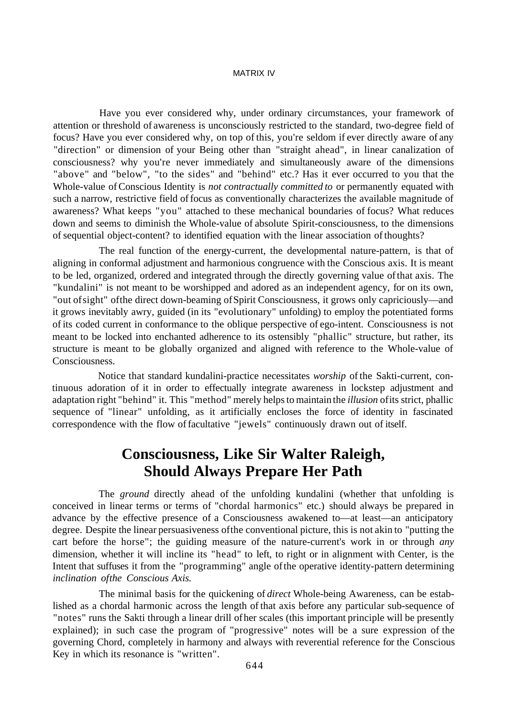Have you ever considered why, under ordinary circumstances, your framework of attention or threshold of awareness is unconsciously restricted to the standard, two-degree field of focus? Have you ever considered why, on top of this, you're seldom if ever directly aware of any "direction" or dimension of your Being other than "straight ahead", in linear canalization of consciousness? why you're never immediately and simultaneously aware of the dimensions "above" and "below", "to the sides" and "behind" etc.? Has it ever occurred to you that the Whole-value of Conscious Identity is *not contractually committed to* or permanently equated with such a narrow, restrictive field of focus as conventionally characterizes the available magnitude of awareness? What keeps "you" attached to these mechanical boundaries of focus? What reduces down and seems to diminish the Whole-value of absolute Spirit-consciousness, to the dimensions of sequential object-content? to identified equation with the linear association of thoughts?

The real function of the energy-current, the developmental nature-pattern, is that of aligning in conformal adjustment and harmonious congruence with the Conscious axis. It is meant to be led, organized, ordered and integrated through the directly governing value of that axis. The "kundalini" is not meant to be worshipped and adored as an independent agency, for on its own, "out of sight" of the direct down-beaming of Spirit Consciousness, it grows only capriciously—and it grows inevitably awry, guided (in its "evolutionary" unfolding) to employ the potentiated forms of its coded current in conformance to the oblique perspective of ego-intent. Consciousness is not meant to be locked into enchanted adherence to its ostensibly "phallic" structure, but rather, its structure is meant to be globally organized and aligned with reference to the Whole-value of Consciousness.

Notice that standard kundalini-practice necessitates *worship* of the Sakti-current, continuous adoration of it in order to effectually integrate awareness in lockstep adjustment and adaptation right "behind" it. This "method" merely helps to maintain the *illusion* of its strict, phallic sequence of "linear" unfolding, as it artificially encloses the force of identity in fascinated correspondence with the flow of facultative "jewels" continuously drawn out of itself.

## **Consciousness, Like Sir Walter Raleigh, Should Always Prepare Her Path**

The *ground* directly ahead of the unfolding kundalini (whether that unfolding is conceived in linear terms or terms of "chordal harmonics" etc.) should always be prepared in advance by the effective presence of a Consciousness awakened to—at least—an anticipatory degree. Despite the linear persuasiveness of the conventional picture, this is not akin to "putting the cart before the horse"; the guiding measure of the nature-current's work in or through *any* dimension, whether it will incline its "head" to left, to right or in alignment with Center, is the Intent that suffuses it from the "programming" angle of the operative identity-pattern determining *inclination of the Conscious Axis.*

The minimal basis for the quickening of *direct* Whole-being Awareness, can be established as a chordal harmonic across the length of that axis before any particular sub-sequence of "notes" runs the Sakti through a linear drill of her scales (this important principle will be presently explained); in such case the program of "progressive" notes will be a sure expression of the governing Chord, completely in harmony and always with reverential reference for the Conscious Key in which its resonance is "written".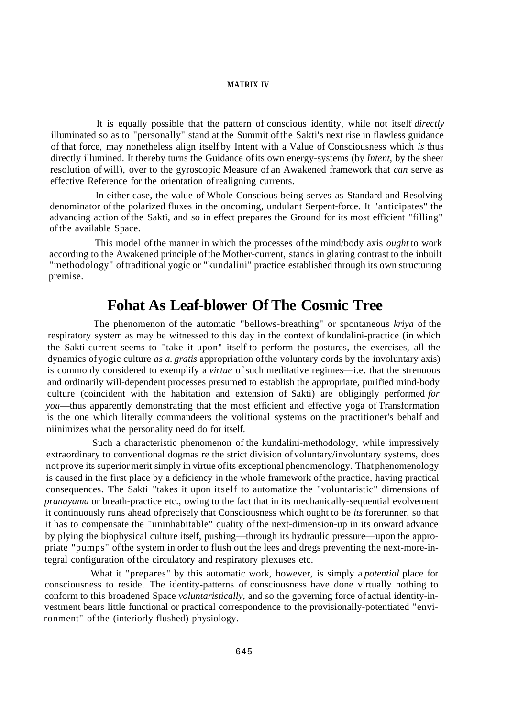It is equally possible that the pattern of conscious identity, while not itself *directly* illuminated so as to "personally" stand at the Summit of the Sakti's next rise in flawless guidance of that force, may nonetheless align itself by Intent with a Value of Consciousness which *is* thus directly illumined. It thereby turns the Guidance of its own energy-systems (by *Intent,* by the sheer resolution of will), over to the gyroscopic Measure of an Awakened framework that *can* serve as effective Reference for the orientation of realigning currents.

In either case, the value of Whole-Conscious being serves as Standard and Resolving denominator of the polarized fluxes in the oncoming, undulant Serpent-force. It "anticipates" the advancing action of the Sakti, and so in effect prepares the Ground for its most efficient "filling" of the available Space.

This model of the manner in which the processes of the mind/body axis *ought* to work according to the Awakened principle of the Mother-current, stands in glaring contrast to the inbuilt "methodology" of traditional yogic or "kundalini" practice established through its own structuring premise.

### **Fohat As Leaf-blower Of The Cosmic Tree**

The phenomenon of the automatic "bellows-breathing" or spontaneous *kriya* of the respiratory system as may be witnessed to this day in the context of kundalini-practice (in which the Sakti-current seems to "take it upon" itself to perform the postures, the exercises, all the dynamics of yogic culture *as a. gratis* appropriation of the voluntary cords by the involuntary axis) is commonly considered to exemplify a *virtue* of such meditative regimes—i.e. that the strenuous and ordinarily will-dependent processes presumed to establish the appropriate, purified mind-body culture (coincident with the habitation and extension of Sakti) are obligingly performed *for you*—thus apparently demonstrating that the most efficient and effective yoga of Transformation is the one which literally commandeers the volitional systems on the practitioner's behalf and niinimizes what the personality need do for itself.

Such a characteristic phenomenon of the kundalini-methodology, while impressively extraordinary to conventional dogmas re the strict division of voluntary/involuntary systems, does not prove its superior merit simply in virtue of its exceptional phenomenology. That phenomenology is caused in the first place by a deficiency in the whole framework of the practice, having practical consequences. The Sakti "takes it upon itself to automatize the "voluntaristic" dimensions of *pranayama* or breath-practice etc., owing to the fact that in its mechanically-sequential evolvement it continuously runs ahead of precisely that Consciousness which ought to be *its* forerunner, so that it has to compensate the "uninhabitable" quality of the next-dimension-up in its onward advance by plying the biophysical culture itself, pushing—through its hydraulic pressure—upon the appropriate "pumps" of the system in order to flush out the lees and dregs preventing the next-more-integral configuration of the circulatory and respiratory plexuses etc.

What it "prepares" by this automatic work, however, is simply a *potential* place for consciousness to reside. The identity-patterns of consciousness have done virtually nothing to conform to this broadened Space *voluntaristically,* and so the governing force of actual identity-investment bears little functional or practical correspondence to the provisionally-potentiated "environment" of the (interiorly-flushed) physiology.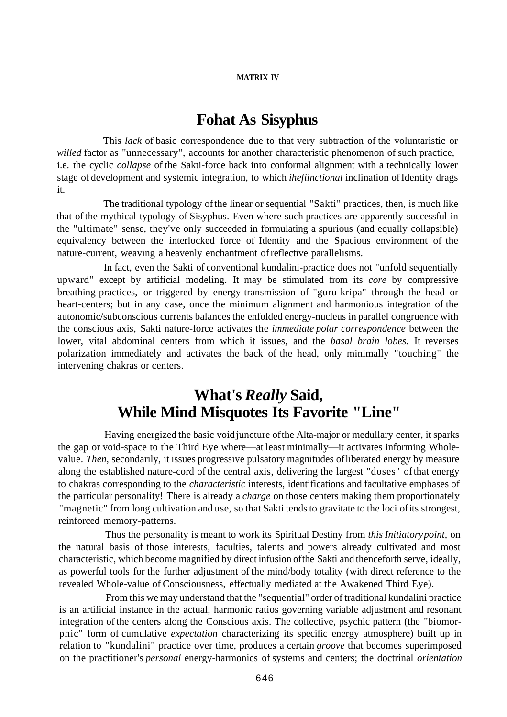## **Fohat As Sisyphus**

This *lack* of basic correspondence due to that very subtraction of the voluntaristic or *willed* factor as "unnecessary", accounts for another characteristic phenomenon of such practice, i.e. the cyclic *collapse* of the Sakti-force back into conformal alignment with a technically lower stage of development and systemic integration, to which *ihefiinctional* inclination of Identity drags it.

The traditional typology of the linear or sequential "Sakti" practices, then, is much like that of the mythical typology of Sisyphus. Even where such practices are apparently successful in the "ultimate" sense, they've only succeeded in formulating a spurious (and equally collapsible) equivalency between the interlocked force of Identity and the Spacious environment of the nature-current, weaving a heavenly enchantment of reflective parallelisms.

In fact, even the Sakti of conventional kundalini-practice does not "unfold sequentially upward" except by artificial modeling. It may be stimulated from its *core* by compressive breathing-practices, or triggered by energy-transmission of "guru-kripa" through the head or heart-centers; but in any case, once the minimum alignment and harmonious integration of the autonomic/subconscious currents balances the enfolded energy-nucleus in parallel congruence with the conscious axis, Sakti nature-force activates the *immediate polar correspondence* between the lower, vital abdominal centers from which it issues, and the *basal brain lobes.* It reverses polarization immediately and activates the back of the head, only minimally "touching" the intervening chakras or centers.

## **What's** *Really* **Said, While Mind Misquotes Its Favorite "Line"**

Having energized the basic void juncture of the Alta-major or medullary center, it sparks the gap or void-space to the Third Eye where—at least minimally—it activates informing Wholevalue. *Then,* secondarily, it issues progressive pulsatory magnitudes of liberated energy by measure along the established nature-cord of the central axis, delivering the largest "doses" of that energy to chakras corresponding to the *characteristic* interests, identifications and facultative emphases of the particular personality! There is already a *charge* on those centers making them proportionately "magnetic" from long cultivation and use, so that Sakti tends to gravitate to the loci of its strongest, reinforced memory-patterns.

Thus the personality is meant to work its Spiritual Destiny from *this Initiatory point,* on the natural basis of those interests, faculties, talents and powers already cultivated and most characteristic, which become magnified by direct infusion of the Sakti and thenceforth serve, ideally, as powerful tools for the further adjustment of the mind/body totality (with direct reference to the revealed Whole-value of Consciousness, effectually mediated at the Awakened Third Eye).

From this we may understand that the "sequential" order of traditional kundalini practice is an artificial instance in the actual, harmonic ratios governing variable adjustment and resonant integration of the centers along the Conscious axis. The collective, psychic pattern (the "biomorphic" form of cumulative *expectation* characterizing its specific energy atmosphere) built up in relation to "kundalini" practice over time, produces a certain *groove* that becomes superimposed on the practitioner's *personal* energy-harmonics of systems and centers; the doctrinal *orientation*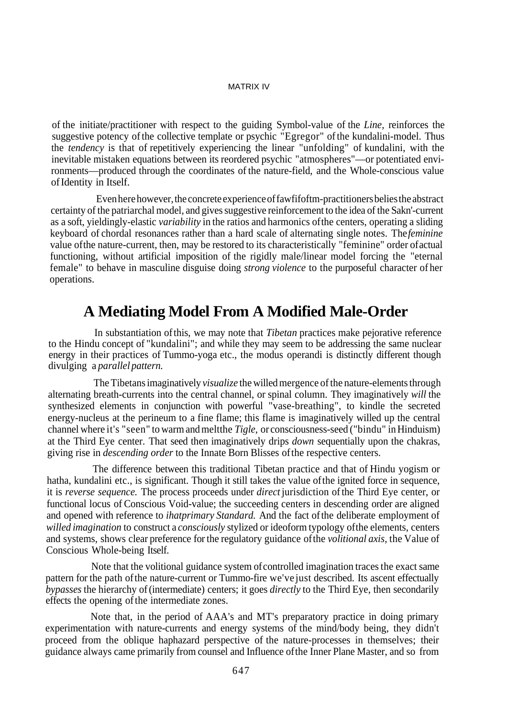of the initiate/practitioner with respect to the guiding Symbol-value of the *Line,* reinforces the suggestive potency of the collective template or psychic "Egregor" of the kundalini-model. Thus the *tendency* is that of repetitively experiencing the linear "unfolding" of kundalini, with the inevitable mistaken equations between its reordered psychic "atmospheres"—or potentiated environments—produced through the coordinates of the nature-field, and the Whole-conscious value of Identity in Itself.

Even here however, the concrete experience of fawfifoftm-practitioners belies the abstract certainty of the patriarchal model, and gives suggestive reinforcement to the idea of the Sakn'-current as a soft, yieldingly-elastic *variability* in the ratios and harmonics of the centers, operating a sliding keyboard of chordal resonances rather than a hard scale of alternating single notes. The *feminine* value of the nature-current, then, may be restored to its characteristically "feminine" order of actual functioning, without artificial imposition of the rigidly male/linear model forcing the "eternal female" to behave in masculine disguise doing *strong violence* to the purposeful character of her operations.

## **A Mediating Model From A Modified Male-Order**

In substantiation of this, we may note that *Tibetan* practices make pejorative reference to the Hindu concept of "kundalini"; and while they may seem to be addressing the same nuclear energy in their practices of Tummo-yoga etc., the modus operandi is distinctly different though divulging a *parallel pattern.*

The Tibetans imaginatively *visualize* the willed mergence of the nature-elements through alternating breath-currents into the central channel, or spinal column. They imaginatively *will* the synthesized elements in conjunction with powerful "vase-breathing", to kindle the secreted energy-nucleus at the perineum to a fine flame; this flame is imaginatively willed up the central channel where it's "seen" to warm and meltthe *Tigle,* or consciousness-seed ("bindu" in Hinduism) at the Third Eye center. That seed then imaginatively drips *down* sequentially upon the chakras, giving rise in *descending order* to the Innate Born Blisses of the respective centers.

The difference between this traditional Tibetan practice and that of Hindu yogism or hatha, kundalini etc., is significant. Though it still takes the value of the ignited force in sequence, it is *reverse sequence.* The process proceeds under *direct* jurisdiction of the Third Eye center, or functional locus of Conscious Void-value; the succeeding centers in descending order are aligned and opened with reference to *ihatprimary Standard.* And the fact of the deliberate employment of *willed imagination* to construct a *consciously* stylized or ideoform typology of the elements, centers and systems, shows clear preference for the regulatory guidance of the *volitional axis,* the Value of Conscious Whole-being Itself.

Note that the volitional guidance system of controlled imagination traces the exact same pattern for the path of the nature-current or Tummo-fire we've just described. Its ascent effectually *bypasses* the hierarchy of (intermediate) centers; it goes *directly* to the Third Eye, then secondarily effects the opening of the intermediate zones.

Note that, in the period of AAA's and MT's preparatory practice in doing primary experimentation with nature-currents and energy systems of the mind/body being, they didn't proceed from the oblique haphazard perspective of the nature-processes in themselves; their guidance always came primarily from counsel and Influence of the Inner Plane Master, and so from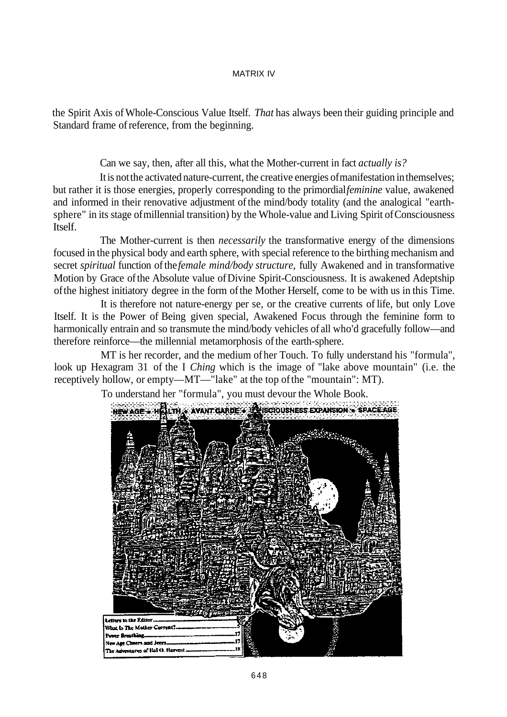the Spirit Axis of Whole-Conscious Value Itself. *That* has always been their guiding principle and Standard frame of reference, from the beginning.

Can we say, then, after all this, what the Mother-current in fact *actually is?*

It is not the activated nature-current, the creative energies of manifestation in themselves; but rather it is those energies, properly corresponding to the primordial *feminine* value, awakened and informed in their renovative adjustment of the mind/body totality (and the analogical "earthsphere" in its stage of millennial transition) by the Whole-value and Living Spirit of Consciousness Itself.

The Mother-current is then *necessarily* the transformative energy of the dimensions focused in the physical body and earth sphere, with special reference to the birthing mechanism and secret *spiritual* function of the *female mind/body structure,* fully Awakened and in transformative Motion by Grace of the Absolute value of Divine Spirit-Consciousness. It is awakened Adeptship of the highest initiatory degree in the form of the Mother Herself, come to be with us in this Time.

It is therefore not nature-energy per se, or the creative currents of life, but only Love Itself. It is the Power of Being given special, Awakened Focus through the feminine form to harmonically entrain and so transmute the mind/body vehicles of all who'd gracefully follow—and therefore reinforce—the millennial metamorphosis of the earth-sphere.

MT is her recorder, and the medium of her Touch. To fully understand his "formula", look up Hexagram 31 of the I *Ching* which is the image of "lake above mountain" (i.e. the receptively hollow, or empty—MT—"lake" at the top of the "mountain": MT).

To understand her "formula", you must devour the Whole Book.

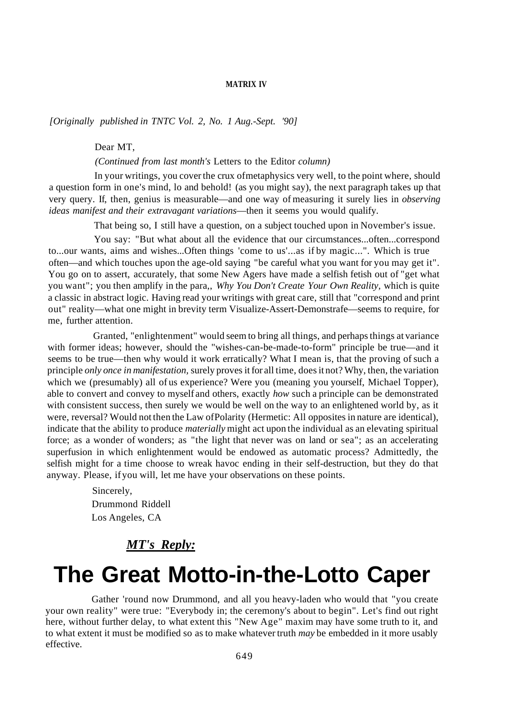*[Originally published in TNTC Vol. 2, No. 1 Aug.-Sept. '90]*

### Dear MT,

*(Continued from last month's* Letters to the Editor *column)*

In your writings, you cover the crux of metaphysics very well, to the point where, should a question form in one's mind, lo and behold! (as you might say), the next paragraph takes up that very query. If, then, genius is measurable—and one way of measuring it surely lies in *observing ideas manifest and their extravagant variations*—then it seems you would qualify.

That being so, I still have a question, on a subject touched upon in November's issue.

You say: "But what about all the evidence that our circumstances...often...correspond to...our wants, aims and wishes...Often things 'come to us'...as if by magic...". Which is true often—and which touches upon the age-old saying "be careful what you want for you may get it". You go on to assert, accurately, that some New Agers have made a selfish fetish out of "get what you want"; you then amplify in the para,, *Why You Don't Create Your Own Reality,* which is quite a classic in abstract logic. Having read your writings with great care, still that "correspond and print out" reality—what one might in brevity term Visualize-Assert-Demonstrafe—seems to require, for me, further attention.

Granted, "enlightenment" would seem to bring all things, and perhaps things at variance with former ideas; however, should the "wishes-can-be-made-to-form" principle be true—and it seems to be true—then why would it work erratically? What I mean is, that the proving of such a principle *only once in manifestation,* surely proves it for all time, does it not? Why, then, the variation which we (presumably) all of us experience? Were you (meaning you yourself, Michael Topper), able to convert and convey to myself and others, exactly *how* such a principle can be demonstrated with consistent success, then surely we would be well on the way to an enlightened world by, as it were, reversal? Would not then the Law of Polarity (Hermetic: All opposites in nature are identical), indicate that the ability to produce *materially* might act upon the individual as an elevating spiritual force; as a wonder of wonders; as "the light that never was on land or sea"; as an accelerating superfusion in which enlightenment would be endowed as automatic process? Admittedly, the selfish might for a time choose to wreak havoc ending in their self-destruction, but they do that anyway. Please, if you will, let me have your observations on these points.

> Sincerely, Drummond Riddell Los Angeles, CA

### *MT's Reply:*

# **The Great Motto-in-the-Lotto Caper**

Gather 'round now Drummond, and all you heavy-laden who would that "you create your own reality" were true: "Everybody in; the ceremony's about to begin". Let's find out right here, without further delay, to what extent this "New Age" maxim may have some truth to it, and to what extent it must be modified so as to make whatever truth *may* be embedded in it more usably effective.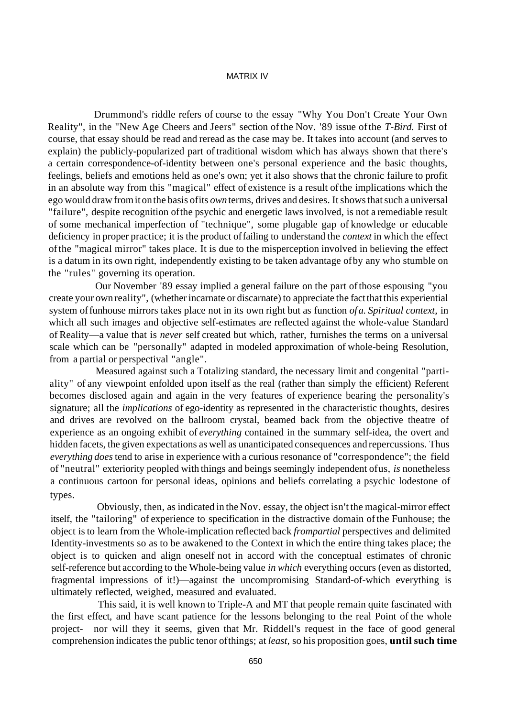Drummond's riddle refers of course to the essay "Why You Don't Create Your Own Reality", in the "New Age Cheers and Jeers" section of the Nov. '89 issue of the *T-Bird.* First of course, that essay should be read and reread as the case may be. It takes into account (and serves to explain) the publicly-popularized part of traditional wisdom which has always shown that there's a certain correspondence-of-identity between one's personal experience and the basic thoughts, feelings, beliefs and emotions held as one's own; yet it also shows that the chronic failure to profit in an absolute way from this "magical" effect of existence is a result of the implications which the ego would draw from it on the basis of its *own* terms, drives and desires. It shows that such a universal "failure", despite recognition of the psychic and energetic laws involved, is not a remediable result of some mechanical imperfection of "technique", some plugable gap of knowledge or educable deficiency in proper practice; it is the product of failing to understand the *context* in which the effect of the "magical mirror" takes place. It is due to the misperception involved in believing the effect is a datum in its own right, independently existing to be taken advantage of by any who stumble on the "rules" governing its operation.

Our November '89 essay implied a general failure on the part of those espousing "you create your own reality", (whether incarnate or discarnate) to appreciate the fact that this experiential system of funhouse mirrors takes place not in its own right but as function *of a. Spiritual context,* in which all such images and objective self-estimates are reflected against the whole-value Standard of Reality—a value that is *never* self created but which, rather, furnishes the terms on a universal scale which can be "personally" adapted in modeled approximation of whole-being Resolution, from a partial or perspectival "angle".

Measured against such a Totalizing standard, the necessary limit and congenital "partiality" of any viewpoint enfolded upon itself as the real (rather than simply the efficient) Referent becomes disclosed again and again in the very features of experience bearing the personality's signature; all the *implications* of ego-identity as represented in the characteristic thoughts, desires and drives are revolved on the ballroom crystal, beamed back from the objective theatre of experience as an ongoing exhibit of *everything* contained in the summary self-idea, the overt and hidden facets, the given expectations as well as unanticipated consequences and repercussions. Thus *everything does* tend to arise in experience with a curious resonance of "correspondence"; the field of "neutral" exteriority peopled with things and beings seemingly independent of us, *is* nonetheless a continuous cartoon for personal ideas, opinions and beliefs correlating a psychic lodestone of types.

Obviously, then, as indicated in the Nov. essay, the object isn't the magical-mirror effect itself, the "tailoring" of experience to specification in the distractive domain of the Funhouse; the object is to learn from the Whole-implication reflected back *frompartial* perspectives and delimited Identity-investments so as to be awakened to the Context in which the entire thing takes place; the object is to quicken and align oneself not in accord with the conceptual estimates of chronic self-reference but according to the Whole-being value *in which* everything occurs (even as distorted, fragmental impressions of it!)—against the uncompromising Standard-of-which everything is ultimately reflected, weighed, measured and evaluated.

This said, it is well known to Triple-A and MT that people remain quite fascinated with the first effect, and have scant patience for the lessons belonging to the real Point of the whole project- nor will they it seems, given that Mr. Riddell's request in the face of good general comprehension indicates the public tenor of things; at *least,* so his proposition goes, **until such time**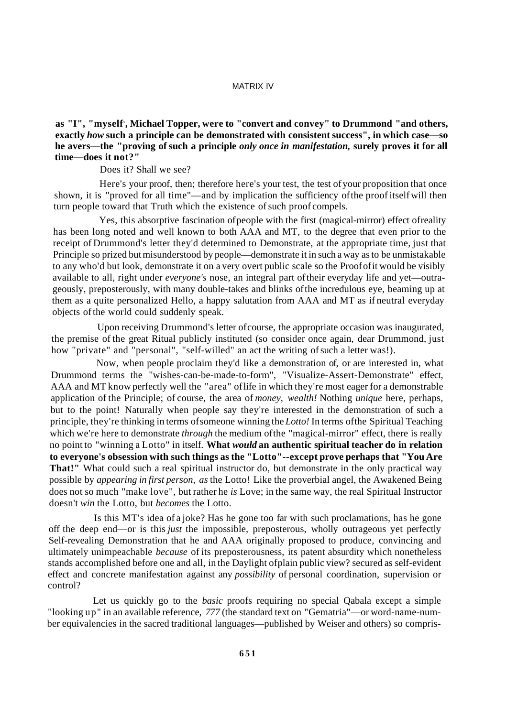### **as "I", "myself, , Michael Topper, were to "convert and convey" to Drummond "and others, exactly** *how* **such a principle can be demonstrated with consistent success", in which case—so he avers—the "proving of such a principle** *only once in manifestation,* **surely proves it for all time—does it not?"**

Does it? Shall we see?

Here's your proof, then; therefore here's your test, the test of your proposition that once shown, it is "proved for all time"—and by implication the sufficiency of the proof itself will then turn people toward that Truth which the existence of such proof compels.

Yes, this absorptive fascination of people with the first (magical-mirror) effect of reality has been long noted and well known to both AAA and MT, to the degree that even prior to the receipt of Drummond's letter they'd determined to Demonstrate, at the appropriate time, just that Principle so prized but misunderstood by people—demonstrate it in such a way as to be unmistakable to any who'd but look, demonstrate it on a very overt public scale so the Proof of it would be visibly available to all, right under *everyone's* nose, an integral part of their everyday life and yet—outrageously, preposterously, with many double-takes and blinks of the incredulous eye, beaming up at them as a quite personalized Hello, a happy salutation from AAA and MT as if neutral everyday objects of the world could suddenly speak.

Upon receiving Drummond's letter of course, the appropriate occasion was inaugurated, the premise of the great Ritual publicly instituted (so consider once again, dear Drummond, just how "private" and "personal", "self-willed" an act the writing of such a letter was!).

Now, when people proclaim they'd like a demonstration of, or are interested in, what Drummond terms the "wishes-can-be-made-to-form", "Visualize-Assert-Demonstrate" effect, AAA and MT know perfectly well the "area" of life in which they're most eager for a demonstrable application of the Principle; of course, the area of *money, wealth!* Nothing *unique* here, perhaps, but to the point! Naturally when people say they're interested in the demonstration of such a principle, they're thinking in terms of someone winning the *Lotto!* In terms of the Spiritual Teaching which we're here to demonstrate *through* the medium of the "magical-mirror" effect, there is really no point to "winning a Lotto" in itself. **What** *would* **an authentic spiritual teacher do in relation to everyone's obsession with such things as the "Lotto"--except prove perhaps that "You Are That!"** What could such a real spiritual instructor do, but demonstrate in the only practical way possible by *appearing in first person, as* the Lotto! Like the proverbial angel, the Awakened Being does not so much "make love", but rather he *is* Love; in the same way, the real Spiritual Instructor doesn't *win* the Lotto, but *becomes* the Lotto.

Is this MT's idea of a joke? Has he gone too far with such proclamations, has he gone off the deep end—or is this *just* the impossible, preposterous, wholly outrageous yet perfectly Self-revealing Demonstration that he and AAA originally proposed to produce, convincing and ultimately unimpeachable *because* of its preposterousness, its patent absurdity which nonetheless stands accomplished before one and all, in the Daylight of plain public view? secured as self-evident effect and concrete manifestation against any *possibility* of personal coordination, supervision or control?

Let us quickly go to the *basic* proofs requiring no special Qabala except a simple "looking up" in an available reference, *777* (the standard text on "Gematria"—or word-name-number equivalencies in the sacred traditional languages—published by Weiser and others) so compris-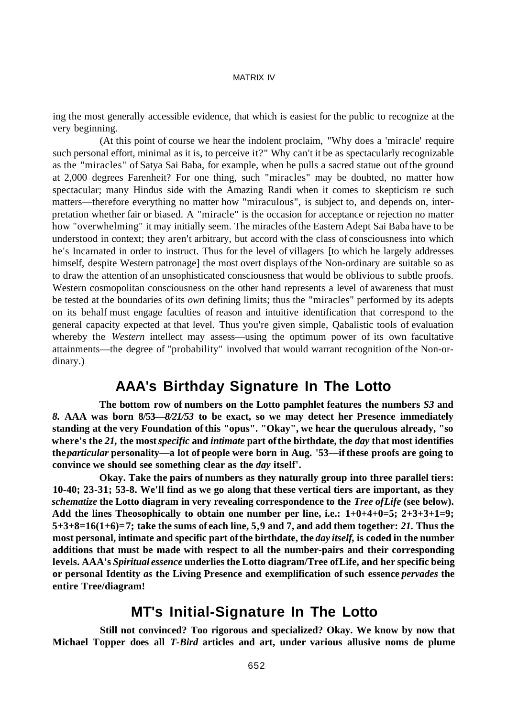ing the most generally accessible evidence, that which is easiest for the public to recognize at the very beginning.

(At this point of course we hear the indolent proclaim, "Why does a 'miracle' require such personal effort, minimal as it is, to perceive it?" Why can't it be as spectacularly recognizable as the "miracles" of Satya Sai Baba, for example, when he pulls a sacred statue out of the ground at 2,000 degrees Farenheit? For one thing, such "miracles" may be doubted, no matter how spectacular; many Hindus side with the Amazing Randi when it comes to skepticism re such matters—therefore everything no matter how "miraculous", is subject to, and depends on, interpretation whether fair or biased. A "miracle" is the occasion for acceptance or rejection no matter how "overwhelming" it may initially seem. The miracles of the Eastern Adept Sai Baba have to be understood in context; they aren't arbitrary, but accord with the class of consciousness into which he's Incarnated in order to instruct. Thus for the level of villagers [to which he largely addresses himself, despite Western patronage] the most overt displays of the Non-ordinary are suitable so as to draw the attention of an unsophisticated consciousness that would be oblivious to subtle proofs. Western cosmopolitan consciousness on the other hand represents a level of awareness that must be tested at the boundaries of its *own* defining limits; thus the "miracles" performed by its adepts on its behalf must engage faculties of reason and intuitive identification that correspond to the general capacity expected at that level. Thus you're given simple, Qabalistic tools of evaluation whereby the *Western* intellect may assess—using the optimum power of its own facultative attainments—the degree of "probability" involved that would warrant recognition of the Non-ordinary.)

### **AAA's Birthday Signature In The Lotto**

**The bottom row of numbers on the Lotto pamphlet features the numbers** *S3* **and** *8.* **AAA was born 8/53—***8/21/53* **to be exact, so we may detect her Presence immediately standing at the very Foundation of this "opus". "Okay", we hear the querulous already, "so where's the** *21,* **the most** *specific* **and** *intimate* **part of the birthdate, the** *day* **that most identifies the** *particular* **personality—a lot of people were born in Aug. '53—if these proofs are going to convince we should see something clear as the** *day* **itself'.**

**Okay. Take the pairs of numbers as they naturally group into three parallel tiers: 10-40; 23-31; 53-8. We'll find as we go along that these vertical tiers are important, as they** *schematize* **the Lotto diagram in very revealing correspondence to the** *Tree of Life* **(see below). Add the lines Theosophically to obtain one number per line, i.e.: 1+0+4+0=5; 2+3+3+1=9; 5+3+8=16(1+6)= 7; take the sums of each line, 5,9 and 7, and add them together:** *21.* **Thus the most personal, intimate and specific part of the birthdate, the** *day itself,* **is coded in the number additions that must be made with respect to all the number-pairs and their corresponding levels. AAA's** *Spiritual essence* **underlies the Lotto diagram/Tree of Life, and her specific being or personal Identity** *as* **the Living Presence and exemplification of such essence** *pervades* **the entire Tree/diagram!**

## **MT's Initial-Signature In The Lotto**

**Still not convinced? Too rigorous and specialized? Okay. We know by now that Michael Topper does all** *T-Bird* **articles and art, under various allusive noms de plume**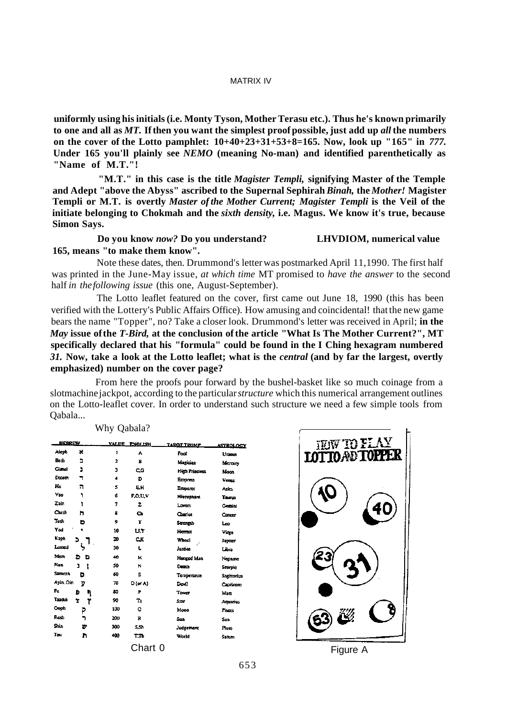**uniformly using his initials (i.e. Monty Tyson, Mother Terasu etc.). Thus he's known primarily to one and all as** *MT.* **If then you want the simplest proof possible, just add up** *all* **the numbers on the cover of the Lotto pamphlet: 10+40+23+31+53+8=165. Now, look up "165" in** *777.* **Under 165 you'll plainly see** *NEMO* **(meaning No-man) and identified parenthetically as "Name of M.T."!**

**"M.T." in this case is the title** *Magister Templi,* **signifying Master of the Temple and Adept "above the Abyss" ascribed to the Supernal Sephirah** *Binah,* **the** *Mother!* **Magister Templi or M.T. is overtly** *Master of the Mother Current; Magister Templi* **is the Veil of the initiate belonging to Chokmah and the** *sixth density,* **i.e. Magus. We know it's true, because Simon Says.**

**Do you know** *now?* **Do you understand? LHVDIOM, numerical value 165, means "to make them know".**

Note these dates, then. Drummond's letter was postmarked April 11,1990. The first half was printed in the June-May issue, *at which time* MT promised to *have the answer* to the second half *in the following issue* (this one, August-September).

The Lotto leaflet featured on the cover, first came out June 18, 1990 (this has been verified with the Lottery's Public Affairs Office). How amusing and coincidental! that the new game bears the name "Topper", no? Take a closer look. Drummond's letter was received in April; **in the** *May* **issue of the** *T-Bird,* **at the conclusion of the article "What Is The Mother Current?", MT specifically declared that his "formula" could be found in the I Ching hexagram numbered** *31.* **Now, take a look at the Lotto leaflet; what is the** *central* **(and by far the largest, overtly emphasized) number on the cover page?**

From here the proofs pour forward by the bushel-basket like so much coinage from a slotmachine jackpot, according to the particular *structure* which this numerical arrangement outlines on the Lotto-leaflet cover. In order to understand such structure we need a few simple tools from Qabala...

| <b>HEBREW</b>      |                | VALUE ENGLISH       | <b>TAROT TRUMP</b> | <b>ASTROLOGY</b> |
|--------------------|----------------|---------------------|--------------------|------------------|
| ĸ<br>Aleph         | ı              | A                   | Fool               | Uranus           |
| Beth<br>E          | $\overline{z}$ | в                   | Magician           | Mercury          |
| Cimel<br>ă         | 3              | CG                  | High Priestess     | Moon             |
| Datesh<br>7        | 4              | D.                  | <b>Empress</b>     | Venus            |
| He<br>'n           | 5              | EH                  | <b>Ensperor</b>    | <b>Aries</b>     |
| Van<br>١           | ś              | <b>F.O.U.V</b>      | Hierophant         | Taurus           |
| Zain<br>t          | 7              | z                   | Lovers             | Gemini           |
| Cheth<br>n         | â              | œ                   | Chariot            | Cancer           |
| Teth<br>ь          | ۰              | т                   | Strength           | Leo              |
| Yod<br>٠           | 10             | <b>LLY</b>          | Hermit             | Virgo            |
| Kaph<br>د          | 20             | CК                  | Wheel              | Jupiter          |
| 5<br>Lamed         | 30             | ι                   | Justice            | Libra            |
| Mem<br>ь<br>D      | 40             | M                   | Hanged Man         | Neptune          |
| Nan<br>ă.<br>۲     | 50             | N                   | Death              | Scorpio          |
| <b>Samekh</b><br>D | 60             | s                   | Temperance         | Saginarius       |
| Ayin, Oin<br>ņ     | 70             | $O(\alpha \Lambda)$ | Devil              | Capricorn        |
| Pe<br>D<br>η       | 80             | P                   | Tower              | Mars             |
| Tzaddi<br>¥<br>۲   | 90             | т.                  | Star               | <b>Aquarius</b>  |
| Qoph<br>P          | 100            | o                   | Moon               | Pisees           |
| Resh<br>7          | 200            | R                   | San                | Sun-             |
| Shin.<br>v         | 300            | \$Sh                | Judgement          | Philo            |
| Tau<br>h           | 400            | T.Th                | World              | Saturn           |
|                    |                |                     |                    |                  |

Why Qabala?

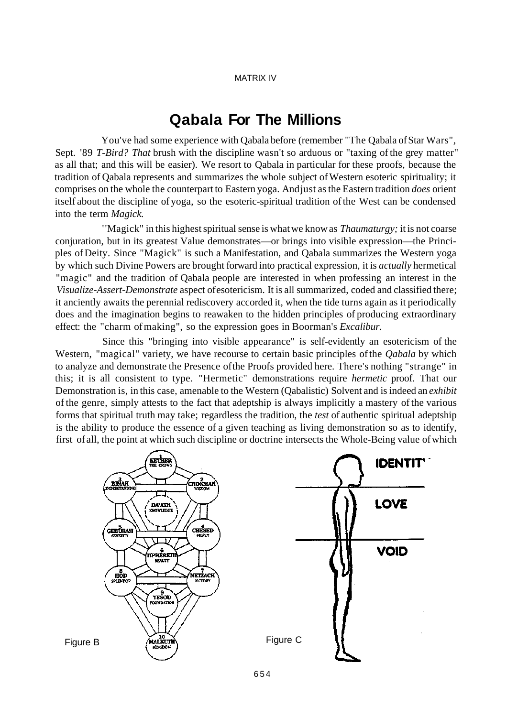## **Qabala For The Millions**

You've had some experience with Qabala before (remember "The Qabala of Star Wars", Sept. '89 *T-Bird? That* brush with the discipline wasn't so arduous or "taxing of the grey matter" as all that; and this will be easier). We resort to Qabala in particular for these proofs, because the tradition of Qabala represents and summarizes the whole subject of Western esoteric spirituality; it comprises on the whole the counterpart to Eastern yoga. And just as the Eastern tradition *does* orient itself about the discipline of yoga, so the esoteric-spiritual tradition of the West can be condensed into the term *Magick.*

' 'Magick" in this highest spiritual sense is what we know as *Thaumaturgy;* it is not coarse conjuration, but in its greatest Value demonstrates—or brings into visible expression—the Principles of Deity. Since "Magick" is such a Manifestation, and Qabala summarizes the Western yoga by which such Divine Powers are brought forward into practical expression, it is *actually* hermetical "magic" and the tradition of Qabala people are interested in when professing an interest in the *Visualize-Assert-Demonstrate* aspect of esotericism. It is all summarized, coded and classified there; it anciently awaits the perennial rediscovery accorded it, when the tide turns again as it periodically does and the imagination begins to reawaken to the hidden principles of producing extraordinary effect: the "charm of making", so the expression goes in Boorman's *Excalibur.*

Since this "bringing into visible appearance" is self-evidently an esotericism of the Western, "magical" variety, we have recourse to certain basic principles of the *Qabala* by which to analyze and demonstrate the Presence of the Proofs provided here. There's nothing "strange" in this; it is all consistent to type. "Hermetic" demonstrations require *hermetic* proof. That our Demonstration is, in this case, amenable to the Western (Qabalistic) Solvent and is indeed an *exhibit* of the genre, simply attests to the fact that adeptship is always implicitly a mastery of the various forms that spiritual truth may take; regardless the tradition, the *test* of authentic spiritual adeptship is the ability to produce the essence of a given teaching as living demonstration so as to identify, first of all, the point at which such discipline or doctrine intersects the Whole-Being value of which

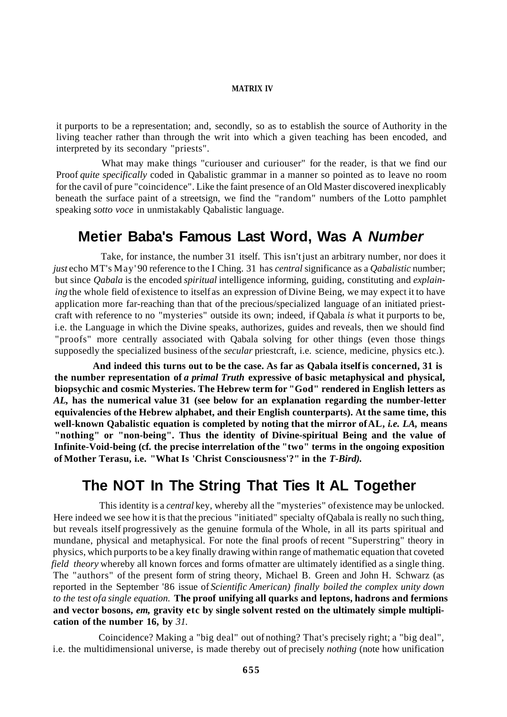it purports to be a representation; and, secondly, so as to establish the source of Authority in the living teacher rather than through the writ into which a given teaching has been encoded, and interpreted by its secondary "priests".

What may make things "curiouser and curiouser" for the reader, is that we find our Proof *quite specifically* coded in Qabalistic grammar in a manner so pointed as to leave no room for the cavil of pure "coincidence". Like the faint presence of an Old Master discovered inexplicably beneath the surface paint of a streetsign, we find the "random" numbers of the Lotto pamphlet speaking *sotto voce* in unmistakably Qabalistic language.

## **Metier Baba's Famous Last Word, Was A Number**

Take, for instance, the number 31 itself. This isn't just an arbitrary number, nor does it *just* echo MT's May' 90 reference to the I Ching. 31 has *central* significance as a *Qabalistic* number; but since *Qabala* is the encoded *spiritual* intelligence informing, guiding, constituting and *explaining* the whole field of existence to itself as an expression of Divine Being, we may expect it to have application more far-reaching than that of the precious/specialized language of an initiated priestcraft with reference to no "mysteries" outside its own; indeed, if Qabala *is* what it purports to be, i.e. the Language in which the Divine speaks, authorizes, guides and reveals, then we should find "proofs" more centrally associated with Qabala solving for other things (even those things supposedly the specialized business of the *secular* priestcraft, i.e. science, medicine, physics etc.).

**And indeed this turns out to be the case. As far as Qabala itself is concerned, 31 is the number representation of** *a primal Truth* **expressive of basic metaphysical and physical, biopsychic and cosmic Mysteries. The Hebrew term for "God" rendered in English letters as** *AL,* **has the numerical value 31 (see below for an explanation regarding the number-letter equivalencies of the Hebrew alphabet, and their English counterparts). At the same time, this well-known Qabalistic equation is completed by noting that the mirror ofAL,** *i.e. LA,* **means "nothing" or "non-being". Thus the identity of Divine-spiritual Being and the value of Infinite-Void-being (cf. the precise interrelation of the "two" terms in the ongoing exposition of Mother Terasu, i.e. "What Is 'Christ Consciousness'?" in the** *T-Bird).*

## **The NOT In The String That Ties It AL Together**

This identity is a *central* key, whereby all the "mysteries" of existence may be unlocked. Here indeed we see how it is that the precious "initiated" specialty of Qabala is really no such thing, but reveals itself progressively as the genuine formula of the Whole, in all its parts spiritual and mundane, physical and metaphysical. For note the final proofs of recent "Superstring" theory in physics, which purports to be a key finally drawing within range of mathematic equation that coveted *field theory* whereby all known forces and forms of matter are ultimately identified as a single thing. The "authors" of the present form of string theory, Michael B. Green and John H. Schwarz (as reported in the September '86 issue of *Scientific American) finally boiled the complex unity down to the test ofa single equation.* **The proof unifying all quarks and leptons, hadrons and fermions and vector bosons,** *em,* **gravity etc by single solvent rested on the ultimately simple multiplication of the number 16, by** *31.*

Coincidence? Making a "big deal" out of nothing? That's precisely right; a "big deal", i.e. the multidimensional universe, is made thereby out of precisely *nothing* (note how unification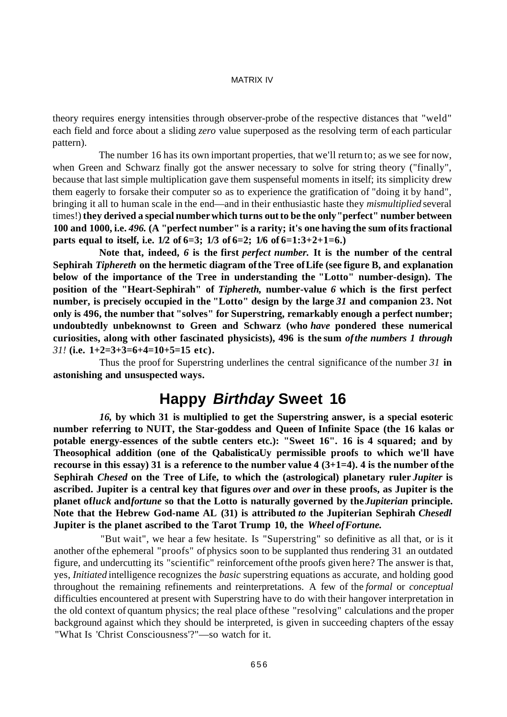theory requires energy intensities through observer-probe of the respective distances that "weld" each field and force about a sliding *zero* value superposed as the resolving term of each particular pattern).

The number 16 has its own important properties, that we'll return to; as we see for now, when Green and Schwarz finally got the answer necessary to solve for string theory ("finally", because that last simple multiplication gave them suspenseful moments in itself; its simplicity drew them eagerly to forsake their computer so as to experience the gratification of "doing it by hand", bringing it all to human scale in the end—and in their enthusiastic haste they *mismultiplied* several times!) **they derived a special number which turns out to be the only "perfect" number between 100 and 1000, i.e.** *496.* **(A "perfect number" is a rarity; it's one having the sum of its fractional parts equal to itself, i.e. 1/2 of 6=3; 1/3 of 6=2; 1/6 of 6=1:3+2+1=6.)**

**Note that, indeed,** *6* **is the first** *perfect number.* **It is the number of the central Sephirah** *Tiphereth* **on the hermetic diagram of the Tree of Life (see figure B, and explanation below of the importance of the Tree in understanding the "Lotto" number-design). The position of the "Heart-Sephirah" of** *Tiphereth,* **number-value** *6* **which is the first perfect number, is precisely occupied in the "Lotto" design by the large** *31* **and companion 23. Not only is 496, the number that "solves" for Superstring, remarkably enough a perfect number; undoubtedly unbeknownst to Green and Schwarz (who** *have* **pondered these numerical curiosities, along with other fascinated physicists), 496 is the sum** *of the numbers 1 through 31!* **(i.e. 1+2=3+3=6+4=10+5=15 etc).**

Thus the proof for Superstring underlines the central significance of the number *31* **in astonishing and unsuspected ways.**

## **Happy Birthday Sweet 16**

*16,* **by which 31 is multiplied to get the Superstring answer, is a special esoteric number referring to NUIT, the Star-goddess and Queen of Infinite Space (the 16 kalas or potable energy-essences of the subtle centers etc.): "Sweet 16". 16 is 4 squared; and by Theosophical addition (one of the QabalisticaUy permissible proofs to which we'll have recourse in this essay) 31 is a reference to the number value 4 (3+1=4). 4 is the number of the Sephirah** *Chesed* **on the Tree of Life, to which the (astrological) planetary ruler** *Jupiter* **is ascribed. Jupiter is a central key that figures** *over* **and** *over* **in these proofs, as Jupiter is the planet of***luck* **and** *fortune* **so that the Lotto is naturally governed by the** *Jupiterian* **principle. Note that the Hebrew God-name AL (31) is attributed** *to* **the Jupiterian Sephirah** *Chesedl* **Jupiter is the planet ascribed to the Tarot Trump 10, the** *Wheel of Fortune.*

"But wait", we hear a few hesitate. Is "Superstring" so definitive as all that, or is it another of the ephemeral "proofs" of physics soon to be supplanted thus rendering 31 an outdated figure, and undercutting its "scientific" reinforcement of the proofs given here? The answer is that, yes, *Initiated* intelligence recognizes the *basic* superstring equations as accurate, and holding good throughout the remaining refinements and reinterpretations. A few of the *formal* or *conceptual* difficulties encountered at present with Superstring have to do with their hangover interpretation in the old context of quantum physics; the real place of these "resolving" calculations and the proper background against which they should be interpreted, is given in succeeding chapters of the essay "What Is 'Christ Consciousness'?"—so watch for it.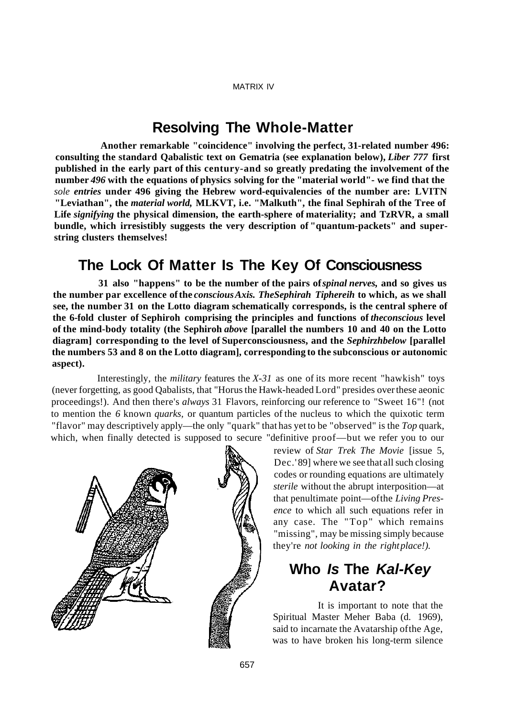## **Resolving The Whole-Matter**

**Another remarkable "coincidence" involving the perfect, 31-related number 496: consulting the standard Qabalistic text on Gematria (see explanation below),** *Liber 777* **first published in the early part of this century-and so greatly predating the involvement of the number** *496* **with the equations of physics solving for the "material world"- we find that the** *sole entries* **under 496 giving the Hebrew word-equivalencies of the number are: LVITN "Leviathan", the** *material world,* **MLKVT, i.e. "Malkuth", the final Sephirah of the Tree of Life** *signifying* **the physical dimension, the earth-sphere of materiality; and TzRVR, a small bundle, which irresistibly suggests the very description of "quantum-packets" and superstring clusters themselves!**

## **The Lock Of Matter Is The Key Of Consciousness**

**31 also "happens" to be the number of the pairs of** *spinal nerves,* **and so gives us the number par excellence of the** *conscious Axis. TheSephirah Tiphereih* **to which, as we shall see, the number 31 on the Lotto diagram schematically corresponds, is the central sphere of the 6-fold cluster of Sephiroh comprising the principles and functions of** *theconscious* **level of the mind-body totality (the Sephiroh** *above* **[parallel the numbers 10 and 40 on the Lotto diagram] corresponding to the level of Superconsciousness, and the** *Sephirzhbelow* **[parallel the numbers 53 and 8 on the Lotto diagram], corresponding to the subconscious or autonomic aspect).**

Interestingly, the *military* features the *X-31* as one of its more recent "hawkish" toys (never forgetting, as good Qabalists, that "Horus the Hawk-headed Lord" presides over these aeonic proceedings!). And then there's *always* 31 Flavors, reinforcing our reference to "Sweet 16"! (not to mention the *6* known *quarks,* or quantum particles of the nucleus to which the quixotic term "flavor" may descriptively apply—the only "quark" that has yet to be "observed" is the *Top* quark, which, when finally detected is supposed to secure "definitive proof—but we refer you to our



review of *Star Trek The Movie* [issue 5, Dec.' 89] where we see that all such closing codes or rounding equations are ultimately *sterile* without the abrupt interposition—at that penultimate point—of the *Living Presence* to which all such equations refer in any case. The "Top" which remains "missing", may be missing simply because they're *not looking in the right place!).*

## **Who Is The Kal-Key Avatar?**

It is important to note that the Spiritual Master Meher Baba (d. 1969), said to incarnate the Avatarship of the Age, was to have broken his long-term silence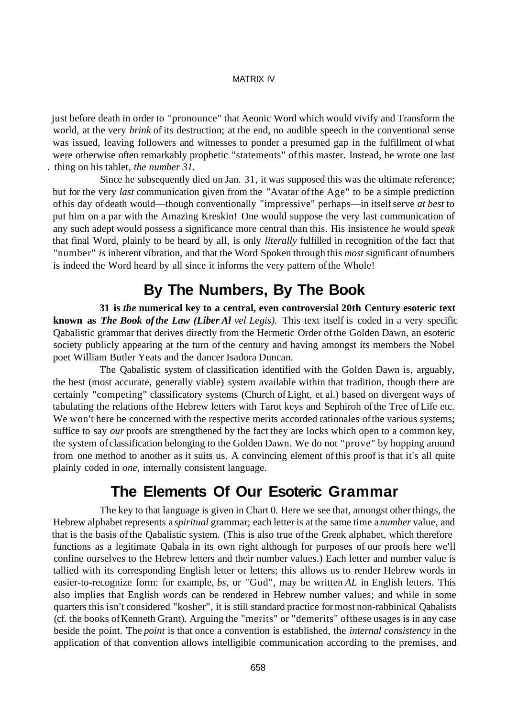just before death in order to "pronounce" that Aeonic Word which would vivify and Transform the world, at the very *brink* of its destruction; at the end, no audible speech in the conventional sense was issued, leaving followers and witnesses to ponder a presumed gap in the fulfillment of what were otherwise often remarkably prophetic "statements" of this master. Instead, he wrote one last . thing on his tablet, *the number 31.*

Since he subsequently died on Jan. 31, it was supposed this was the ultimate reference; but for the very *last* communication given from the "Avatar of the Age" to be a simple prediction of his day of death would—though conventionally "impressive" perhaps—in itselfserve *at best* to put him on a par with the Amazing Kreskin! One would suppose the very last communication of any such adept would possess a significance more central than this. His insistence he would *speak* that final Word, plainly to be heard by all, is only *literally* fulfilled in recognition of the fact that "number" *is* inherent vibration, and that the Word Spoken through this *most* significant of numbers is indeed the Word heard by all since it informs the very pattern of the Whole!

## **By The Numbers, By The Book**

**31 is** *the* **numerical key to a central, even controversial 20th Century esoteric text known as** *The Book ofthe Law (Liber Al vel Legis).* This text itself is coded in a very specific Qabalistic grammar that derives directly from the Hermetic Order of the Golden Dawn, an esoteric society publicly appearing at the turn of the century and having amongst its members the Nobel poet William Butler Yeats and the dancer Isadora Duncan.

The Qabalistic system of classification identified with the Golden Dawn is, arguably, the best (most accurate, generally viable) system available within that tradition, though there are certainly "competing" classificatory systems (Church of Light, et al.) based on divergent ways of tabulating the relations of the Hebrew letters with Tarot keys and Sephiroh of the Tree of Life etc. We won't here be concerned with the respective merits accorded rationales of the various systems; suffice to say *our* proofs are strengthened by the fact they are locks which open to a common key, the system of classification belonging to the Golden Dawn. We do not "prove" by hopping around from one method to another as it suits us. A convincing element of this proof is that it's all quite plainly coded in *one,* internally consistent language.

## **The Elements Of Our Esoteric Grammar**

The key to that language is given in Chart 0. Here we see that, amongst other things, the Hebrew alphabet represents a *spiritual* grammar; each letter is at the same time a *number* value, and that is the basis of the Qabalistic system. (This is also true of the Greek alphabet, which therefore functions as a legitimate Qabala in its own right although for purposes of our proofs here we'll confine ourselves to the Hebrew letters and their number values.) Each letter and number value is tallied with its corresponding English letter or letters; this allows us to render Hebrew words in easier-to-recognize form: for example, *bs,* or "God", may be written *AL* in English letters. This also implies that English *words* can be rendered in Hebrew number values; and while in some quarters this isn't considered "kosher", it is still standard practice for most non-rabbinical Qabalists (cf. the books of Kenneth Grant). Arguing the "merits" or "demerits" of these usages is in any case beside the point. The *point* is that once a convention is established, the *internal consistency* in the application of that convention allows intelligible communication according to the premises, and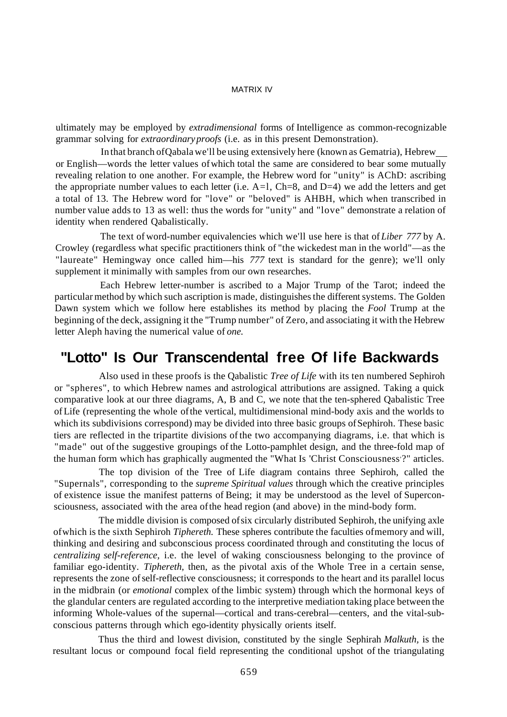ultimately may be employed by *extradimensional* forms of Intelligence as common-recognizable grammar solving for *extraordinary proofs* (i.e. as in this present Demonstration).

In that branch of Qabala we'll be using extensively here (known as Gematria), Hebrew or English—words the letter values of which total the same are considered to bear some mutually revealing relation to one another. For example, the Hebrew word for "unity" is AChD: ascribing the appropriate number values to each letter (i.e.  $A=1$ ,  $Ch=8$ , and  $D=4$ ) we add the letters and get a total of 13. The Hebrew word for "love" or "beloved" is AHBH, which when transcribed in number value adds to 13 as well: thus the words for "unity" and "love" demonstrate a relation of identity when rendered Qabalistically.

The text of word-number equivalencies which we'll use here is that of *Liber 777* by A. Crowley (regardless what specific practitioners think of "the wickedest man in the world"—as the "laureate" Hemingway once called him—his *777* text is standard for the genre); we'll only supplement it minimally with samples from our own researches.

Each Hebrew letter-number is ascribed to a Major Trump of the Tarot; indeed the particular method by which such ascription is made, distinguishes the different systems. The Golden Dawn system which we follow here establishes its method by placing the *Fool* Trump at the beginning of the deck, assigning it the "Trump number" of Zero, and associating it with the Hebrew letter Aleph having the numerical value of *one.*

## **"Lotto" Is Our Transcendental free Of life Backwards**

Also used in these proofs is the Qabalistic *Tree of Life* with its ten numbered Sephiroh or "spheres", to which Hebrew names and astrological attributions are assigned. Taking a quick comparative look at our three diagrams, A, B and C, we note that the ten-sphered Qabalistic Tree of Life (representing the whole of the vertical, multidimensional mind-body axis and the worlds to which its subdivisions correspond) may be divided into three basic groups of Sephiroh. These basic tiers are reflected in the tripartite divisions of the two accompanying diagrams, i.e. that which is "made" out of the suggestive groupings of the Lotto-pamphlet design, and the three-fold map of the human form which has graphically augmented the "What Is 'Christ Consciousness'?" articles.

The top division of the Tree of Life diagram contains three Sephiroh, called the "Supernals", corresponding to the *supreme Spiritual values* through which the creative principles of existence issue the manifest patterns of Being; it may be understood as the level of Superconsciousness, associated with the area of the head region (and above) in the mind-body form.

The middle division is composed of six circularly distributed Sephiroh, the unifying axle of which is the sixth Sephiroh *Tiphereth.* These spheres contribute the faculties of memory and will, thinking and desiring and subconscious process coordinated through and constituting the locus of *centralizing self-reference,* i.e. the level of waking consciousness belonging to the province of familiar ego-identity. *Tiphereth,* then, as the pivotal axis of the Whole Tree in a certain sense, represents the zone of self-reflective consciousness; it corresponds to the heart and its parallel locus in the midbrain (or *emotional* complex of the limbic system) through which the hormonal keys of the glandular centers are regulated according to the interpretive mediation taking place between the informing Whole-values of the supernal—cortical and trans-cerebral—centers, and the vital-subconscious patterns through which ego-identity physically orients itself.

Thus the third and lowest division, constituted by the single Sephirah *Malkuth,* is the resultant locus or compound focal field representing the conditional upshot of the triangulating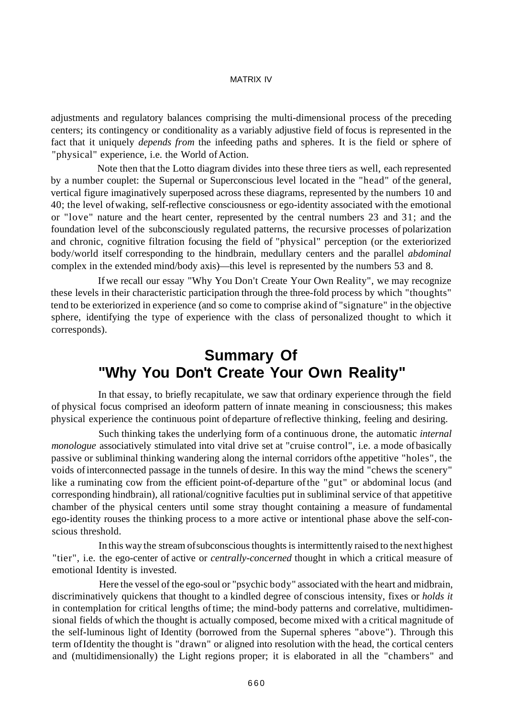adjustments and regulatory balances comprising the multi-dimensional process of the preceding centers; its contingency or conditionality as a variably adjustive field of focus is represented in the fact that it uniquely *depends from* the infeeding paths and spheres. It is the field or sphere of "physical" experience, i.e. the World of Action.

Note then that the Lotto diagram divides into these three tiers as well, each represented by a number couplet: the Supernal or Superconscious level located in the "head" of the general, vertical figure imaginatively superposed across these diagrams, represented by the numbers 10 and 40; the level of waking, self-reflective consciousness or ego-identity associated with the emotional or "love" nature and the heart center, represented by the central numbers 23 and 31; and the foundation level of the subconsciously regulated patterns, the recursive processes of polarization and chronic, cognitive filtration focusing the field of "physical" perception (or the exteriorized body/world itself corresponding to the hindbrain, medullary centers and the parallel *abdominal* complex in the extended mind/body axis)—this level is represented by the numbers 53 and 8.

If we recall our essay "Why You Don't Create Your Own Reality", we may recognize these levels in their characteristic participation through the three-fold process by which "thoughts" tend to be exteriorized in experience (and so come to comprise akind of "signature" in the objective sphere, identifying the type of experience with the class of personalized thought to which it corresponds).

## **Summary Of "Why You Don't Create Your Own Reality"**

In that essay, to briefly recapitulate, we saw that ordinary experience through the field of physical focus comprised an ideoform pattern of innate meaning in consciousness; this makes physical experience the continuous point of departure of reflective thinking, feeling and desiring.

Such thinking takes the underlying form of a continuous drone, the automatic *internal monologue* associatively stimulated into vital drive set at "cruise control", i.e. a mode of basically passive or subliminal thinking wandering along the internal corridors of the appetitive "holes", the voids of interconnected passage in the tunnels of desire. In this way the mind "chews the scenery" like a ruminating cow from the efficient point-of-departure of the "gut" or abdominal locus (and corresponding hindbrain), all rational/cognitive faculties put in subliminal service of that appetitive chamber of the physical centers until some stray thought containing a measure of fundamental ego-identity rouses the thinking process to a more active or intentional phase above the self-conscious threshold.

In this way the stream of subconscious thoughts is intermittently raised to the next highest "tier", i.e. the ego-center of active or *centrally-concerned* thought in which a critical measure of emotional Identity is invested.

Here the vessel of the ego-soul or "psychic body" associated with the heart and midbrain, discriminatively quickens that thought to a kindled degree of conscious intensity, fixes or *holds it* in contemplation for critical lengths of time; the mind-body patterns and correlative, multidimensional fields of which the thought is actually composed, become mixed with a critical magnitude of the self-luminous light of Identity (borrowed from the Supernal spheres "above"). Through this term of Identity the thought is "drawn" or aligned into resolution with the head, the cortical centers and (multidimensionally) the Light regions proper; it is elaborated in all the "chambers" and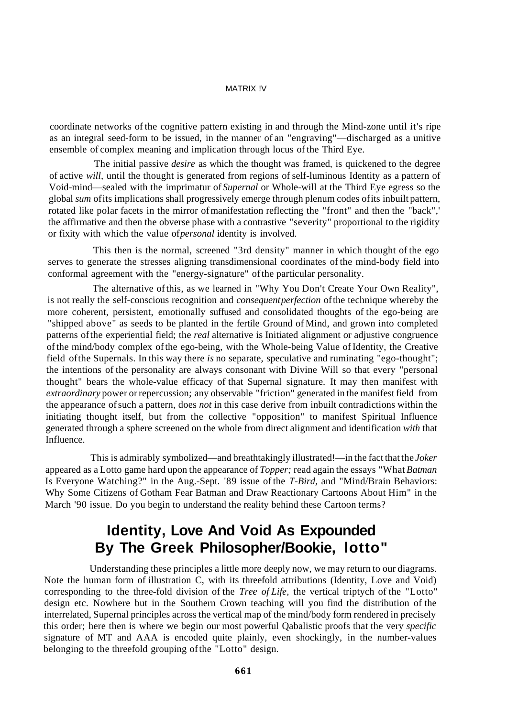### MATRIX !V

coordinate networks of the cognitive pattern existing in and through the Mind-zone until it's ripe as an integral seed-form to be issued, in the manner of an "engraving"—discharged as a unitive ensemble of complex meaning and implication through locus of the Third Eye.

The initial passive *desire* as which the thought was framed, is quickened to the degree of active *will,* until the thought is generated from regions of self-luminous Identity as a pattern of Void-mind—sealed with the imprimatur of *Supernal* or Whole-will at the Third Eye egress so the global *sum* of its implications shall progressively emerge through plenum codes of its inbuilt pattern, rotated like polar facets in the mirror of manifestation reflecting the "front" and then the "back",' the affirmative and then the obverse phase with a contrastive "severity" proportional to the rigidity or fixity with which the value of *personal* identity is involved.

This then is the normal, screened "3rd density" manner in which thought of the ego serves to generate the stresses aligning transdimensional coordinates of the mind-body field into conformal agreement with the "energy-signature" of the particular personality.

The alternative of this, as we learned in "Why You Don't Create Your Own Reality", is not really the self-conscious recognition and *consequent perfection* of the technique whereby the more coherent, persistent, emotionally suffused and consolidated thoughts of the ego-being are "shipped above" as seeds to be planted in the fertile Ground of Mind, and grown into completed patterns of the experiential field; the *real* alternative is Initiated alignment or adjustive congruence of the mind/body complex of the ego-being, with the Whole-being Value of Identity, the Creative field of the Supernals. In this way there *is* no separate, speculative and ruminating "ego-thought"; the intentions of the personality are always consonant with Divine Will so that every "personal thought" bears the whole-value efficacy of that Supernal signature. It may then manifest with *extraordinary* power or repercussion; any observable "friction" generated in the manifest field from the appearance of such a pattern, does *not* in this case derive from inbuilt contradictions within the initiating thought itself, but from the collective "opposition" to manifest Spiritual Influence generated through a sphere screened on the whole from direct alignment and identification *with* that Influence.

This is admirably symbolized—and breathtakingly illustrated!—in the fact that the *Joker* appeared as a Lotto game hard upon the appearance of *Topper;* read again the essays "What *Batman* Is Everyone Watching?" in the Aug.-Sept. '89 issue of the *T-Bird,* and "Mind/Brain Behaviors: Why Some Citizens of Gotham Fear Batman and Draw Reactionary Cartoons About Him" in the March '90 issue. Do you begin to understand the reality behind these Cartoon terms?

## **Identity, Love And Void As Expounded By The Greek Philosopher/Bookie, lotto"**

Understanding these principles a little more deeply now, we may return to our diagrams. Note the human form of illustration C, with its threefold attributions (Identity, Love and Void) corresponding to the three-fold division of the *Tree of Life,* the vertical triptych of the "Lotto" design etc. Nowhere but in the Southern Crown teaching will you find the distribution of the interrelated, Supernal principles across the vertical map of the mind/body form rendered in precisely this order; here then is where we begin our most powerful Qabalistic proofs that the very *specific* signature of MT and AAA is encoded quite plainly, even shockingly, in the number-values belonging to the threefold grouping of the "Lotto" design.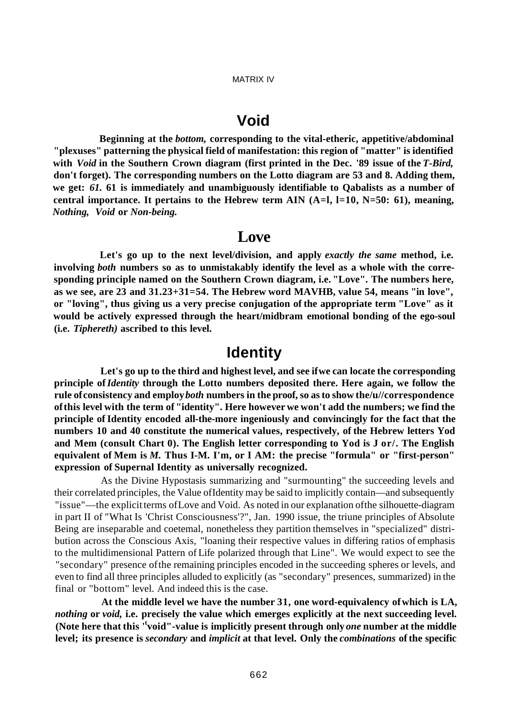### **Void**

**Beginning at the** *bottom,* **corresponding to the vital-etheric, appetitive/abdominal "plexuses" patterning the physical field of manifestation: this region of "matter" is identified with** *Void* **in the Southern Crown diagram (first printed in the Dec. '89 issue of the** *T-Bird,* **don't forget). The corresponding numbers on the Lotto diagram are 53 and 8. Adding them, we get:** *61.* **61 is immediately and unambiguously identifiable to Qabalists as a number of central importance. It pertains to the Hebrew term AIN (A=l, l=10, N=50: 61), meaning,** *Nothing, Void* **or** *Non-being.*

### **Love**

**Let's go up to the next level/division, and apply** *exactly the same* **method, i.e. involving** *both* **numbers so as to unmistakably identify the level as a whole with the corresponding principle named on the Southern Crown diagram, i.e. "Love". The numbers here, as we see, are 23 and 31.23+31=54. The Hebrew word MAVHB, value 54, means "in love", or "loving", thus giving us a very precise conjugation of the appropriate term "Love" as it would be actively expressed through the heart/midbram emotional bonding of the ego-soul (i.e.** *Tiphereth)* **ascribed to this level.**

## **Identity**

**Let's go up to the third and highest level, and see if we can locate the corresponding principle of** *Identity* **through the Lotto numbers deposited there. Here again, we follow the rule of consistency and employ** *both* **numbers in the proof, so as to show the/u//correspondence of this level with the term of "identity". Here however we won't add the numbers; we find the principle of Identity encoded all-the-more ingeniously and convincingly for the fact that the numbers 10 and 40 constitute the numerical values, respectively, of the Hebrew letters Yod and Mem (consult Chart 0). The English letter corresponding to Yod is J or/. The English equivalent of Mem is** *M.* **Thus I-M. I'm, or I AM: the precise "formula" or "first-person" expression of Supernal Identity as universally recognized.**

As the Divine Hypostasis summarizing and "surmounting" the succeeding levels and their correlated principles, the Value of Identity may be said to implicitly contain—and subsequently "issue"—the explicit terms of Love and Void. As noted in our explanation of the silhouette-diagram in part II of "What Is 'Christ Consciousness'?", Jan. 1990 issue, the triune principles of Absolute Being are inseparable and coetemal, nonetheless they partition themselves in "specialized" distribution across the Conscious Axis, "loaning their respective values in differing ratios of emphasis to the multidimensional Pattern of Life polarized through that Line". We would expect to see the "secondary" presence of the remaining principles encoded in the succeeding spheres or levels, and even to find all three principles alluded to explicitly (as "secondary" presences, summarized) in the final or "bottom" level. And indeed this is the case.

**At the middle level we have the number 31, one word-equivalency of which is LA,** *nothing* **or** *void,* **i.e. precisely the value which emerges explicitly at the next succeeding level. (Note here that this '<sup>t</sup> void"-value is implicitly present through only** *one* **number at the middle level; its presence is** *secondary* **and** *implicit* **at that level. Only the** *combinations* **of the specific**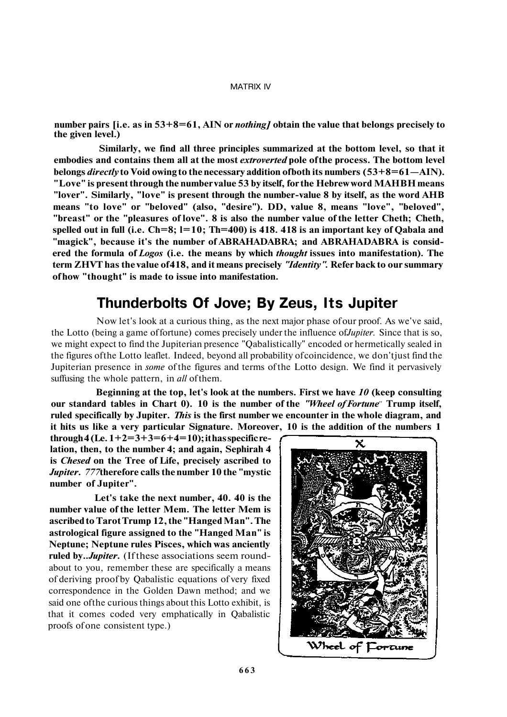**number pairs [i.e. as in 53+8=61, AIN or** *nothing]* **obtain the value that belongs precisely to the given level.)**

**Similarly, we find all three principles summarized at the bottom level, so that it embodies and contains them all at the most** *extroverted* **pole of the process. The bottom level belongs** *directly* **to Void owing to the necessary addition of both its numbers (53+8=61—AIN). "Love" is present through the number value 53 by itself, for the Hebrew word MAHBH means** "lover". Similarly, "love" is present through the number-value 8 by itself, as the word AHB **means "to love" or "beloved" (also, "desire"). DD, value 8, means "love", "beloved", "breast" or the "pleasures of love". 8 is also the number value of the letter Cheth; Cheth, spelled out in full (i.e. Ch=8; l=10; Th=400) is 418. 418 is an important key of Qabala and "magick", because it's the number of ABRAHADABRA; and ABRAHADABRA is consid ered the formula of** *Logos* **(i.e. the means by which** *thought* **issues into manifestation). The term ZHVT has the value of 418, and it means precisely** *"Identity".* **Refer back to our summary of how "thought" is made to issue into manifestation.**

## **Thunderbolts Of Jove; By Zeus, Its Jupiter**

Now let's look at a curious thing, as the next major phase of our proof. As we've said, the Lotto (being a game of fortune) comes precisely under the influence of*Jupiter.* Since that is so, we might expect to find the Jupiterian presence "Qabalistically" encoded or hermetically sealed in the figures of the Lotto leaflet. Indeed, beyond all probability of coincidence, we don't just find the Jupiterian presence in *some* of the figures and terms of the Lotto design. We find it pervasively suffusing the whole pattern, in *all* of them.

**Beginning at the top, let's look at the numbers. First we have** *10* **(keep consulting our standard tables in Chart 0). 10 is the number of the** *"Wheel of Fortune***" Trump itself, ruled specifically by Jupiter.** *This* **is the first number we encounter in the whole diagram, and it hits us like a very particular Signature. Moreover, 10 is the addition of the numbers 1**

**through 4 (Le. 1+2=3+3=6+4=10); it has specific re lation, then, to the number 4; and again, Sephirah 4 is** *Chesed* **on the Tree of Life, precisely ascribed to** *Jupiter. 777***therefore calls the number 10 the "mystic number of Jupiter".**

**Let's take the next number, 40. 40 is the number value of the letter Mem. The letter Mem is ascribed to Tarot Trump 12, the "Hanged Man". The astrological figure assigned to the "Hanged Man" is Neptune; Neptune rules Pisces, which was anciently ruled by.***.Jupiter.* (If these associations seem round about to you, remember these are specifically a means of deriving proof by Qabalistic equations of very fixed correspondence in the Golden Dawn method; and we said one of the curious things about this Lotto exhibit, is that it comes coded very emphatically in Qabalistic proofs of one consistent type.)

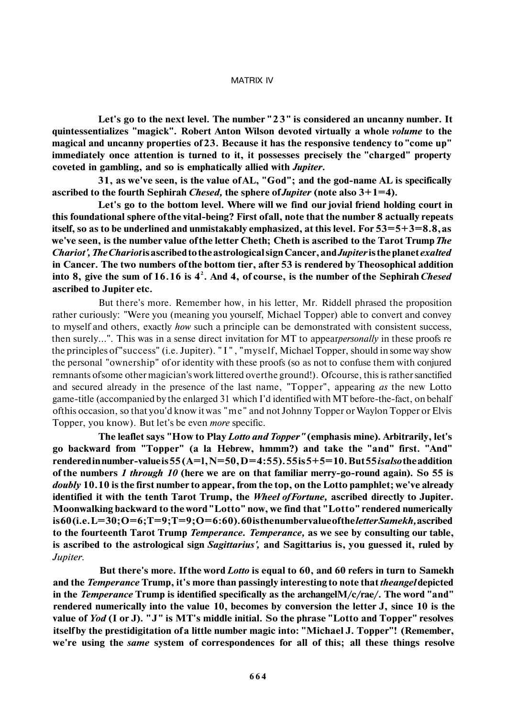**Let's go to the next level. The number "23" is considered an uncanny number. It quintessentializes "magick". Robert Anton Wilson devoted virtually a whole** *volume* **to the magical and uncanny properties of 23. Because it has the responsive tendency to "come up" immediately once attention is turned to it, it possesses precisely the "charged" property coveted in gambling, and so is emphatically allied with** *Jupiter.*

**31, as we've seen, is the value of AL, "God"; and the god-name AL is specifically ascribed to the fourth Sephirah** *Chesed,* **the sphere of** *Jupiter* **(note also 3+1=4).**

**Let's go to the bottom level. Where will we find our jovial friend holding court in** this foundational sphere of the vital-being? First of all, note that the number 8 actually repeats **itself, so as to be underlined and unmistakably emphasized, at this level. For 53=5+3=8.8, as we've seen, is the number value of the letter Cheth; Cheth is ascribed to the Tarot Trump** *The Chariot', The Chariot* **is ascribed to the astrological sign Cancer, and** *Jupiter* **is the planet** *exalted* **in Cancer. The two numbers of the bottom tier, after 53 is rendered by Theosophical addition** into 8, give the sum of 16.16 is 4<sup>2</sup>. And 4, of course, is the number of the Sephirah *Chesed* **ascribed to Jupiter etc.**

But there's more. Remember how, in his letter, Mr. Riddell phrased the proposition rather curiously: "Were you (meaning you yourself, Michael Topper) able to convert and convey to myself and others, exactly *how* such a principle can be demonstrated with consistent success, then surely...". This was in a sense direct invitation for MT to appear*personally* in these proofs re the principles of "success" (i.e. Jupiter). " I " , "myself, Michael Topper, should in some way show the personal "ownership" of or identity with these proofs (so as not to confuse them with conjured remnants of some other magician's work littered over the ground!). Of course, this is rather sanctified and secured already in the presence of the last name, "Topper", appearing *as* the new Lotto game-title (accompanied by the enlarged 31 which I'd identified with MT before-the-fact, on behalf of this occasion, so that you'd know it was "me" and not Johnny Topper or Waylon Topper or Elvis Topper, you know). But let's be even *more* specific.

**The leaflet says "How to Play** *Lotto and Topper"* **(emphasis mine). Arbitrarily, let's go backward from "Topper" (a la Hebrew, hmmm?) and take the "and" first. "And"**  $r$ endered in number-value is  $55 (A=1, N=50, D=4:55)$ .  $55 is 5+5=10$ . But  $55$  *is also* the addition of the numbers *1 through 10* (here we are on that familiar merry-go-round again). So 55 is *doubly* **10.10 is the first number to appear, from the top, on the Lotto pamphlet; we've already identified it with the tenth Tarot Trump, the** *Wheel of Fortune,* **ascribed directly to Jupiter. Moonwalking backward to the word "Lotto" now, we find that "Lotto" rendered numerically is 60 (i.e. L=30; O=6; T=9; T=9; O=6:60). 60 is the number value of the** *letterSamekh,* **ascribed to the fourteenth Tarot Trump** *Temperance. Temperance,* **as we see by consulting our table, is ascribed to the astrological sign** *Sagittarius',* **and Sagittarius is, you guessed it, ruled by** *Jupiter.*

**But there's more. If the word** *Lotto* **is equal to 60, and 60 refers in turn to Samekh and the** *Temperance* **Trump, it's more than passingly interesting to note that** *theangel* **depicted in the** *Temperance* **Trump is identified specifically as the archangelM/c/rae/. The word "and" rendered numerically into the value 10, becomes by conversion the letter J, since 10 is the value of** *Yod* **(I or J). "J" is MT's middle initial. So the phrase "Lotto and Topper" resolves itself by the prestidigitation of a little number magic into: "Michael J. Topper"! (Remember, we're using the** *same* **system of correspondences for all of this; all these things resolve**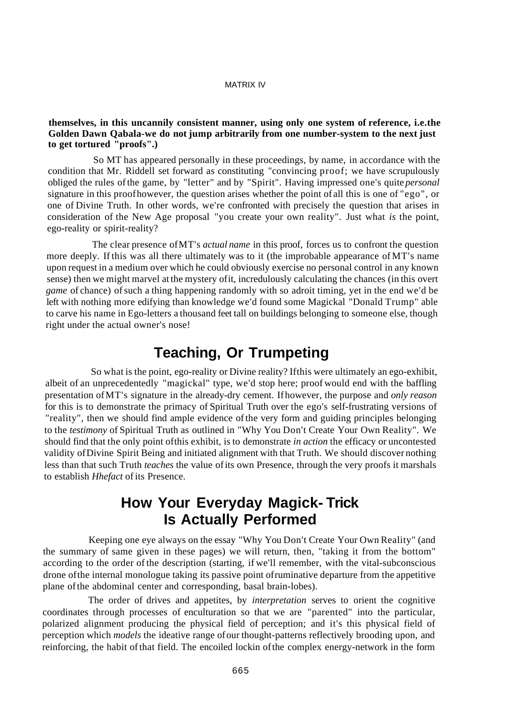### **themselves, in this uncannily consistent manner, using only one system of reference, i.e.the Golden Dawn Qabala-we do not jump arbitrarily from one number-system to the next just to get tortured "proofs".)**

So MT has appeared personally in these proceedings, by name, in accordance with the condition that Mr. Riddell set forward as constituting "convincing proof; we have scrupulously obliged the rules of the game, by "letter" and by "Spirit". Having impressed one's quite *personal* signature in this proof however, the question arises whether the point of all this is one of "ego", or one of Divine Truth. In other words, we're confronted with precisely the question that arises in consideration of the New Age proposal "you create your own reality". Just what *is* the point, ego-reality or spirit-reality?

The clear presence of MT's *actual name* in this proof, forces us to confront the question more deeply. If this was all there ultimately was to it (the improbable appearance of MT's name upon request in a medium over which he could obviously exercise no personal control in any known sense) then we might marvel at the mystery of it, incredulously calculating the chances (in this overt *game* of chance) of such a thing happening randomly with so adroit timing, yet in the end we'd be left with nothing more edifying than knowledge we'd found some Magickal "Donald Trump" able to carve his name in Ego-letters a thousand feet tall on buildings belonging to someone else, though right under the actual owner's nose!

## **Teaching, Or Trumpeting**

So what is the point, ego-reality or Divine reality? If this were ultimately an ego-exhibit, albeit of an unprecedentedly "magickal" type, we'd stop here; proof would end with the baffling presentation of MT's signature in the already-dry cement. If however, the purpose and *only reason* for this is to demonstrate the primacy of Spiritual Truth over the ego's self-frustrating versions of "reality", then we should find ample evidence of the very form and guiding principles belonging to the *testimony* of Spiritual Truth as outlined in "Why You Don't Create Your Own Reality". We should find that the only point of this exhibit, is to demonstrate *in action* the efficacy or uncontested validity of Divine Spirit Being and initiated alignment with that Truth. We should discover nothing less than that such Truth *teaches* the value of its own Presence, through the very proofs it marshals to establish *Hhefact* of its Presence.

## **How Your Everyday Magick- Trick Is Actually Performed**

Keeping one eye always on the essay "Why You Don't Create Your Own Reality" (and the summary of same given in these pages) we will return, then, "taking it from the bottom" according to the order of the description (starting, if we'll remember, with the vital-subconscious drone of the internal monologue taking its passive point of ruminative departure from the appetitive plane of the abdominal center and corresponding, basal brain-lobes).

The order of drives and appetites, by *interpretation* serves to orient the cognitive coordinates through processes of enculturation so that we are "parented" into the particular, polarized alignment producing the physical field of perception; and it's this physical field of perception which *models* the ideative range of our thought-patterns reflectively brooding upon, and reinforcing, the habit of that field. The encoiled lockin of the complex energy-network in the form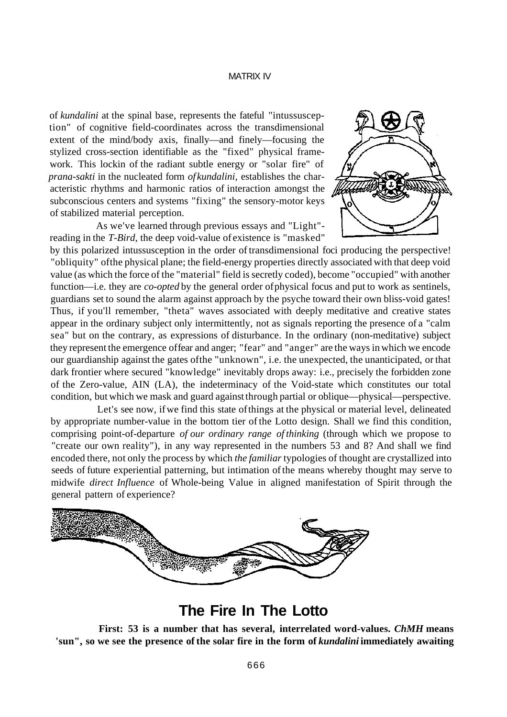of *kundalini* at the spinal base, represents the fateful "intussusception" of cognitive field-coordinates across the transdimensional extent of the mind/body axis, finally—and finely—focusing the stylized cross-section identifiable as the "fixed" physical framework. This lockin of the radiant subtle energy or "solar fire" of *prana-sakti* in the nucleated form *of kundalini,* establishes the characteristic rhythms and harmonic ratios of interaction amongst the subconscious centers and systems "fixing" the sensory-motor keys of stabilized material perception.

As we've learned through previous essays and "Light" reading in the *T-Bird,* the deep void-value of existence is "masked"



by this polarized intussusception in the order of transdimensional foci producing the perspective! "obliquity" of the physical plane; the field-energy properties directly associated with that deep void value (as which the force of the "material" field is secretly coded), become "occupied" with another function—i.e. they are *co-opted* by the general order of physical focus and put to work as sentinels, guardians set to sound the alarm against approach by the psyche toward their own bliss-void gates! Thus, if you'll remember, "theta" waves associated with deeply meditative and creative states appear in the ordinary subject only intermittently, not as signals reporting the presence of a "calm sea" but on the contrary, as expressions of disturbance. In the ordinary (non-meditative) subject they represent the emergence of fear and anger; "fear" and "anger" are the ways in which we encode our guardianship against the gates of the "unknown", i.e. the unexpected, the unanticipated, or that dark frontier where secured "knowledge" inevitably drops away: i.e., precisely the forbidden zone of the Zero-value, AIN (LA), the indeterminacy of the Void-state which constitutes our total condition, but which we mask and guard against through partial or oblique—physical—perspective.

Let's see now, if we find this state of things at the physical or material level, delineated by appropriate number-value in the bottom tier of the Lotto design. Shall we find this condition, comprising point-of-departure *of our ordinary range of thinking* (through which we propose to "create our own reality"), in any way represented in the numbers 53 and 8? And shall we find encoded there, not only the process by which *the familiar* typologies of thought are crystallized into seeds of future experiential patterning, but intimation of the means whereby thought may serve to midwife *direct Influence* of Whole-being Value in aligned manifestation of Spirit through the general pattern of experience?



### **The Fire In The Lotto**

**First: 53 is a number that has several, interrelated word-values.** *ChMH* **means 'sun", so we see the presence of the solar fire in the form of** *kundalini* **immediately awaiting**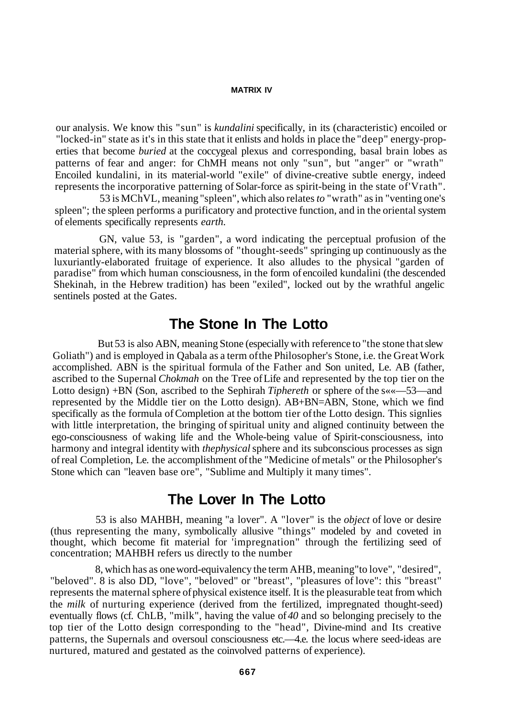our analysis. We know this "sun" is *kundalini* specifically, in its (characteristic) encoiled or "locked-in" state as it's in this state that it enlists and holds in place the "deep" energy-properties that become *buried* at the coccygeal plexus and corresponding, basal brain lobes as patterns of fear and anger: for ChMH means not only "sun", but "anger" or "wrath" Encoiled kundalini, in its material-world "exile" of divine-creative subtle energy, indeed represents the incorporative patterning of Solar-force as spirit-being in the state of'Vrath".

53 is MChVL, meaning "spleen", which also relates *to* "wrath" as in "venting one's spleen"; the spleen performs a purificatory and protective function, and in the oriental system of elements specifically represents *earth.*

GN, value 53, is "garden", a word indicating the perceptual profusion of the material sphere, with its many blossoms of "thought-seeds" springing up continuously as the luxuriantly-elaborated fruitage of experience. It also alludes to the physical "garden of paradise" from which human consciousness, in the form of encoiled kundalini (the descended Shekinah, in the Hebrew tradition) has been "exiled", locked out by the wrathful angelic sentinels posted at the Gates.

### **The Stone In The Lotto**

But 53 is also ABN, meaning Stone (especially with reference to "the stone that slew Goliath") and is employed in Qabala as a term of the Philosopher's Stone, i.e. the Great Work accomplished. ABN is the spiritual formula of the Father and Son united, Le. AB (father, ascribed to the Supernal *Chokmah* on the Tree of Life and represented by the top tier on the Lotto design) +BN (Son, ascribed to the Sephirah *Tiphereth* or sphere of the s««—53—and represented by the Middle tier on the Lotto design). AB+BN=ABN, Stone, which we find specifically as the formula of Completion at the bottom tier of the Lotto design. This signlies with little interpretation, the bringing of spiritual unity and aligned continuity between the ego-consciousness of waking life and the Whole-being value of Spirit-consciousness, into harmony and integral identity with *thephysical* sphere and its subconscious processes as sign of real Completion, Le. the accomplishment of the "Medicine of metals" or the Philosopher's Stone which can "leaven base ore", "Sublime and Multiply it many times".

## **The Lover In The Lotto**

53 is also MAHBH, meaning "a lover". A "lover" is the *object* of love or desire (thus representing the many, symbolically allusive "things" modeled by and coveted in thought, which become fit material for 'impregnation" through the fertilizing seed of concentration; MAHBH refers us directly to the number

8, which has as one word-equivalency the term AHB, meaning"to love", "desired", "beloved". 8 is also DD, "love", "beloved" or "breast", "pleasures of love": this "breast" represents the maternal sphere of physical existence itself. It is the pleasurable teat from which the *milk* of nurturing experience (derived from the fertilized, impregnated thought-seed) eventually flows (cf. ChLB, "milk", having the value of *40* and so belonging precisely to the top tier of the Lotto design corresponding to the "head", Divine-mind and Its creative patterns, the Supernals and oversoul consciousness etc.—4.e. the locus where seed-ideas are nurtured, matured and gestated as the coinvolved patterns of experience).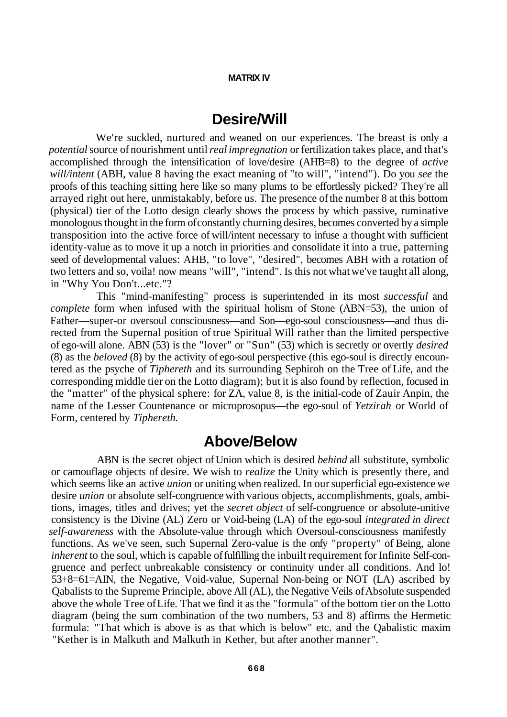## **Desire/Will**

We're suckled, nurtured and weaned on our experiences. The breast is only a *potential* source of nourishment until *real impregnation* or fertilization takes place, and that's accomplished through the intensification of love/desire (AHB=8) to the degree of *active will/intent* (ABH, value 8 having the exact meaning of "to will", "intend"). Do you *see* the proofs of this teaching sitting here like so many plums to be effortlessly picked? They're all arrayed right out here, unmistakably, before us. The presence of the number 8 at this bottom (physical) tier of the Lotto design clearly shows the process by which passive, ruminative monologous thought in the form of constantly churning desires, becomes converted by a simple transposition into the active force of will/intent necessary to infuse a thought with sufficient identity-value as to move it up a notch in priorities and consolidate it into a true, patterning seed of developmental values: AHB, "to love", "desired", becomes ABH with a rotation of two letters and so, voila! now means "will", "intend". Is this not what we've taught all along, in "Why You Don't...etc."?

This "mind-manifesting" process is superintended in its most *successful* and *complete* form when infused with the spiritual holism of Stone (ABN=53), the union of Father—super-or oversoul consciousness—and Son—ego-soul consciousness—and thus directed from the Supernal position of true Spiritual Will rather than the limited perspective of ego-will alone. ABN (53) is the "lover" or "Sun" (53) which is secretly or overtly *desired* (8) as the *beloved* (8) by the activity of ego-soul perspective (this ego-soul is directly encountered as the psyche of *Tiphereth* and its surrounding Sephiroh on the Tree of Life, and the corresponding middle tier on the Lotto diagram); but it is also found by reflection, focused in the "matter" of the physical sphere: for ZA, value 8, is the initial-code of Zauir Anpin, the name of the Lesser Countenance or microprosopus—the ego-soul of *Yetzirah* or World of Form, centered by *Tiphereth.*

### **Above/Below**

ABN is the secret object of Union which is desired *behind* all substitute, symbolic or camouflage objects of desire. We wish to *realize* the Unity which is presently there, and which seems like an active *union* or uniting when realized. In our superficial ego-existence we desire *union* or absolute self-congruence with various objects, accomplishments, goals, ambitions, images, titles and drives; yet the *secret object* of self-congruence or absolute-unitive consistency is the Divine (AL) Zero or Void-being (LA) of the ego-soul *integrated in direct self-awareness* with the Absolute-value through which Oversoul-consciousness manifestly functions. As we've seen, such Supernal Zero-value is the onfy "property" of Being, alone *inherent* to the soul, which is capable of fulfilling the inbuilt requirement for Infinite Self-congruence and perfect unbreakable consistency or continuity under all conditions. And lo! 53+8=61=AIN, the Negative, Void-value, Supernal Non-being or NOT (LA) ascribed by Qabalists to the Supreme Principle, above All (AL), the Negative Veils of Absolute suspended above the whole Tree of Life. That we find it as the "formula" of the bottom tier on the Lotto diagram (being the sum combination of the two numbers, 53 and 8) affirms the Hermetic formula: "That which is above is as that which is below" etc. and the Qabalistic maxim "Kether is in Malkuth and Malkuth in Kether, but after another manner".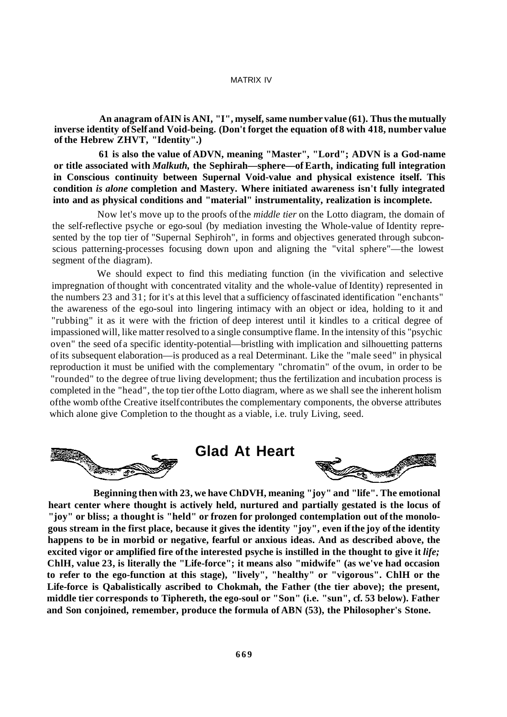**An anagram of AIN is ANI, "I", myself, same number value (61). Thus the mutually inverse identity of Self and Void-being. (Don't forget the equation of 8 with 418, number value of the Hebrew ZHVT, "Identity".)**

**61 is also the value of ADVN, meaning "Master", "Lord"; ADVN is a God-name or title associated with** *Malkuth,* **the Sephirah—sphere—of Earth, indicating full integration in Conscious continuity between Supernal Void-value and physical existence itself. This condition** *is alone* **completion and Mastery. Where initiated awareness isn't fully integrated into and as physical conditions and "material" instrumentality, realization is incomplete.**

Now let's move up to the proofs of the *middle tier* on the Lotto diagram, the domain of the self-reflective psyche or ego-soul (by mediation investing the Whole-value of Identity represented by the top tier of "Supernal Sephiroh", in forms and objectives generated through subconscious patterning-processes focusing down upon and aligning the "vital sphere"—the lowest segment of the diagram).

We should expect to find this mediating function (in the vivification and selective impregnation of thought with concentrated vitality and the whole-value of Identity) represented in the numbers 23 and 31; for it's at this level that a sufficiency of fascinated identification "enchants" the awareness of the ego-soul into lingering intimacy with an object or idea, holding to it and "rubbing" it as it were with the friction of deep interest until it kindles to a critical degree of impassioned will, like matter resolved to a single consumptive flame. In the intensity of this "psychic oven" the seed of a specific identity-potential—bristling with implication and silhouetting patterns of its subsequent elaboration—is produced as a real Determinant. Like the "male seed" in physical reproduction it must be unified with the complementary "chromatin" of the ovum, in order to be "rounded" to the degree of true living development; thus the fertilization and incubation process is completed in the "head", the top tier of the Lotto diagram, where as we shall see the inherent holism of the womb of the Creative itself contributes the complementary components, the obverse attributes which alone give Completion to the thought as a viable, i.e. truly Living, seed.



**Glad At Heart**



**Beginning then with 23, we have ChDVH, meaning "joy" and "life". The emotional heart center where thought is actively held, nurtured and partially gestated is the locus of "joy" or bliss; a thought is "held" or frozen for prolonged contemplation out of the monologous stream in the first place, because it gives the identity "joy", even if the joy of the identity happens to be in morbid or negative, fearful or anxious ideas. And as described above, the excited vigor or amplified fire of the interested psyche is instilled in the thought to give it** *life;* **ChlH, value 23, is literally the "Life-force"; it means also "midwife" (as we've had occasion to refer to the ego-function at this stage), "lively", "healthy" or "vigorous". ChlH or the Life-force is Qabalistically ascribed to Chokmah, the Father (the tier above); the present, middle tier corresponds to Tiphereth, the ego-soul or "Son" (i.e. "sun", cf. 53 below). Father and Son conjoined, remember, produce the formula of ABN (53), the Philosopher's Stone.**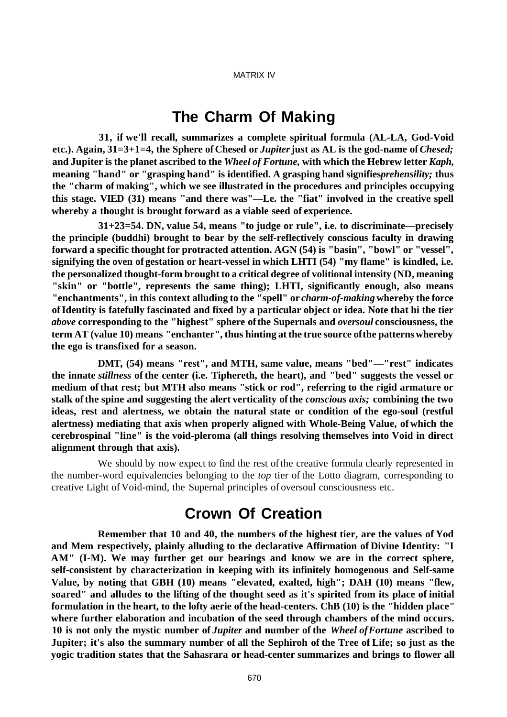## **The Charm Of Making**

**31, if we'll recall, summarizes a complete spiritual formula (AL-LA, God-Void etc.). Again, 31=3+1=4, the Sphere of Chesed or** *Jupiter* **just as AL is the god-name of** *Chesed;* **and Jupiter is the planet ascribed to the** *Wheel of Fortune,* **with which the Hebrew letter** *Kaph,* **meaning "hand" or "grasping hand" is identified. A grasping hand signifies***prehensility;* **thus the "charm of making", which we see illustrated in the procedures and principles occupying this stage. VIED (31) means "and there was"—Le. the "fiat" involved in the creative spell whereby a thought is brought forward as a viable seed of experience.**

**31+23=54. DN, value 54, means "to judge or rule", i.e. to discriminate—precisely the principle (buddhi) brought to bear by the self-reflectively conscious faculty in drawing forward a specific thought for protracted attention. AGN (54) is "basin", "bowl" or "vessel", signifying the oven of gestation or heart-vessel in which LHTI (54) "my flame" is kindled, i.e. the personalized thought-form brought to a critical degree of volitional intensity (ND, meaning "skin" or "bottle", represents the same thing); LHTI, significantly enough, also means "enchantments", in this context alluding to the "spell" or** *charm-of-making* **whereby the force of Identity is fatefully fascinated and fixed by a particular object or idea. Note that hi the tier** *above* **corresponding to the "highest" sphere of the Supernals and** *oversoul* **consciousness, the term AT (value 10) means "enchanter", thus hinting at the true source of the patterns whereby the ego is transfixed for a season.**

**DMT, (54) means "rest", and MTH, same value, means "bed"—"rest" indicates the innate** *stillness* **of the center (i.e. Tiphereth, the heart), and "bed" suggests the vessel or medium of that rest; but MTH also means "stick or rod", referring to the rigid armature or stalk of the spine and suggesting the alert verticality of the** *conscious axis;* **combining the two ideas, rest and alertness, we obtain the natural state or condition of the ego-soul (restful alertness) mediating that axis when properly aligned with Whole-Being Value, of which the cerebrospinal "line" is the void-pleroma (all things resolving themselves into Void in direct alignment through that axis).**

We should by now expect to find the rest of the creative formula clearly represented in the number-word equivalencies belonging to the *top* tier of the Lotto diagram, corresponding to creative Light of Void-mind, the Supernal principles of oversoul consciousness etc.

## **Crown Of Creation**

**Remember that 10 and 40, the numbers of the highest tier, are the values of Yod and Mem respectively, plainly alluding to the declarative Affirmation of Divine Identity: "I AM" (I-M). We may further get our bearings and know we are in the correct sphere, self-consistent by characterization in keeping with its infinitely homogenous and Self-same Value, by noting that GBH (10) means "elevated, exalted, high"; DAH (10) means "flew, soared" and alludes to the lifting of the thought seed as it's spirited from its place of initial formulation in the heart, to the lofty aerie of the head-centers. ChB (10) is the "hidden place" where further elaboration and incubation of the seed through chambers of the mind occurs. 10 is not only the mystic number of** *Jupiter* **and number of the** *Wheel of Fortune* **ascribed to Jupiter; it's also the summary number of all the Sephiroh of the Tree of Life; so just as the yogic tradition states that the Sahasrara or head-center summarizes and brings to flower all**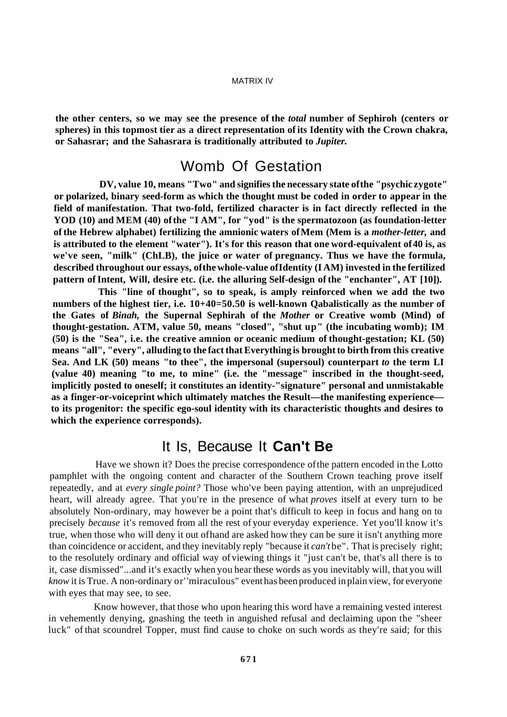**the other centers, so we may see the presence of the** *total* **number of Sephiroh (centers or spheres) in this topmost tier as a direct representation of its Identity with the Crown chakra, or Sahasrar; and the Sahasrara is traditionally attributed to** *Jupiter.*

## Womb Of Gestation

**DV, value 10, means "Two" and signifies the necessary state of the "psychic zygote" or polarized, binary seed-form as which the thought must be coded in order to appear in the field of manifestation. That two-fold, fertilized character is in fact directly reflected in the YOD (10) and MEM (40) of the "I AM", for "yod" is the spermatozoon (as foundation-letter of the Hebrew alphabet) fertilizing the amnionic waters of Mem (Mem is a** *mother-letter,* **and is attributed to the element "water"). It's for this reason that one word-equivalent of 40 is, as we've seen, "milk" (ChLB), the juice or water of pregnancy. Thus we have the formula, described throughout our essays, of the whole-value of Identity (I AM) invested in the fertilized pattern of Intent, Will, desire etc. (i.e. the alluring Self-design of the "enchanter", AT [10]).**

**This "line of thought", so to speak, is amply reinforced when we add the two numbers of the highest tier, i.e. 10+40=50.50 is well-known Qabalistically as the number of the Gates of** *Binah,* **the Supernal Sephirah of the** *Mother* **or Creative womb (Mind) of thought-gestation. ATM, value 50, means "closed", "shut up" (the incubating womb); IM (50) is the "Sea", i.e. the creative amnion or oceanic medium of thought-gestation; KL (50) means "all", "every", alluding to the fact that Everything is brought to birth from this creative Sea. And LK (50) means "to thee", the impersonal (supersoul) counterpart** *to* **the term LI (value 40) meaning "to me, to mine" (i.e. the "message" inscribed in the thought-seed, implicitly posted to oneself; it constitutes an identity-"signature" personal and unmistakable as a finger-or-voiceprint which ultimately matches the Result—the manifesting experience to its progenitor: the specific ego-soul identity with its characteristic thoughts and desires to which the experience corresponds).**

## It Is, Because It **Can't Be**

Have we shown it? Does the precise correspondence of the pattern encoded in the Lotto pamphlet with the ongoing content and character of the Southern Crown teaching prove itself repeatedly, and at *every single point?* Those who've been paying attention, with an unprejudiced heart, will already agree. That you're in the presence of what *proves* itself at every turn to be absolutely Non-ordinary, may however be a point that's difficult to keep in focus and hang on to precisely *because* it's removed from all the rest of your everyday experience. Yet you'll know it's true, when those who will deny it out of hand are asked how they can be sure it isn't anything more than coincidence or accident, and they inevitably reply "because it *can't* be". That is precisely right; to the resolutely ordinary and official way of viewing things it "just can't be, that's all there is to it, case dismissed"...and it's exactly when you hear these words as you inevitably will, that you will *know* it is True. A non-ordinary or' 'miraculous" event has been produced in plain view, for everyone with eyes that may see, to see.

Know however, that those who upon hearing this word have a remaining vested interest in vehemently denying, gnashing the teeth in anguished refusal and declaiming upon the "sheer luck" of that scoundrel Topper, must find cause to choke on such words as they're said; for this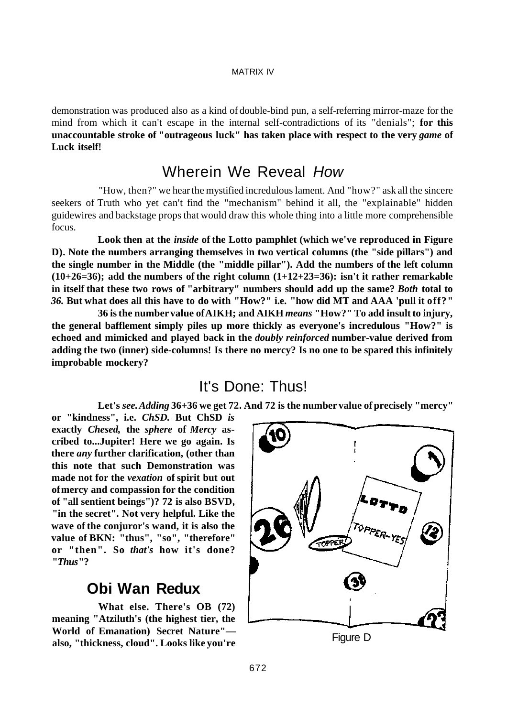demonstration was produced also as a kind of double-bind pun, a self-referring mirror-maze for the mind from which it can't escape in the internal self-contradictions of its "denials"; **for this unaccountable stroke of "outrageous luck" has taken place with respect to the very** *game* **of Luck itself!**

## Wherein We Reveal How

"How, then?" we hear the mystified incredulous lament. And "how?" ask all the sincere seekers of Truth who yet can't find the "mechanism" behind it all, the "explainable" hidden guidewires and backstage props that would draw this whole thing into a little more comprehensible focus.

**Look then at the** *inside* **of the Lotto pamphlet (which we've reproduced in Figure D). Note the numbers arranging themselves in two vertical columns (the "side pillars") and the single number in the Middle (the "middle pillar"). Add the numbers of the left column (10+26=36); add the numbers of the right column (1+12+23=36): isn't it rather remarkable in itself that these two rows of "arbitrary" numbers should add up the same?** *Both* **total to** *36.* **But what does all this have to do with "How?" i.e. "how did MT and AAA 'pull it off?"**

**36 is the number value of AIKH; and AIKH** *means* **"How?" To add insult to injury, the general bafflement simply piles up more thickly as everyone's incredulous "How?" is echoed and mimicked and played back in the** *doubly reinforced* **number-value derived from adding the two (inner) side-columns! Is there no mercy? Is no one to be spared this infinitely improbable mockery?**

### It's Done: Thus!

**Let's** *see. Adding* **36+36 we get 72. And 72 is the number value of precisely "mercy"**

**or "kindness", i.e.** *ChSD.* **But ChSD** *is* **exactly** *Chesed,* **the** *sphere* **of** *Mercy* **ascribed to...Jupiter! Here we go again. Is there** *any* **further clarification, (other than this note that such Demonstration was made not for the** *vexation* **of spirit but out of mercy and compassion for the condition of "all sentient beings")? 72 is also BSVD, "in the secret". Not very helpful. Like the wave of the conjuror's wand, it is also the value of BKN: "thus", "so", "therefore" or "then". So** *that's* **how it's done? "***Thus***"?**

## **Obi Wan Redux**

**What else. There's OB (72) meaning "Atziluth's (the highest tier, the World of Emanation) Secret Nature" also, "thickness, cloud". Looks like you're**

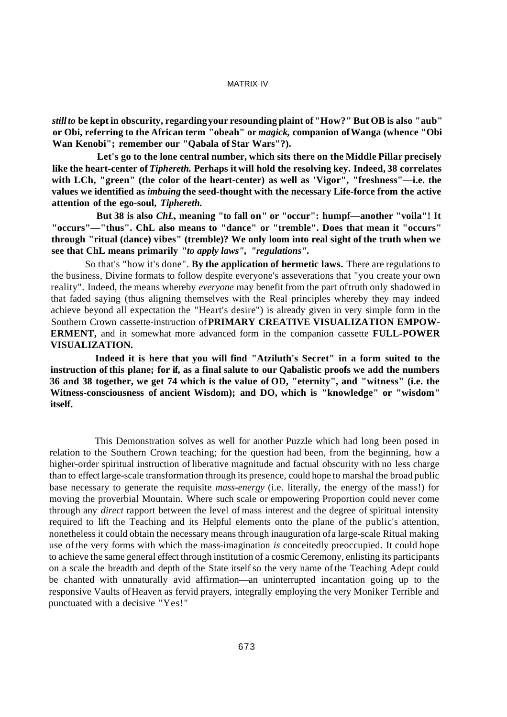*still to* **be kept in obscurity, regarding your resounding plaint of "How?" But OB is also "aub" or Obi, referring to the African term "obeah" or** *magick,* **companion of Wanga (whence "Obi Wan Kenobi"; remember our "Qabala of Star Wars"?).**

**Let's go to the lone central number, which sits there on the Middle Pillar precisely like the heart-center of** *Tiphereth.* **Perhaps it will hold the resolving key. Indeed, 38 correlates with LCh, "green" (the color of the heart-center) as well as 'Vigor", "freshness"—i.e. the values we identified as** *imbuing* **the seed-thought with the necessary Life-force from the active attention of the ego-soul,** *Tiphereth.*

**But 38 is also** *ChL,* **meaning "to fall on" or "occur": humpf—another "voila"! It "occurs"—"thus". ChL also means to "dance" or "tremble". Does that mean it "occurs" through "ritual (dance) vibes" (tremble)? We only loom into real sight of the truth when we see that ChL means primarily** *"to apply laws", "regulations".*

So that's "how it's done". **By the application of hermetic laws.** There are regulations to the business, Divine formats to follow despite everyone's asseverations that "you create your own reality". Indeed, the means whereby *everyone* may benefit from the part of truth only shadowed in that faded saying (thus aligning themselves with the Real principles whereby they may indeed achieve beyond all expectation the "Heart's desire") is already given in very simple form in the Southern Crown cassette-instruction of **PRIMARY CREATIVE VISUALIZATION EMPOW-ERMENT,** and in somewhat more advanced form in the companion cassette **FULL-POWER VISUALIZATION.**

**Indeed it is here that you will find "Atziluth's Secret" in a form suited to the instruction of this plane; for if, as a final salute to our Qabalistic proofs we add the numbers 36 and 38 together, we get 74 which is the value of OD, "eternity", and "witness" (i.e. the Witness-consciousness of ancient Wisdom); and DO, which is "knowledge" or "wisdom" itself.**

This Demonstration solves as well for another Puzzle which had long been posed in relation to the Southern Crown teaching; for the question had been, from the beginning, how a higher-order spiritual instruction of liberative magnitude and factual obscurity with no less charge than to effect large-scale transformation through its presence, could hope to marshal the broad public base necessary to generate the requisite *mass-energy* (i.e. literally, the energy of the mass!) for moving the proverbial Mountain. Where such scale or empowering Proportion could never come through any *direct* rapport between the level of mass interest and the degree of spiritual intensity required to lift the Teaching and its Helpful elements onto the plane of the public's attention, nonetheless it could obtain the necessary means through inauguration of a large-scale Ritual making use of the very forms with which the mass-imagination *is* conceitedly preoccupied. It could hope to achieve the same general effect through institution of a cosmic Ceremony, enlisting its participants on a scale the breadth and depth of the State itself so the very name of the Teaching Adept could be chanted with unnaturally avid affirmation—an uninterrupted incantation going up to the responsive Vaults of Heaven as fervid prayers, integrally employing the very Moniker Terrible and punctuated with a decisive "Yes!"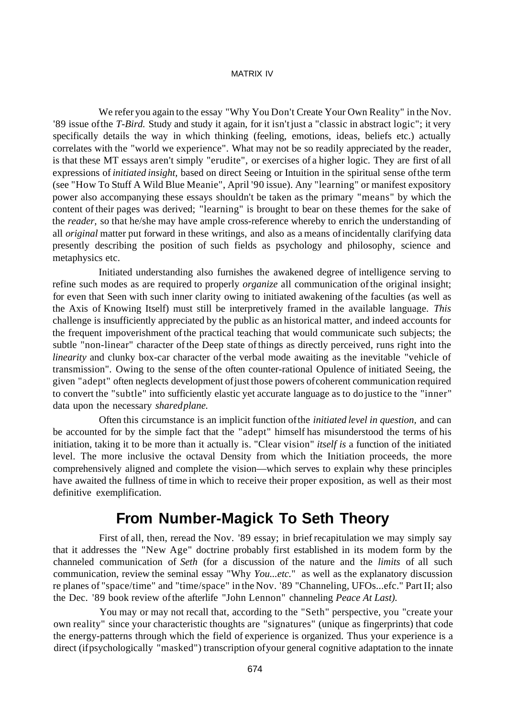We refer you again to the essay "Why You Don't Create Your Own Reality" in the Nov. '89 issue of the *T-Bird.* Study and study it again, for it isn't just a "classic in abstract logic"; it very specifically details the way in which thinking (feeling, emotions, ideas, beliefs etc.) actually correlates with the "world we experience". What may not be so readily appreciated by the reader, is that these MT essays aren't simply "erudite", or exercises of a higher logic. They are first of all expressions of *initiated insight,* based on direct Seeing or Intuition in the spiritual sense of the term (see "How To Stuff A Wild Blue Meanie", April '90 issue). Any "learning" or manifest expository power also accompanying these essays shouldn't be taken as the primary "means" by which the content of their pages was derived; "learning" is brought to bear on these themes for the sake of the *reader,* so that he/she may have ample cross-reference whereby to enrich the understanding of all *original* matter put forward in these writings, and also as a means of incidentally clarifying data presently describing the position of such fields as psychology and philosophy, science and metaphysics etc.

Initiated understanding also furnishes the awakened degree of intelligence serving to refine such modes as are required to properly *organize* all communication of the original insight; for even that Seen with such inner clarity owing to initiated awakening of the faculties (as well as the Axis of Knowing Itself) must still be interpretively framed in the available language. *This* challenge is insufficiently appreciated by the public as an historical matter, and indeed accounts for the frequent impoverishment of the practical teaching that would communicate such subjects; the subtle "non-linear" character of the Deep state of things as directly perceived, runs right into the *linearity* and clunky box-car character of the verbal mode awaiting as the inevitable "vehicle of transmission". Owing to the sense of the often counter-rational Opulence of initiated Seeing, the given "adept" often neglects development of just those powers of coherent communication required to convert the "subtle" into sufficiently elastic yet accurate language as to do justice to the "inner" data upon the necessary *shared plane.*

Often this circumstance is an implicit function of the *initiated level in question,* and can be accounted for by the simple fact that the "adept" himself has misunderstood the terms of his initiation, taking it to be more than it actually is. "Clear vision" *itself is* a function of the initiated level. The more inclusive the octaval Density from which the Initiation proceeds, the more comprehensively aligned and complete the vision—which serves to explain why these principles have awaited the fullness of time in which to receive their proper exposition, as well as their most definitive exemplification.

## **From Number-Magick To Seth Theory**

First of all, then, reread the Nov. '89 essay; in brief recapitulation we may simply say that it addresses the "New Age" doctrine probably first established in its modem form by the channeled communication of *Seth* (for a discussion of the nature and the *limits* of all such communication, review the seminal essay "Why *You...etc.*" as well as the explanatory discussion re planes of "space/time" and "time/space" in the Nov. '89 "Channeling, UFOs...efc." Part II; also the Dec. '89 book review of the afterlife "John Lennon" channeling *Peace At Last).*

You may or may not recall that, according to the "Seth" perspective, you "create your own reality" since your characteristic thoughts are "signatures" (unique as fingerprints) that code the energy-patterns through which the field of experience is organized. Thus your experience is a direct (if psychologically "masked") transcription of your general cognitive adaptation to the innate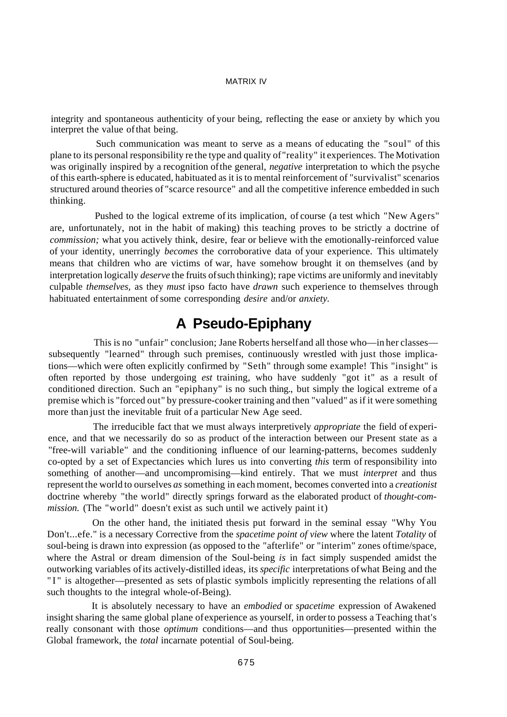integrity and spontaneous authenticity of your being, reflecting the ease or anxiety by which you interpret the value of that being.

Such communication was meant to serve as a means of educating the "soul" of this plane to its personal responsibility re the type and quality of "reality" it experiences. The Motivation was originally inspired by a recognition of the general, *negative* interpretation to which the psyche of this earth-sphere is educated, habituated as it is to mental reinforcement of "survivalist" scenarios structured around theories of "scarce resource" and all the competitive inference embedded in such thinking.

Pushed to the logical extreme of its implication, of course (a test which "New Agers" are, unfortunately, not in the habit of making) this teaching proves to be strictly a doctrine of *commission;* what you actively think, desire, fear or believe with the emotionally-reinforced value of your identity, unerringly *becomes* the corroborative data of your experience. This ultimately means that children who are victims of war, have somehow brought it on themselves (and by interpretation logically *deserve* the fruits of such thinking); rape victims are uniformly and inevitably culpable *themselves,* as they *must* ipso facto have *drawn* such experience to themselves through habituated entertainment of some corresponding *desire* and/or *anxiety.*

## **A Pseudo-Epiphany**

This is no "unfair" conclusion; Jane Roberts herself and all those who—in her classes subsequently "learned" through such premises, continuously wrestled with just those implications—which were often explicitly confirmed by "Seth" through some example! This "insight" is often reported by those undergoing *est* training, who have suddenly "got it" as a result of conditioned direction. Such an "epiphany" is no such thing., but simply the logical extreme of a premise which is "forced out" by pressure-cooker training and then "valued" as if it were something more than just the inevitable fruit of a particular New Age seed.

The irreducible fact that we must always interpretively *appropriate* the field of experience, and that we necessarily do so as product of the interaction between our Present state as a "free-will variable" and the conditioning influence of our learning-patterns, becomes suddenly co-opted by a set of Expectancies which lures us into converting *this* term of responsibility into something of another—and uncompromising—kind entirely. That we must *interpret* and thus represent the world to ourselves *as* something in each moment, becomes converted into a *creationist* doctrine whereby "the world" directly springs forward as the elaborated product of *thought-commission.* (The "world" doesn't exist as such until we actively paint it)

On the other hand, the initiated thesis put forward in the seminal essay "Why You Don't...efe." is a necessary Corrective from the *spacetime point of view* where the latent *Totality* of soul-being is drawn into expression (as opposed to the "afterlife" or "interim" zones of time/space, where the Astral or dream dimension of the Soul-being *is* in fact simply suspended amidst the outworking variables of its actively-distilled ideas, its *specific* interpretations of what Being and the " I " is altogether—presented as sets of plastic symbols implicitly representing the relations of all such thoughts to the integral whole-of-Being).

It is absolutely necessary to have an *embodied* or *spacetime* expression of Awakened insight sharing the same global plane of experience as yourself, in order to possess a Teaching that's really consonant with those *optimum* conditions—and thus opportunities—presented within the Global framework, the *total* incarnate potential of Soul-being.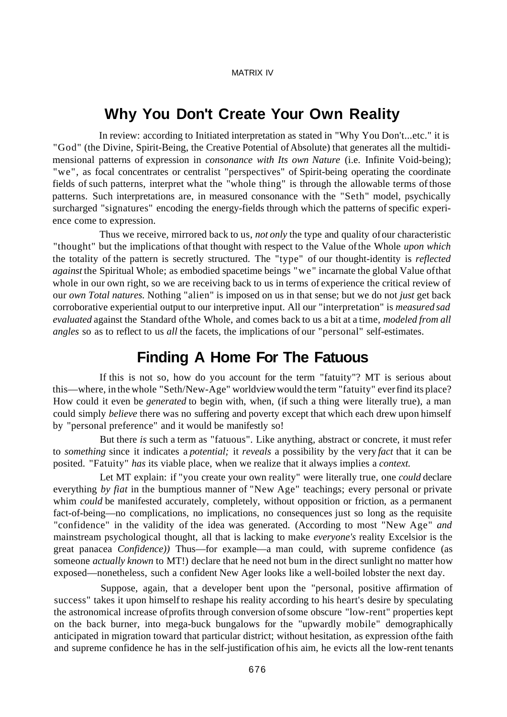## **Why You Don't Create Your Own Reality**

In review: according to Initiated interpretation as stated in "Why You Don't...etc." it is "God" (the Divine, Spirit-Being, the Creative Potential of Absolute) that generates all the multidimensional patterns of expression in *consonance with Its own Nature* (i.e. Infinite Void-being); "we", as focal concentrates or centralist "perspectives" of Spirit-being operating the coordinate fields of such patterns, interpret what the "whole thing" is through the allowable terms of those patterns. Such interpretations are, in measured consonance with the "Seth" model, psychically surcharged "signatures" encoding the energy-fields through which the patterns of specific experience come to expression.

Thus we receive, mirrored back to us, *not only* the type and quality of our characteristic "thought" but the implications of that thought with respect to the Value of the Whole *upon which* the totality of the pattern is secretly structured. The "type" of our thought-identity is *reflected against* the Spiritual Whole; as embodied spacetime beings "we" incarnate the global Value of that whole in our own right, so we are receiving back to us in terms of experience the critical review of our *own Total natures.* Nothing "alien" is imposed on us in that sense; but we do not *just* get back corroborative experiential output to our interpretive input. All our "interpretation" is *measured sad evaluated* against the Standard of the Whole, and comes back to us a bit at a time, *modeled from all angles* so as to reflect to us *all* the facets, the implications of our "personal" self-estimates.

## **Finding A Home For The Fatuous**

If this is not so, how do you account for the term "fatuity"? MT is serious about this—where, in the whole "Seth/New-Age" worldview would the term "fatuity" ever find its place? How could it even be *generated* to begin with, when, (if such a thing were literally true), a man could simply *believe* there was no suffering and poverty except that which each drew upon himself by "personal preference" and it would be manifestly so!

But there *is* such a term as "fatuous". Like anything, abstract or concrete, it must refer to *something* since it indicates a *potential;* it *reveals* a possibility by the very *fact* that it can be posited. "Fatuity" *has* its viable place, when we realize that it always implies a *context.*

Let MT explain: if "you create your own reality" were literally true, one *could* declare everything *by fiat* in the bumptious manner of "New Age" teachings; every personal or private whim *could* be manifested accurately, completely, without opposition or friction, as a permanent fact-of-being—no complications, no implications, no consequences just so long as the requisite "confidence" in the validity of the idea was generated. (According to most "New Age" *and* mainstream psychological thought, all that is lacking to make *everyone's* reality Excelsior is the great panacea *Confidence))* Thus—for example—a man could, with supreme confidence (as someone *actually known* to MT!) declare that he need not bum in the direct sunlight no matter how exposed—nonetheless, such a confident New Ager looks like a well-boiled lobster the next day.

Suppose, again, that a developer bent upon the "personal, positive affirmation of success" takes it upon himself to reshape his reality according to his heart's desire by speculating the astronomical increase of profits through conversion of some obscure "low-rent" properties kept on the back burner, into mega-buck bungalows for the "upwardly mobile" demographically anticipated in migration toward that particular district; without hesitation, as expression of the faith and supreme confidence he has in the self-justification of his aim, he evicts all the low-rent tenants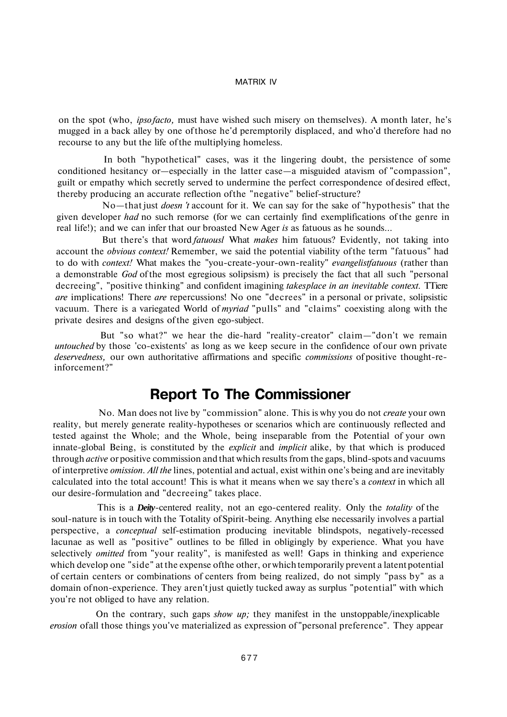on the spot (who, *ipso facto,* must have wished such misery on themselves). A month later, he's mugged in a back alley by one of those he'd peremptorily displaced, and who'd therefore had no recourse to any but the life of the multiplying homeless.

In both "hypothetical" cases, was it the lingering doubt, the persistence of some conditioned hesitancy or—especially in the latter case—a misguided atavism of "compassion", guilt or empathy which secretly served to undermine the perfect correspondence of desired effect, thereby producing an accurate reflection of the "negative" belief-structure?

No—that just *doesn 't* account for it. We can say for the sake of "hypothesis" that the given developer *had* no such remorse (for we can certainly find exemplifications of the genre in real life!); and we can infer that our broasted New Ager *is* as fatuous as he sounds...

But there's that word *fatuousl* What *makes* him fatuous? Evidently, not taking into account the *obvious context!* Remember, we said the potential viability of the term "fatuous" had to do with *context!* What makes the "you-create-your-own-reality" evangelistfatuous (rather than a demonstrable *God* of the most egregious solipsism) is precisely the fact that all such "personal decreeing", "positive thinking" and confident imagining *takes place in an inevitable context.* TTiere *are* implications! There *are* repercussions! No one "decrees" in a personal or private, solipsistic vacuum. There is a variegated World of *myriad* "pulls" and "claims" coexisting along with the private desires and designs of the given ego-subject.

But "so what?" we hear the die-hard "reality-creator" claim—"don't we remain *untouched* by those 'co-existents' as long as we keep secure in the confidence of our own private *deservedness,* our own authoritative affirmations and specific *commissions* of positive thought-reinforcement?"

## **Report To The Commissioner**

No. Man does not live by "commission" alone. This is why you do not *create* your own reality, but merely generate reality-hypotheses or scenarios which are continuously reflected and tested against the Whole; and the Whole, being inseparable from the Potential of your own innateglobal Being, is constituted by the *explicit* and *implicit* alike, by that which is produced through *active* or positive commission and that which results from the gaps, blind-spots and vacuums of interpretive *omission. All the* lines, potential and actual, exist within one's being and are inevitably calculated into the total account! This is what it means when we say there's a *context* in which all our desire-formulation and "decreeing" takes place.

This is a *Deity*-centered reality, not an ego-centered reality. Only the *totality* of the soul-nature is in touch with the Totality of Spirit-being. Anything else necessarily involves a partial perspective, a *conceptual* self-estimation producing inevitable blindspots, negatively-recessed lacunae as well as "positive" outlines to be filled in obligingly by experience. What you have selectively *omitted* from "your reality", is manifested as well! Gaps in thinking and experience which develop one "side" at the expense of the other, or which temporarily prevent a latent potential of certain centers or combinations of centers from being realized, do not simply "pass by" as a domain of non-experience. They aren't just quietly tucked away as surplus "potential" with which you're not obliged to have any relation.

On the contrary, such gaps *show up;* they manifest in the unstoppable/inexplicable *erosion* of all those things you've materialized as expression of "personal preference". They appear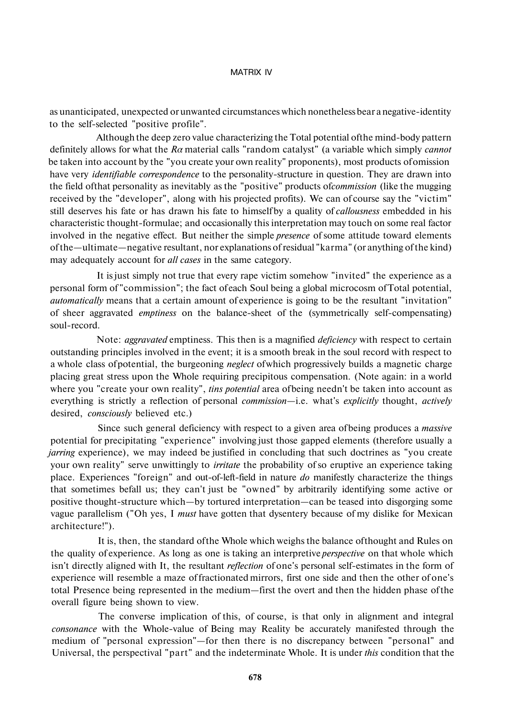## MATRIX IV

as unanticipated, unexpected or unwanted circumstances which nonetheless bear a negative-identity to the self-selected "positive profile".

Although the deep zero value characterizing the Total potential of the mind-body pattern definitely allows for what the *Rα* material calls "random catalyst" (a variable which simply *cannot* be taken into account by the "you create your own reality" proponents), most products of omission have very *identifiable correspondence* to the personality-structure in question. They are drawn into the field of that personality as inevitably as the "positive" products of*commission* (like the mugging received by the "developer", along with his projected profits). We can of course say the "victim" still deserves his fate or has drawn his fate to himself by a quality of *callousness* embedded in his characteristic thought-formulae; and occasionally this interpretation may touch on some real factor involved in the negative effect. But neither the simple *presence* of some attitude toward elements of the—ultimate—negative resultant, nor explanations of residual "karma" (or anything of the kind) may adequately account for *all cases* in the same category.

It is just simply not true that every rape victim somehow "invited" the experience as a personal form of "commission"; the fact of each Soul being a global microcosm of Total potential, *automatically* means that a certain amount of experience is going to be the resultant "invitation" of sheer aggravated *emptiness* on the balance-sheet of the (symmetrically self-compensating) soul-record.

Note: *aggravated* emptiness. This then is a magnified *deficiency* with respect to certain outstanding principles involved in the event; it is a smooth break in the soul record with respect to a whole class of potential, the burgeoning *neglect* of which progressively builds a magnetic charge placing great stress upon the Whole requiring precipitous compensation. (Note again: in a world where you "create your own reality", *tins potential* area of being needn't be taken into account as everything is strictly a reflection of personal *commission*—i.e. what's *explicitly* thought, *actively* desired, *consciously* believed etc.)

Since such general deficiency with respect to a given area of being produces a *massive* potential for precipitating "experience" involving just those gapped elements (therefore usually a *jarring* experience), we may indeed be justified in concluding that such doctrines as "you create your own reality" serve unwittingly to *irritate* the probability of so eruptive an experience taking place. Experiences "foreign" and out-of-left-field in nature *do* manifestly characterize the things that sometimes befall us; they can't just be "owned" by arbitrarily identifying some active or positive thought-structure which—by tortured interpretation—can be teased into disgorging some vague parallelism ("Oh yes, I *must* have gotten that dysentery because of my dislike for Mexican architecture!").

It is, then, the standard of the Whole which weighs the balance of thought and Rules on the quality of experience. As long as one is taking an interpretive *perspective* on that whole which isn't directly aligned with It, the resultant *reflection* of one's personal self-estimates in the form of experience will resemble a maze of fractionated mirrors, first one side and then the other of one's total Presence being represented in the medium—first the overt and then the hidden phase of the overall figure being shown to view.

The converse implication of this, of course, is that only in alignment and integral *consonance* with the Whole-value of Being may Reality be accurately manifested through the medium of "personal expression"—for then there is no discrepancy between "personal" and Universal, the perspectival "part" and the indeterminate Whole. It is under *this* condition that the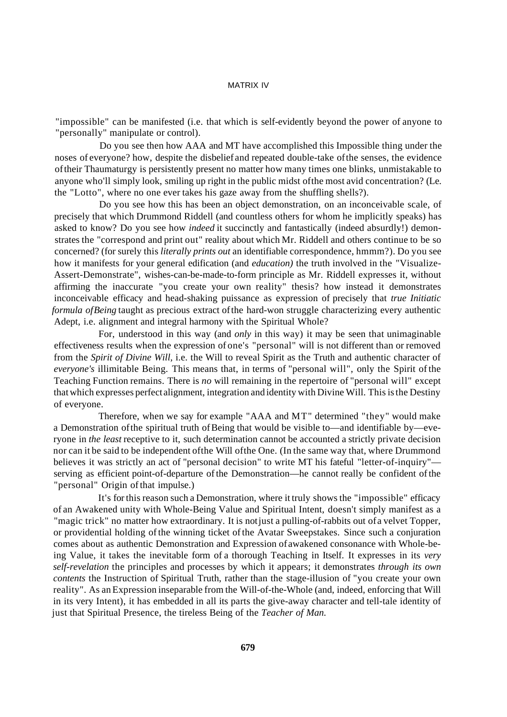## MATRIX IV

"impossible" can be manifested (i.e. that which is self-evidently beyond the power of anyone to "personally" manipulate or control).

Do you see then how AAA and MT have accomplished this Impossible thing under the noses of everyone? how, despite the disbelief and repeated double-take of the senses, the evidence of their Thaumaturgy is persistently present no matter how many times one blinks, unmistakable to anyone who'll simply look, smiling up right in the public midst of the most avid concentration? (Le. the "Lotto", where no one ever takes his gaze away from the shuffling shells?).

Do you see how this has been an object demonstration, on an inconceivable scale, of precisely that which Drummond Riddell (and countless others for whom he implicitly speaks) has asked to know? Do you see how *indeed* it succinctly and fantastically (indeed absurdly!) demonstrates the "correspond and print out" reality about which Mr. Riddell and others continue to be so concerned? (for surely this *literally prints out* an identifiable correspondence, hmmm?). Do you see how it manifests for your general edification (and *education)* the truth involved in the "Visualize-Assert-Demonstrate", wishes-can-be-made-to-form principle as Mr. Riddell expresses it, without affirming the inaccurate "you create your own reality" thesis? how instead it demonstrates inconceivable efficacy and head-shaking puissance as expression of precisely that *true Initiatic formula of Being* taught as precious extract of the hard-won struggle characterizing every authentic Adept, i.e. alignment and integral harmony with the Spiritual Whole?

For, understood in this way (and *only* in this way) it may be seen that unimaginable effectiveness results when the expression of one's "personal" will is not different than or removed from the *Spirit of Divine Will,* i.e. the Will to reveal Spirit as the Truth and authentic character of *everyone's* illimitable Being. This means that, in terms of "personal will", only the Spirit of the Teaching Function remains. There is *no* will remaining in the repertoire of "personal will" except that which expresses perfect alignment, integration and identity with Divine Will. This is the Destiny of everyone.

Therefore, when we say for example "AAA and MT" determined "they" would make a Demonstration of the spiritual truth of Being that would be visible to—and identifiable by—everyone in *the least* receptive to it, such determination cannot be accounted a strictly private decision nor can it be said to be independent of the Will of the One. (In the same way that, where Drummond believes it was strictly an act of "personal decision" to write MT his fateful "letter-of-inquiry" serving as efficient point-of-departure of the Demonstration—he cannot really be confident of the "personal" Origin of that impulse.)

It's for this reason such a Demonstration, where it truly shows the "impossible" efficacy of an Awakened unity with Whole-Being Value and Spiritual Intent, doesn't simply manifest as a "magic trick" no matter how extraordinary. It is not just a pulling-of-rabbits out of a velvet Topper, or providential holding of the winning ticket of the Avatar Sweepstakes. Since such a conjuration comes about as authentic Demonstration and Expression of awakened consonance with Whole-being Value, it takes the inevitable form of a thorough Teaching in Itself. It expresses in its *very self-revelation* the principles and processes by which it appears; it demonstrates *through its own contents* the Instruction of Spiritual Truth, rather than the stage-illusion of "you create your own reality". As an Expression inseparable from the Will-of-the-Whole (and, indeed, enforcing that Will in its very Intent), it has embedded in all its parts the give-away character and tell-tale identity of just that Spiritual Presence, the tireless Being of the *Teacher of Man.*